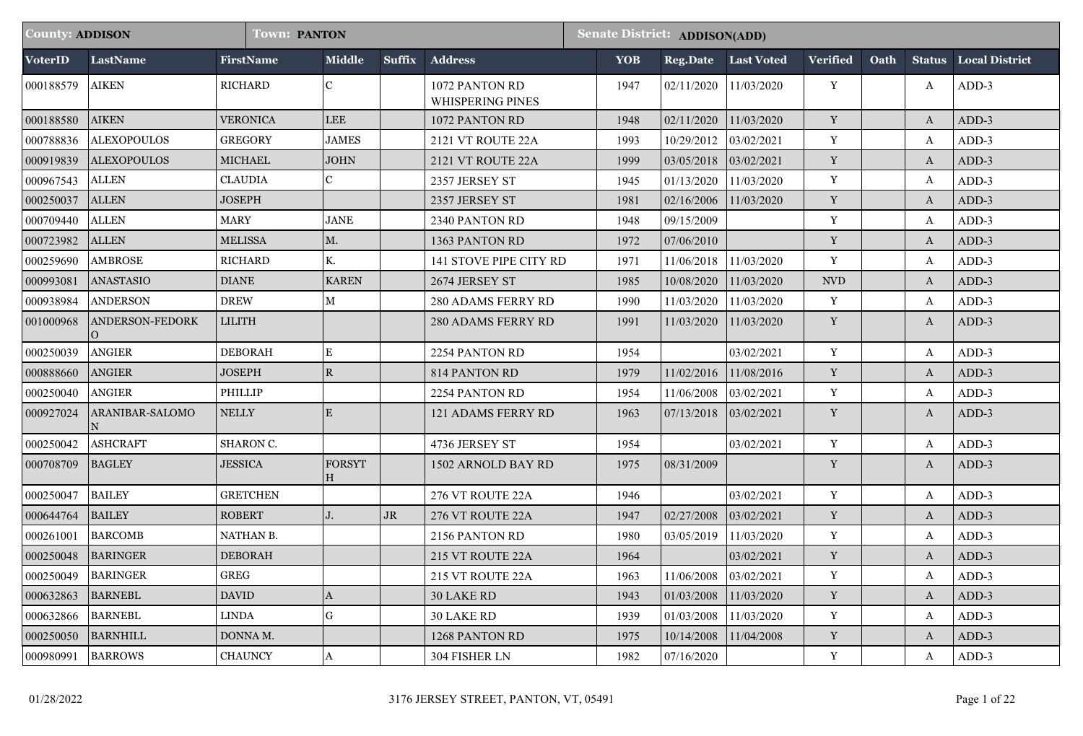| <b>County: ADDISON</b> |                                    |                | <b>Town: PANTON</b> |                    |               |                                           |            | <b>Senate District: ADDISON(ADD)</b> |                   |                 |      |              |                              |
|------------------------|------------------------------------|----------------|---------------------|--------------------|---------------|-------------------------------------------|------------|--------------------------------------|-------------------|-----------------|------|--------------|------------------------------|
| <b>VoterID</b>         | <b>LastName</b>                    |                | FirstName           | <b>Middle</b>      | <b>Suffix</b> | <b>Address</b>                            | <b>YOB</b> | <b>Reg.Date</b>                      | <b>Last Voted</b> | <b>Verified</b> | Oath |              | <b>Status</b> Local District |
| 000188579              | <b>AIKEN</b>                       | <b>RICHARD</b> |                     | $\mathbf C$        |               | 1072 PANTON RD<br><b>WHISPERING PINES</b> | 1947       | 02/11/2020                           | 11/03/2020        | Y               |      | A            | $ADD-3$                      |
| 000188580              | <b>AIKEN</b>                       |                | <b>VERONICA</b>     | LEE                |               | 1072 PANTON RD                            | 1948       | 02/11/2020                           | 11/03/2020        | $\mathbf Y$     |      | A            | $ADD-3$                      |
| 000788836              | <b>ALEXOPOULOS</b>                 | <b>GREGORY</b> |                     | <b>JAMES</b>       |               | 2121 VT ROUTE 22A                         | 1993       | 10/29/2012                           | 03/02/2021        | Y               |      | A            | $ADD-3$                      |
| 000919839              | <b>ALEXOPOULOS</b>                 | <b>MICHAEL</b> |                     | <b>JOHN</b>        |               | 2121 VT ROUTE 22A                         | 1999       | 03/05/2018                           | 03/02/2021        | $\mathbf Y$     |      | A            | $ADD-3$                      |
| 000967543              | <b>ALLEN</b>                       | <b>CLAUDIA</b> |                     | $\mathbf C$        |               | 2357 JERSEY ST                            | 1945       | 01/13/2020                           | 11/03/2020        | Y               |      | A            | $ADD-3$                      |
| 000250037              | <b>ALLEN</b>                       | <b>JOSEPH</b>  |                     |                    |               | 2357 JERSEY ST                            | 1981       | 02/16/2006                           | 11/03/2020        | $\mathbf Y$     |      | A            | $ADD-3$                      |
| 000709440              | <b>ALLEN</b>                       | <b>MARY</b>    |                     | <b>JANE</b>        |               | 2340 PANTON RD                            | 1948       | 09/15/2009                           |                   | Y               |      | A            | $ADD-3$                      |
| 000723982              | <b>ALLEN</b>                       | <b>MELISSA</b> |                     | $M$ .              |               | 1363 PANTON RD                            | 1972       | 07/06/2010                           |                   | Y               |      | $\mathbf{A}$ | ADD-3                        |
| 000259690              | <b>AMBROSE</b>                     | <b>RICHARD</b> |                     | K.                 |               | 141 STOVE PIPE CITY RD                    | 1971       | 11/06/2018                           | 11/03/2020        | $\mathbf Y$     |      | A            | $ADD-3$                      |
| 000993081              | <b>ANASTASIO</b>                   | <b>DIANE</b>   |                     | <b>KAREN</b>       |               | 2674 JERSEY ST                            | 1985       | 10/08/2020                           | 11/03/2020        | <b>NVD</b>      |      | A            | $ADD-3$                      |
| 000938984              | <b>ANDERSON</b>                    | <b>DREW</b>    |                     | М                  |               | <b>280 ADAMS FERRY RD</b>                 | 1990       | 11/03/2020                           | 11/03/2020        | $\mathbf Y$     |      | A            | $ADD-3$                      |
| 001000968              | <b>ANDERSON-FEDORK</b><br>$\Omega$ | <b>LILITH</b>  |                     |                    |               | 280 ADAMS FERRY RD                        | 1991       | 11/03/2020                           | 11/03/2020        | Y               |      | A            | ADD-3                        |
| 000250039              | <b>ANGIER</b>                      | <b>DEBORAH</b> |                     | $\mathbf E$        |               | 2254 PANTON RD                            | 1954       |                                      | 03/02/2021        | $\mathbf Y$     |      | A            | $ADD-3$                      |
| 000888660              | <b>ANGIER</b>                      | <b>JOSEPH</b>  |                     | $\mathbf R$        |               | <b>814 PANTON RD</b>                      | 1979       | 11/02/2016                           | 11/08/2016        | $\mathbf Y$     |      | A            | $ADD-3$                      |
| 000250040              | <b>ANGIER</b>                      | PHILLIP        |                     |                    |               | 2254 PANTON RD                            | 1954       | 11/06/2008                           | 03/02/2021        | Y               |      | A            | $ADD-3$                      |
| 000927024              | ARANIBAR-SALOMO<br>N               | <b>NELLY</b>   |                     | ${\bf E}$          |               | 121 ADAMS FERRY RD                        | 1963       | 07/13/2018                           | 03/02/2021        | Y               |      | A            | $ADD-3$                      |
| 000250042              | <b>ASHCRAFT</b>                    |                | SHARON C.           |                    |               | 4736 JERSEY ST                            | 1954       |                                      | 03/02/2021        | Y               |      | A            | $ADD-3$                      |
| 000708709              | <b>BAGLEY</b>                      | <b>JESSICA</b> |                     | <b>FORSYT</b><br>H |               | 1502 ARNOLD BAY RD                        | 1975       | 08/31/2009                           |                   | Y               |      | A            | ADD-3                        |
| 000250047              | <b>BAILEY</b>                      |                | <b>GRETCHEN</b>     |                    |               | 276 VT ROUTE 22A                          | 1946       |                                      | 03/02/2021        | Y               |      | A            | $ADD-3$                      |
| 000644764              | <b>BAILEY</b>                      | <b>ROBERT</b>  |                     | J.                 | <b>JR</b>     | 276 VT ROUTE 22A                          | 1947       | 02/27/2008                           | 03/02/2021        | Y               |      | A            | ADD-3                        |
| 000261001              | <b>BARCOMB</b>                     |                | NATHAN B.           |                    |               | 2156 PANTON RD                            | 1980       | 03/05/2019                           | 11/03/2020        | $\mathbf Y$     |      | A            | $ADD-3$                      |
| 000250048              | <b>BARINGER</b>                    | <b>DEBORAH</b> |                     |                    |               | 215 VT ROUTE 22A                          | 1964       |                                      | 03/02/2021        | Y               |      | A            | $ADD-3$                      |
| 000250049              | <b>BARINGER</b>                    | ${\tt GREG}$   |                     |                    |               | 215 VT ROUTE 22A                          | 1963       | 11/06/2008                           | 03/02/2021        | Y               |      | A            | $ADD-3$                      |
| 000632863              | <b>BARNEBL</b>                     | <b>DAVID</b>   |                     | $\bf{A}$           |               | 30 LAKE RD                                | 1943       | 01/03/2008                           | 11/03/2020        | Y               |      | A            | $ADD-3$                      |
| 000632866              | <b>BARNEBL</b>                     | <b>LINDA</b>   |                     | G                  |               | 30 LAKE RD                                | 1939       | 01/03/2008                           | 11/03/2020        | $\mathbf Y$     |      | A            | $ADD-3$                      |
| 000250050              | <b>BARNHILL</b>                    | DONNAM.        |                     |                    |               | 1268 PANTON RD                            | 1975       | 10/14/2008                           | 11/04/2008        | Y               |      | A            | $ADD-3$                      |
| 000980991              | <b>BARROWS</b>                     | <b>CHAUNCY</b> |                     | A                  |               | 304 FISHER LN                             | 1982       | 07/16/2020                           |                   | $\mathbf Y$     |      | A            | $ADD-3$                      |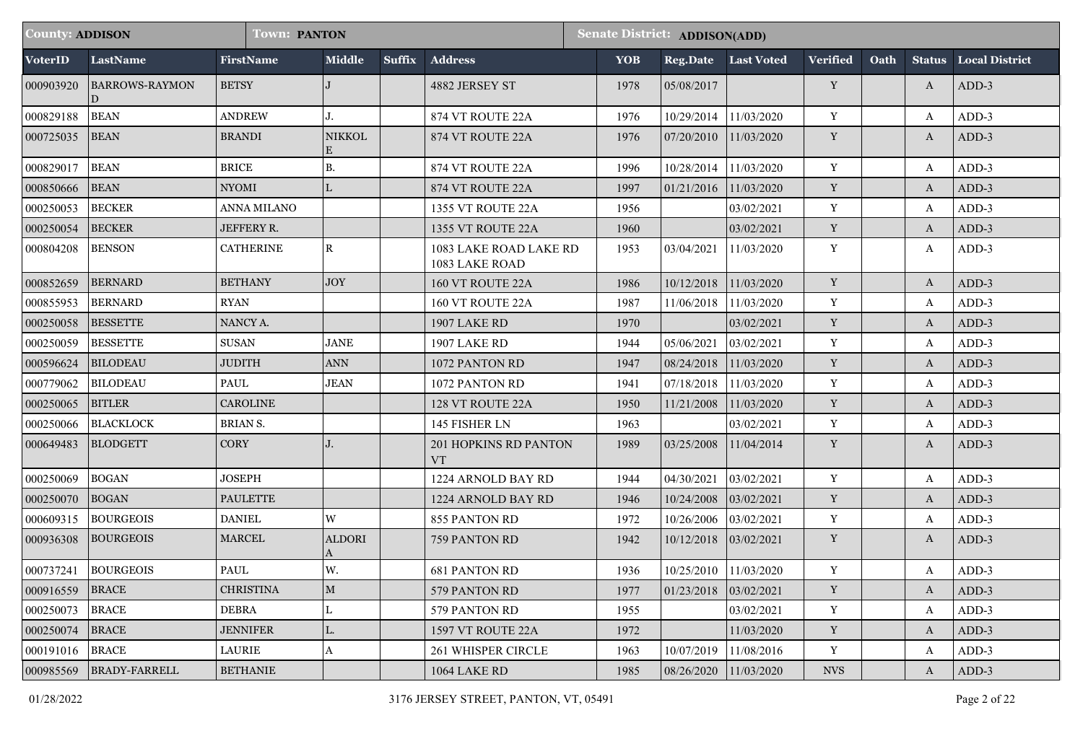| <b>County: ADDISON</b> |                            |                 | <b>Town: PANTON</b> |                    |               |                                          |            | Senate District: ADDISON(ADD) |                   |                 |      |              |                              |
|------------------------|----------------------------|-----------------|---------------------|--------------------|---------------|------------------------------------------|------------|-------------------------------|-------------------|-----------------|------|--------------|------------------------------|
| <b>VoterID</b>         | <b>LastName</b>            |                 | FirstName           | <b>Middle</b>      | <b>Suffix</b> | <b>Address</b>                           | <b>YOB</b> | <b>Reg.Date</b>               | <b>Last Voted</b> | <b>Verified</b> | Oath |              | <b>Status</b> Local District |
| 000903920              | <b>BARROWS-RAYMON</b><br>D | <b>BETSY</b>    |                     |                    |               | 4882 JERSEY ST                           | 1978       | 05/08/2017                    |                   | $\mathbf Y$     |      | A            | $ADD-3$                      |
| 000829188              | <b>BEAN</b>                | <b>ANDREW</b>   |                     | J.                 |               | 874 VT ROUTE 22A                         | 1976       | 10/29/2014                    | 11/03/2020        | $\mathbf Y$     |      | A            | $ADD-3$                      |
| 000725035              | <b>BEAN</b>                | <b>BRANDI</b>   |                     | <b>NIKKOL</b><br>E |               | 874 VT ROUTE 22A                         | 1976       | 07/20/2010                    | 11/03/2020        | $\mathbf Y$     |      | A            | $ADD-3$                      |
| 000829017              | <b>BEAN</b>                | <b>BRICE</b>    |                     | $\mathbf B.$       |               | 874 VT ROUTE 22A                         | 1996       | 10/28/2014                    | 11/03/2020        | $\mathbf Y$     |      | A            | $ADD-3$                      |
| 000850666              | <b>BEAN</b>                | <b>NYOMI</b>    |                     | L                  |               | 874 VT ROUTE 22A                         | 1997       | 01/21/2016                    | 11/03/2020        | $\mathbf Y$     |      | A            | $ADD-3$                      |
| 000250053              | <b>BECKER</b>              |                 | <b>ANNA MILANO</b>  |                    |               | 1355 VT ROUTE 22A                        | 1956       |                               | 03/02/2021        | $\mathbf Y$     |      | A            | $ADD-3$                      |
| 000250054              | <b>BECKER</b>              |                 | <b>JEFFERY R.</b>   |                    |               | 1355 VT ROUTE 22A                        | 1960       |                               | 03/02/2021        | $\mathbf Y$     |      | A            | $ADD-3$                      |
| 000804208              | <b>BENSON</b>              |                 | <b>CATHERINE</b>    | $\mathbf R$        |               | 1083 LAKE ROAD LAKE RD<br>1083 LAKE ROAD | 1953       | 03/04/2021                    | 11/03/2020        | $\mathbf Y$     |      | A            | $ADD-3$                      |
| 000852659              | <b>BERNARD</b>             | <b>BETHANY</b>  |                     | <b>JOY</b>         |               | 160 VT ROUTE 22A                         | 1986       | 10/12/2018                    | 11/03/2020        | $\mathbf Y$     |      | A            | $ADD-3$                      |
| 000855953              | <b>BERNARD</b>             | <b>RYAN</b>     |                     |                    |               | 160 VT ROUTE 22A                         | 1987       | 11/06/2018                    | 11/03/2020        | $\mathbf Y$     |      | A            | $ADD-3$                      |
| 000250058              | <b>BESSETTE</b>            | NANCY A.        |                     |                    |               | 1907 LAKE RD                             | 1970       |                               | 03/02/2021        | Y               |      | A            | $ADD-3$                      |
| 000250059              | <b>BESSETTE</b>            | <b>SUSAN</b>    |                     | <b>JANE</b>        |               | 1907 LAKE RD                             | 1944       | 05/06/2021                    | 03/02/2021        | $\mathbf Y$     |      | A            | $ADD-3$                      |
| 000596624              | <b>BILODEAU</b>            | <b>JUDITH</b>   |                     | <b>ANN</b>         |               | 1072 PANTON RD                           | 1947       | 08/24/2018                    | 11/03/2020        | Y               |      | A            | $ADD-3$                      |
| 000779062              | <b>BILODEAU</b>            | PAUL            |                     | <b>JEAN</b>        |               | 1072 PANTON RD                           | 1941       | 07/18/2018                    | 11/03/2020        | Y               |      | A            | $ADD-3$                      |
| 000250065              | <b>BITLER</b>              | <b>CAROLINE</b> |                     |                    |               | 128 VT ROUTE 22A                         | 1950       | 11/21/2008                    | 11/03/2020        | $\mathbf Y$     |      | A            | $ADD-3$                      |
| 000250066              | <b>BLACKLOCK</b>           | <b>BRIAN S.</b> |                     |                    |               | 145 FISHER LN                            | 1963       |                               | 03/02/2021        | $\mathbf Y$     |      | A            | $ADD-3$                      |
| 000649483              | <b>BLODGETT</b>            | <b>CORY</b>     |                     | J.                 |               | 201 HOPKINS RD PANTON<br><b>VT</b>       | 1989       | 03/25/2008                    | 11/04/2014        | Y               |      | A            | $ADD-3$                      |
| 000250069              | <b>BOGAN</b>               | <b>JOSEPH</b>   |                     |                    |               | 1224 ARNOLD BAY RD                       | 1944       | 04/30/2021                    | 03/02/2021        | $\mathbf Y$     |      | A            | $ADD-3$                      |
| 000250070              | <b>BOGAN</b>               | <b>PAULETTE</b> |                     |                    |               | 1224 ARNOLD BAY RD                       | 1946       | 10/24/2008                    | 03/02/2021        | Y               |      | A            | $ADD-3$                      |
| 000609315              | <b>BOURGEOIS</b>           | <b>DANIEL</b>   |                     | W                  |               | 855 PANTON RD                            | 1972       | 10/26/2006                    | 03/02/2021        | $\mathbf Y$     |      | A            | $ADD-3$                      |
| 000936308              | <b>BOURGEOIS</b>           | <b>MARCEL</b>   |                     | <b>ALDORI</b><br>A |               | 759 PANTON RD                            | 1942       | 10/12/2018                    | 03/02/2021        | $\mathbf Y$     |      | $\mathbf{A}$ | $ADD-3$                      |
| 000737241              | <b>BOURGEOIS</b>           | PAUL            |                     | W.                 |               | <b>681 PANTON RD</b>                     | 1936       | 10/25/2010                    | 11/03/2020        | $\mathbf Y$     |      | A            | $ADD-3$                      |
| 000916559              | <b>BRACE</b>               |                 | <b>CHRISTINA</b>    | M                  |               | 579 PANTON RD                            | 1977       | 01/23/2018                    | 03/02/2021        | $\mathbf Y$     |      | A            | $ADD-3$                      |
| 000250073              | <b>BRACE</b>               | <b>DEBRA</b>    |                     | L                  |               | 579 PANTON RD                            | 1955       |                               | 03/02/2021        | $\mathbf Y$     |      | A            | $ADD-3$                      |
| 000250074              | <b>BRACE</b>               | <b>JENNIFER</b> |                     | L.                 |               | 1597 VT ROUTE 22A                        | 1972       |                               | 11/03/2020        | $\mathbf Y$     |      | A            | $ADD-3$                      |
| 000191016              | <b>BRACE</b>               | LAURIE          |                     | A                  |               | <b>261 WHISPER CIRCLE</b>                | 1963       | 10/07/2019                    | 11/08/2016        | Y               |      | A            | $ADD-3$                      |
| 000985569              | <b>BRADY-FARRELL</b>       |                 | <b>BETHANIE</b>     |                    |               | 1064 LAKE RD                             | 1985       | 08/26/2020                    | 11/03/2020        | ${\rm NVS}$     |      | A            | $ADD-3$                      |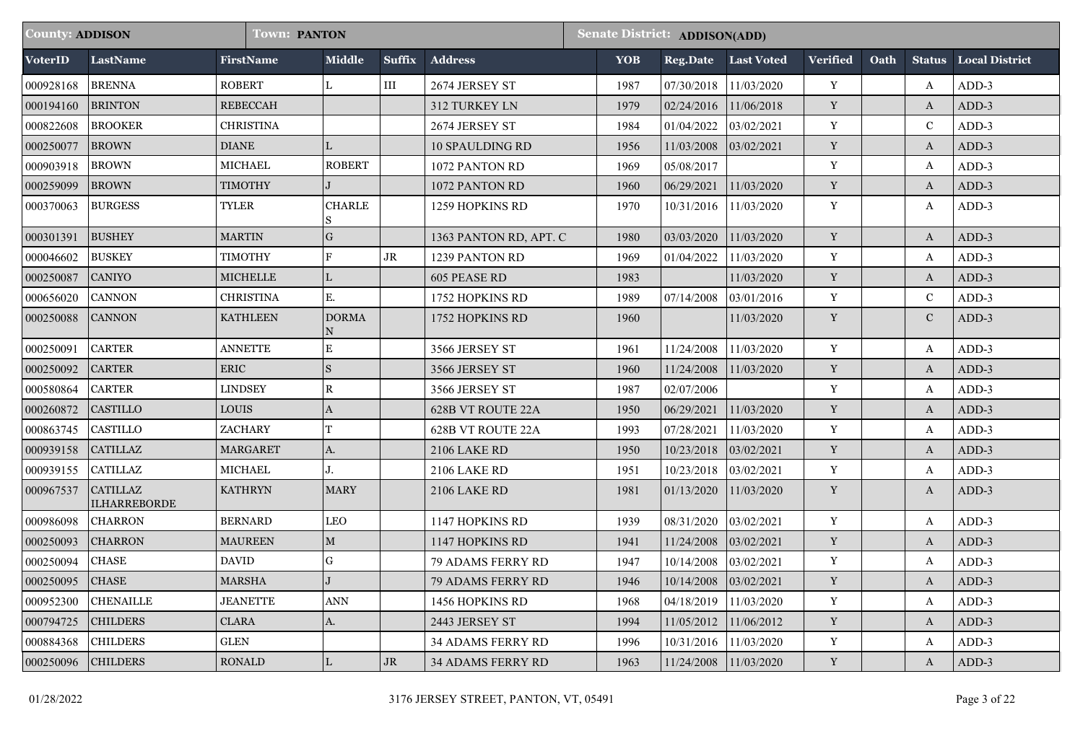| <b>County: ADDISON</b> |                                        |                 | <b>Town: PANTON</b> |                    |               |                          |            | Senate District: ADDISON(ADD) |                   |                 |               |                              |
|------------------------|----------------------------------------|-----------------|---------------------|--------------------|---------------|--------------------------|------------|-------------------------------|-------------------|-----------------|---------------|------------------------------|
| <b>VoterID</b>         | <b>LastName</b>                        |                 | FirstName           | Middle             | <b>Suffix</b> | <b>Address</b>           | <b>YOB</b> | <b>Reg.Date</b>               | <b>Last Voted</b> | <b>Verified</b> | Oath          | <b>Status</b> Local District |
| 000928168              | <b>BRENNA</b>                          | <b>ROBERT</b>   |                     |                    | $\rm III$     | 2674 JERSEY ST           | 1987       | 07/30/2018                    | 11/03/2020        | $\mathbf Y$     | A             | $ADD-3$                      |
| 000194160              | <b>BRINTON</b>                         |                 | <b>REBECCAH</b>     |                    |               | 312 TURKEY LN            | 1979       | 02/24/2016                    | 11/06/2018        | $\mathbf Y$     | A             | $ADD-3$                      |
| 000822608              | <b>BROOKER</b>                         |                 | <b>CHRISTINA</b>    |                    |               | 2674 JERSEY ST           | 1984       | 01/04/2022                    | 03/02/2021        | $\mathbf Y$     | $\mathcal{C}$ | $ADD-3$                      |
| 000250077              | <b>BROWN</b>                           | <b>DIANE</b>    |                     | L                  |               | <b>10 SPAULDING RD</b>   | 1956       | 11/03/2008                    | 03/02/2021        | $\mathbf Y$     | $\bf{A}$      | $ADD-3$                      |
| 000903918              | <b>BROWN</b>                           | <b>MICHAEL</b>  |                     | <b>ROBERT</b>      |               | 1072 PANTON RD           | 1969       | 05/08/2017                    |                   | $\mathbf Y$     | A             | $ADD-3$                      |
| 000259099              | <b>BROWN</b>                           | <b>TIMOTHY</b>  |                     |                    |               | 1072 PANTON RD           | 1960       | 06/29/2021                    | 11/03/2020        | $\mathbf Y$     | A             | $ADD-3$                      |
| 000370063              | <b>BURGESS</b>                         | <b>TYLER</b>    |                     | <b>CHARLE</b>      |               | 1259 HOPKINS RD          | 1970       | 10/31/2016                    | 11/03/2020        | $\mathbf Y$     | A             | $ADD-3$                      |
| 000301391              | <b>BUSHEY</b>                          | <b>MARTIN</b>   |                     | ${\bf G}$          |               | 1363 PANTON RD, APT. C   | 1980       | 03/03/2020                    | 11/03/2020        | Y               | A             | $ADD-3$                      |
| 000046602              | <b>BUSKEY</b>                          | <b>TIMOTHY</b>  |                     | $\mathbf F$        | $\rm J R$     | 1239 PANTON RD           | 1969       | 01/04/2022                    | 11/03/2020        | $\mathbf Y$     | A             | $ADD-3$                      |
| 000250087              | <b>CANIYO</b>                          | <b>MICHELLE</b> |                     | L                  |               | 605 PEASE RD             | 1983       |                               | 11/03/2020        | $\mathbf Y$     | $\bf{A}$      | $ADD-3$                      |
| 000656020              | <b>CANNON</b>                          |                 | <b>CHRISTINA</b>    | ${\bf E}.$         |               | 1752 HOPKINS RD          | 1989       | 07/14/2008                    | 03/01/2016        | Y               | $\mathbf C$   | $ADD-3$                      |
| 000250088              | <b>CANNON</b>                          |                 | <b>KATHLEEN</b>     | <b>DORMA</b><br>N  |               | 1752 HOPKINS RD          | 1960       |                               | 11/03/2020        | $\mathbf Y$     | $\mathbf C$   | $ADD-3$                      |
| 000250091              | <b>CARTER</b>                          | <b>ANNETTE</b>  |                     | ${\bf E}$          |               | 3566 JERSEY ST           | 1961       | 11/24/2008                    | 11/03/2020        | Y               | A             | $ADD-3$                      |
| 000250092              | <b>CARTER</b>                          | <b>ERIC</b>     |                     | S                  |               | 3566 JERSEY ST           | 1960       | 11/24/2008                    | 11/03/2020        | Y               | A             | $ADD-3$                      |
| 000580864              | <b>CARTER</b>                          | <b>LINDSEY</b>  |                     | ${\bf R}$          |               | 3566 JERSEY ST           | 1987       | 02/07/2006                    |                   | $\mathbf Y$     | A             | $ADD-3$                      |
| 000260872              | <b>CASTILLO</b>                        | <b>LOUIS</b>    |                     | $\bf{A}$           |               | 628B VT ROUTE 22A        | 1950       | 06/29/2021                    | 11/03/2020        | Y               | A             | $ADD-3$                      |
| 000863745              | CASTILLO                               | ZACHARY         |                     | T                  |               | 628B VT ROUTE 22A        | 1993       | 07/28/2021                    | 11/03/2020        | $\mathbf Y$     | A             | $ADD-3$                      |
| 000939158              | <b>CATILLAZ</b>                        |                 | <b>MARGARET</b>     | A.                 |               | 2106 LAKE RD             | 1950       | 10/23/2018                    | 03/02/2021        | Y               | A             | $ADD-3$                      |
| 000939155              | <b>CATILLAZ</b>                        | <b>MICHAEL</b>  |                     | J.                 |               | <b>2106 LAKE RD</b>      | 1951       | 10/23/2018                    | 03/02/2021        | Y               | A             | $ADD-3$                      |
| 000967537              | <b>CATILLAZ</b><br><b>ILHARREBORDE</b> | <b>KATHRYN</b>  |                     | <b>MARY</b>        |               | 2106 LAKE RD             | 1981       | 01/13/2020                    | 11/03/2020        | $\mathbf Y$     | A             | $ADD-3$                      |
| 000986098              | <b>CHARRON</b>                         | <b>BERNARD</b>  |                     | ${\rm LEO}$        |               | 1147 HOPKINS RD          | 1939       | 08/31/2020                    | 03/02/2021        | $\mathbf Y$     | A             | $ADD-3$                      |
| 000250093              | <b>CHARRON</b>                         | <b>MAUREEN</b>  |                     | M                  |               | 1147 HOPKINS RD          | 1941       | 11/24/2008                    | 03/02/2021        | $\mathbf Y$     | A             | $ADD-3$                      |
| 000250094 CHASE        |                                        | <b>DAVID</b>    |                     | ${\bf G}$          |               | 79 ADAMS FERRY RD        | 1947       | $10/14/2008$ 03/02/2021       |                   | $\mathbf Y$     | A             | $ADD-3$                      |
| 000250095              | <b>CHASE</b>                           | <b>MARSHA</b>   |                     |                    |               | <b>79 ADAMS FERRY RD</b> | 1946       | 10/14/2008                    | 03/02/2021        | $\mathbf Y$     | A             | $ADD-3$                      |
| 000952300              | <b>CHENAILLE</b>                       | <b>JEANETTE</b> |                     | $\mbox{{\sc And}}$ |               | 1456 HOPKINS RD          | 1968       | 04/18/2019                    | 11/03/2020        | Y               | A             | $ADD-3$                      |
| 000794725              | <b>CHILDERS</b>                        | <b>CLARA</b>    |                     | A.                 |               | 2443 JERSEY ST           | 1994       | 11/05/2012                    | 11/06/2012        | Y               | A             | $ADD-3$                      |
| 000884368              | <b>CHILDERS</b>                        | <b>GLEN</b>     |                     |                    |               | <b>34 ADAMS FERRY RD</b> | 1996       | 10/31/2016                    | 11/03/2020        | $\mathbf Y$     | A             | $ADD-3$                      |
| 000250096              | <b>CHILDERS</b>                        | RONALD          |                     | $\mathbf L$        | $\rm J R$     | <b>34 ADAMS FERRY RD</b> | 1963       | 11/24/2008                    | 11/03/2020        | $\mathbf Y$     | A             | $ADD-3$                      |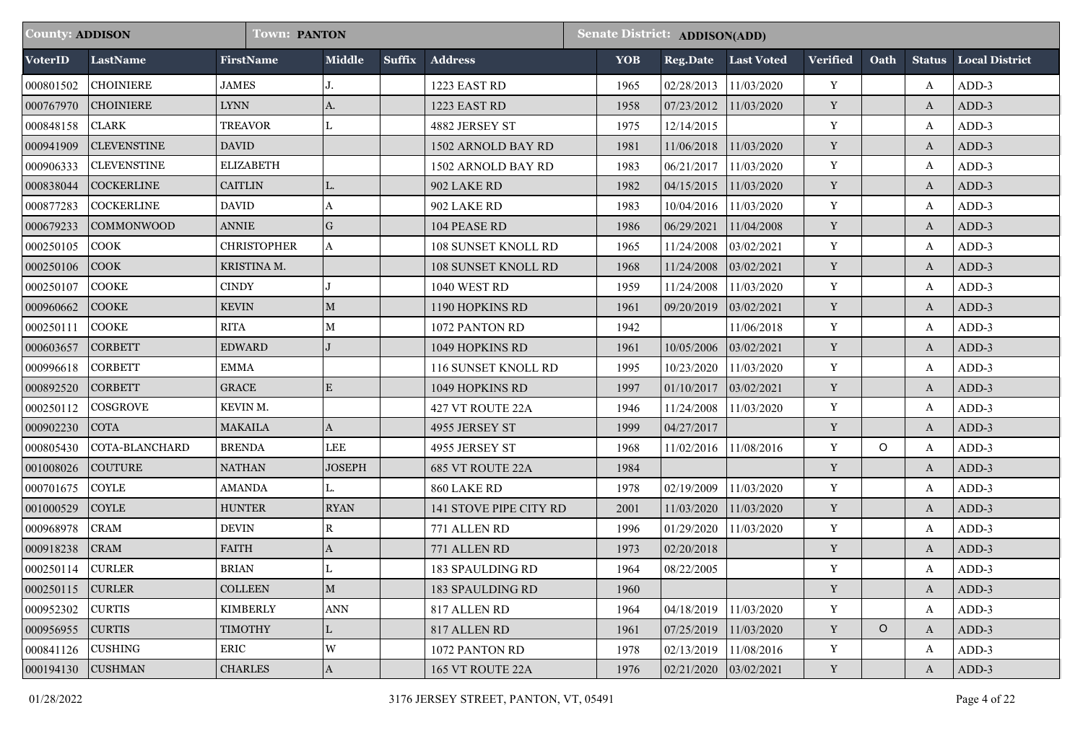| <b>County: ADDISON</b> |                    |                 | <b>Town: PANTON</b> |                    |               |                         |            | Senate District: ADDISON(ADD) |                   |                 |         |                  |                              |
|------------------------|--------------------|-----------------|---------------------|--------------------|---------------|-------------------------|------------|-------------------------------|-------------------|-----------------|---------|------------------|------------------------------|
| <b>VoterID</b>         | <b>LastName</b>    | FirstName       |                     | <b>Middle</b>      | <b>Suffix</b> | <b>Address</b>          | <b>YOB</b> | <b>Reg.Date</b>               | <b>Last Voted</b> | <b>Verified</b> | Oath    |                  | <b>Status</b> Local District |
| 000801502              | <b>CHOINIERE</b>   | <b>JAMES</b>    |                     | J.                 |               | 1223 EAST RD            | 1965       | 02/28/2013                    | 11/03/2020        | $\mathbf Y$     |         | A                | $ADD-3$                      |
| 000767970              | <b>CHOINIERE</b>   | <b>LYNN</b>     |                     | A.                 |               | 1223 EAST RD            | 1958       | 07/23/2012                    | 11/03/2020        | $\mathbf Y$     |         | A                | $ADD-3$                      |
| 000848158              | <b>CLARK</b>       | <b>TREAVOR</b>  |                     | L                  |               | 4882 JERSEY ST          | 1975       | 12/14/2015                    |                   | $\mathbf Y$     |         | A                | $ADD-3$                      |
| 000941909              | <b>CLEVENSTINE</b> | <b>DAVID</b>    |                     |                    |               | 1502 ARNOLD BAY RD      | 1981       | 11/06/2018                    | 11/03/2020        | $\mathbf Y$     |         | $\boldsymbol{A}$ | $ADD-3$                      |
| 000906333              | <b>CLEVENSTINE</b> |                 | <b>ELIZABETH</b>    |                    |               | 1502 ARNOLD BAY RD      | 1983       | 06/21/2017                    | 11/03/2020        | $\mathbf Y$     |         | A                | $ADD-3$                      |
| 000838044              | <b>COCKERLINE</b>  | <b>CAITLIN</b>  |                     | L.                 |               | 902 LAKE RD             | 1982       | 04/15/2015                    | 11/03/2020        | Y               |         | A                | $ADD-3$                      |
| 000877283              | <b>COCKERLINE</b>  | <b>DAVID</b>    |                     | A                  |               | 902 LAKE RD             | 1983       | 10/04/2016                    | 11/03/2020        | $\mathbf Y$     |         | A                | $ADD-3$                      |
| 000679233              | <b>COMMONWOOD</b>  | <b>ANNIE</b>    |                     | ${\bf G}$          |               | 104 PEASE RD            | 1986       | 06/29/2021                    | 11/04/2008        | Y               |         | A                | $ADD-3$                      |
| 000250105              | COOK               |                 | <b>CHRISTOPHER</b>  | $\bf{A}$           |               | 108 SUNSET KNOLL RD     | 1965       | 11/24/2008                    | 03/02/2021        | Y               |         | A                | $ADD-3$                      |
| 000250106              | <b>COOK</b>        |                 | KRISTINA M.         |                    |               | 108 SUNSET KNOLL RD     | 1968       | 11/24/2008                    | 03/02/2021        | $\mathbf Y$     |         | A                | $ADD-3$                      |
| 000250107              | <b>COOKE</b>       | <b>CINDY</b>    |                     |                    |               | <b>1040 WEST RD</b>     | 1959       | 11/24/2008                    | 11/03/2020        | $\mathbf Y$     |         | A                | $ADD-3$                      |
| 000960662              | <b>COOKE</b>       | <b>KEVIN</b>    |                     | $\mathbf M$        |               | 1190 HOPKINS RD         | 1961       | 09/20/2019                    | 03/02/2021        | $\mathbf Y$     |         | A                | $ADD-3$                      |
| 000250111              | <b>COOKE</b>       | <b>RITA</b>     |                     | $\mathbf M$        |               | 1072 PANTON RD          | 1942       |                               | 11/06/2018        | $\mathbf Y$     |         | A                | $ADD-3$                      |
| 000603657              | <b>CORBETT</b>     | <b>EDWARD</b>   |                     |                    |               | 1049 HOPKINS RD         | 1961       | 10/05/2006                    | 03/02/2021        | $\mathbf Y$     |         | A                | $ADD-3$                      |
| 000996618              | <b>CORBETT</b>     | <b>EMMA</b>     |                     |                    |               | 116 SUNSET KNOLL RD     | 1995       | 10/23/2020                    | 11/03/2020        | $\mathbf Y$     |         | A                | $ADD-3$                      |
| 000892520              | <b>CORBETT</b>     | <b>GRACE</b>    |                     | ${\bf E}$          |               | 1049 HOPKINS RD         | 1997       | 01/10/2017                    | 03/02/2021        | $\mathbf Y$     |         | A                | $ADD-3$                      |
| 000250112              | <b>COSGROVE</b>    | KEVIN M.        |                     |                    |               | 427 VT ROUTE 22A        | 1946       | 11/24/2008                    | 11/03/2020        | $\mathbf Y$     |         | A                | $ADD-3$                      |
| 000902230              | <b>COTA</b>        | <b>MAKAILA</b>  |                     | $\mathbf{A}$       |               | 4955 JERSEY ST          | 1999       | 04/27/2017                    |                   | $\mathbf Y$     |         | A                | $ADD-3$                      |
| 000805430              | COTA-BLANCHARD     | <b>BRENDA</b>   |                     | <b>LEE</b>         |               | 4955 JERSEY ST          | 1968       | 11/02/2016                    | 11/08/2016        | Y               | $\circ$ | A                | $ADD-3$                      |
| 001008026              | <b>COUTURE</b>     | <b>NATHAN</b>   |                     | <b>JOSEPH</b>      |               | 685 VT ROUTE 22A        | 1984       |                               |                   | $\mathbf Y$     |         | A                | $ADD-3$                      |
| 000701675              | <b>COYLE</b>       | <b>AMANDA</b>   |                     | L.                 |               | 860 LAKE RD             | 1978       | 02/19/2009                    | 11/03/2020        | $\mathbf Y$     |         | A                | $ADD-3$                      |
| 001000529              | <b>COYLE</b>       | <b>HUNTER</b>   |                     | <b>RYAN</b>        |               | 141 STOVE PIPE CITY RD  | 2001       | 11/03/2020                    | 11/03/2020        | Y               |         | $\boldsymbol{A}$ | $ADD-3$                      |
| 000968978              | <b>CRAM</b>        | <b>DEVIN</b>    |                     | ${\bf R}$          |               | 771 ALLEN RD            | 1996       | 01/29/2020                    | 11/03/2020        | $\mathbf Y$     |         | A                | $ADD-3$                      |
| 000918238              | <b>CRAM</b>        | <b>FAITH</b>    |                     | $\mathbf A$        |               | 771 ALLEN RD            | 1973       | 02/20/2018                    |                   | $\mathbf Y$     |         | A                | $ADD-3$                      |
| 000250114              | <b>CURLER</b>      | <b>BRIAN</b>    |                     | $\mathbf L$        |               | 183 SPAULDING RD        | 1964       | 08/22/2005                    |                   | $\mathbf Y$     |         | A                | $ADD-3$                      |
| 000250115              | <b>CURLER</b>      | <b>COLLEEN</b>  |                     | $\mathbf M$        |               | <b>183 SPAULDING RD</b> | 1960       |                               |                   | $\mathbf Y$     |         | A                | $ADD-3$                      |
| 000952302              | <b>CURTIS</b>      | <b>KIMBERLY</b> |                     | $\mbox{{\sc And}}$ |               | 817 ALLEN RD            | 1964       | 04/18/2019                    | 11/03/2020        | Y               |         | A                | $ADD-3$                      |
| 000956955              | <b>CURTIS</b>      | <b>TIMOTHY</b>  |                     | L                  |               | 817 ALLEN RD            | 1961       | 07/25/2019                    | 11/03/2020        | Y               | $\circ$ | A                | $ADD-3$                      |
| 000841126              | <b>CUSHING</b>     | ERIC            |                     | W                  |               | 1072 PANTON RD          | 1978       | 02/13/2019                    | 11/08/2016        | Y               |         | A                | $ADD-3$                      |
| 000194130              | <b>CUSHMAN</b>     | <b>CHARLES</b>  |                     | $\mathbf A$        |               | 165 VT ROUTE 22A        | 1976       | 02/21/2020                    | 03/02/2021        | $\mathbf Y$     |         | A                | $ADD-3$                      |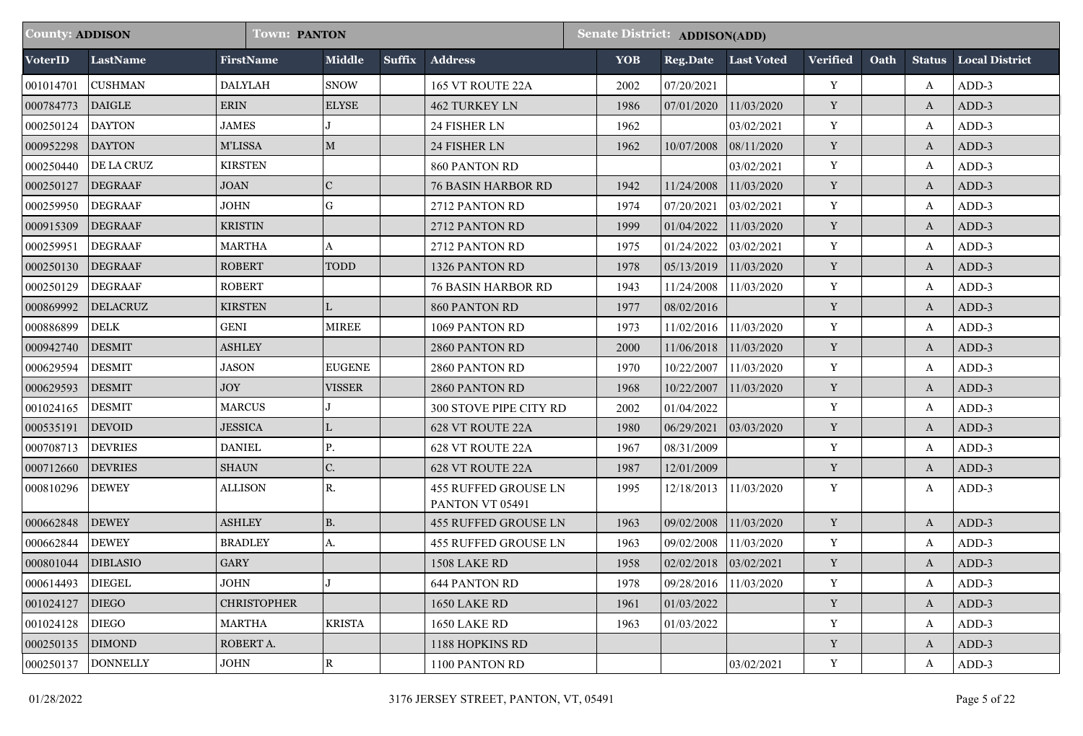| <b>County: ADDISON</b> |                   |                    | <b>Town: PANTON</b> |               |                                                |            | Senate District: ADDISON(ADD) |                   |                 |                  |                              |
|------------------------|-------------------|--------------------|---------------------|---------------|------------------------------------------------|------------|-------------------------------|-------------------|-----------------|------------------|------------------------------|
| <b>VoterID</b>         | <b>LastName</b>   | FirstName          | <b>Middle</b>       | <b>Suffix</b> | <b>Address</b>                                 | <b>YOB</b> | <b>Reg.Date</b>               | <b>Last Voted</b> | <b>Verified</b> | Oath             | <b>Status</b> Local District |
| 001014701              | <b>CUSHMAN</b>    | <b>DALYLAH</b>     | <b>SNOW</b>         |               | 165 VT ROUTE 22A                               | 2002       | 07/20/2021                    |                   | $\mathbf Y$     | A                | $ADD-3$                      |
| 000784773              | <b>DAIGLE</b>     | <b>ERIN</b>        | <b>ELYSE</b>        |               | <b>462 TURKEY LN</b>                           | 1986       | 07/01/2020                    | 11/03/2020        | $\mathbf Y$     | A                | $ADD-3$                      |
| 000250124              | <b>DAYTON</b>     | <b>JAMES</b>       |                     |               | 24 FISHER LN                                   | 1962       |                               | 03/02/2021        | $\mathbf Y$     | A                | $ADD-3$                      |
| 000952298              | <b>DAYTON</b>     | M'LISSA            | $\mathbf M$         |               | 24 FISHER LN                                   | 1962       | 10/07/2008                    | 08/11/2020        | $\mathbf Y$     | $\bf{A}$         | $ADD-3$                      |
| 000250440              | <b>DE LA CRUZ</b> | <b>KIRSTEN</b>     |                     |               | <b>860 PANTON RD</b>                           |            |                               | 03/02/2021        | $\mathbf Y$     | A                | $ADD-3$                      |
| 000250127              | <b>DEGRAAF</b>    | <b>JOAN</b>        | $\mathbf C$         |               | <b>76 BASIN HARBOR RD</b>                      | 1942       | 11/24/2008                    | 11/03/2020        | Y               | A                | $ADD-3$                      |
| 000259950              | <b>DEGRAAF</b>    | <b>JOHN</b>        | ${\bf G}$           |               | 2712 PANTON RD                                 | 1974       | 07/20/2021                    | 03/02/2021        | $\mathbf Y$     | A                | $ADD-3$                      |
| 000915309              | <b>DEGRAAF</b>    | <b>KRISTIN</b>     |                     |               | 2712 PANTON RD                                 | 1999       | 01/04/2022                    | 11/03/2020        | Y               | A                | $ADD-3$                      |
| 000259951              | <b>DEGRAAF</b>    | <b>MARTHA</b>      | A                   |               | 2712 PANTON RD                                 | 1975       | 01/24/2022                    | 03/02/2021        | $\mathbf Y$     | A                | $ADD-3$                      |
| 000250130              | <b>DEGRAAF</b>    | <b>ROBERT</b>      | TODD                |               | 1326 PANTON RD                                 | 1978       | 05/13/2019                    | 11/03/2020        | $\mathbf Y$     | A                | $ADD-3$                      |
| 000250129              | <b>DEGRAAF</b>    | <b>ROBERT</b>      |                     |               | <b>76 BASIN HARBOR RD</b>                      | 1943       | 11/24/2008                    | 11/03/2020        | $\mathbf Y$     | A                | $ADD-3$                      |
| 000869992              | <b>DELACRUZ</b>   | <b>KIRSTEN</b>     |                     |               | <b>860 PANTON RD</b>                           | 1977       | 08/02/2016                    |                   | $\mathbf Y$     | $\boldsymbol{A}$ | $ADD-3$                      |
| 000886899              | <b>DELK</b>       | <b>GENI</b>        | <b>MIREE</b>        |               | 1069 PANTON RD                                 | 1973       | 11/02/2016                    | 11/03/2020        | $\mathbf Y$     | A                | $ADD-3$                      |
| 000942740              | <b>DESMIT</b>     | <b>ASHLEY</b>      |                     |               | 2860 PANTON RD                                 | 2000       | 11/06/2018                    | 11/03/2020        | Y               | A                | $ADD-3$                      |
| 000629594              | <b>DESMIT</b>     | <b>JASON</b>       | <b>EUGENE</b>       |               | 2860 PANTON RD                                 | 1970       | 10/22/2007                    | 11/03/2020        | Y               | A                | $ADD-3$                      |
| 000629593              | <b>DESMIT</b>     | <b>JOY</b>         | <b>VISSER</b>       |               | 2860 PANTON RD                                 | 1968       | 10/22/2007                    | 11/03/2020        | $\mathbf Y$     | A                | $ADD-3$                      |
| 001024165              | <b>DESMIT</b>     | <b>MARCUS</b>      |                     |               | 300 STOVE PIPE CITY RD                         | 2002       | 01/04/2022                    |                   | $\mathbf Y$     | A                | $ADD-3$                      |
| 000535191              | <b>DEVOID</b>     | <b>JESSICA</b>     | L                   |               | 628 VT ROUTE 22A                               | 1980       | 06/29/2021                    | 03/03/2020        | Y               | A                | $ADD-3$                      |
| 000708713              | <b>DEVRIES</b>    | <b>DANIEL</b>      | P.                  |               | 628 VT ROUTE 22A                               | 1967       | 08/31/2009                    |                   | $\mathbf Y$     | A                | $ADD-3$                      |
| 000712660              | <b>DEVRIES</b>    | <b>SHAUN</b>       | $\mathrm{C}.$       |               | 628 VT ROUTE 22A                               | 1987       | 12/01/2009                    |                   | $\mathbf Y$     | A                | $ADD-3$                      |
| 000810296              | <b>DEWEY</b>      | <b>ALLISON</b>     | R.                  |               | <b>455 RUFFED GROUSE LN</b><br>PANTON VT 05491 | 1995       | 12/18/2013                    | 11/03/2020        | $\mathbf Y$     | A                | $ADD-3$                      |
| 000662848              | <b>DEWEY</b>      | <b>ASHLEY</b>      | <b>B.</b>           |               | <b>455 RUFFED GROUSE LN</b>                    | 1963       | 09/02/2008                    | 11/03/2020        | $\mathbf Y$     | $\boldsymbol{A}$ | $ADD-3$                      |
| 000662844              | <b>DEWEY</b>      | <b>BRADLEY</b>     | A.                  |               | <b>455 RUFFED GROUSE LN</b>                    | 1963       | 09/02/2008                    | 11/03/2020        | $\mathbf Y$     | A                | $ADD-3$                      |
| 000801044              | <b>DIBLASIO</b>   | <b>GARY</b>        |                     |               | <b>1508 LAKE RD</b>                            | 1958       |                               |                   | Y               | A                | ADD-3                        |
| 000614493              | <b>DIEGEL</b>     | <b>JOHN</b>        |                     |               | <b>644 PANTON RD</b>                           | 1978       | 09/28/2016                    | 11/03/2020        | Y               | A                | $ADD-3$                      |
| 001024127              | <b>DIEGO</b>      | <b>CHRISTOPHER</b> |                     |               | <b>1650 LAKE RD</b>                            | 1961       | 01/03/2022                    |                   | $\mathbf Y$     | A                | $ADD-3$                      |
| 001024128              | <b>DIEGO</b>      | <b>MARTHA</b>      | <b>KRISTA</b>       |               | 1650 LAKE RD                                   | 1963       | 01/03/2022                    |                   | $\mathbf Y$     | A                | $ADD-3$                      |
| 000250135              | <b>DIMOND</b>     | ROBERT A.          |                     |               | 1188 HOPKINS RD                                |            |                               |                   | $\mathbf Y$     | A                | $ADD-3$                      |
| 000250137              | <b>DONNELLY</b>   | <b>JOHN</b>        | ${\bf R}$           |               | 1100 PANTON RD                                 |            |                               | 03/02/2021        | $\mathbf Y$     | A                | $ADD-3$                      |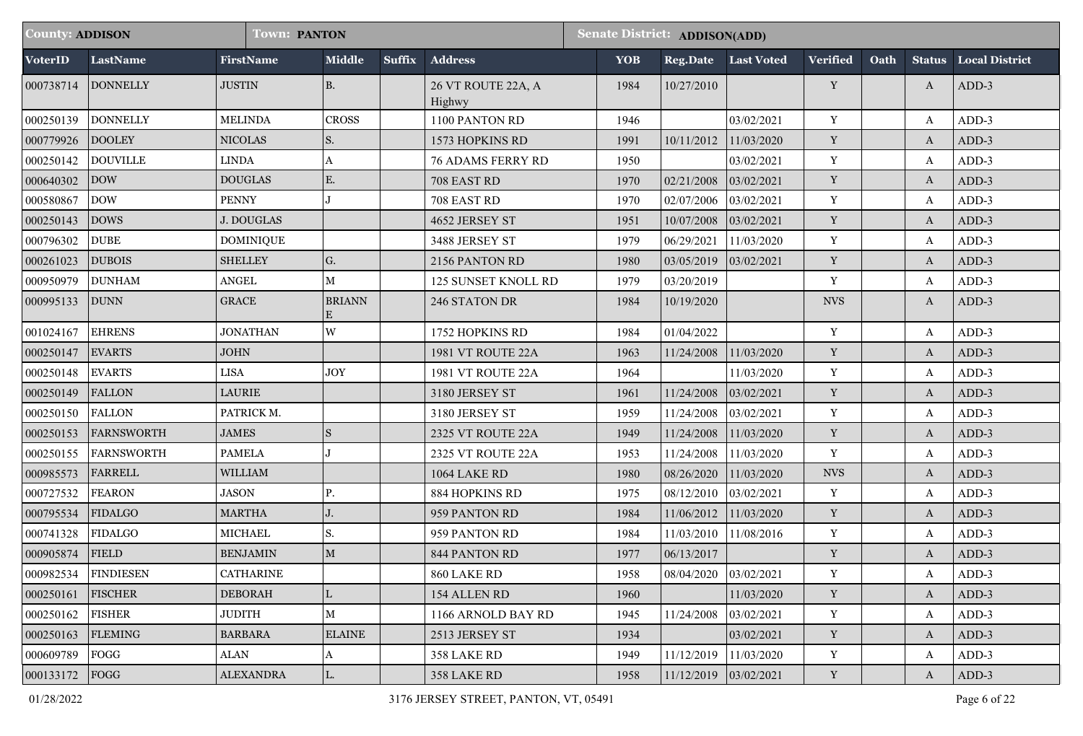| <b>County: ADDISON</b> |                   |                | <b>Town: PANTON</b> |                    |               |                              |            | Senate District: ADDISON(ADD) |                   |                 |      |                  |                              |
|------------------------|-------------------|----------------|---------------------|--------------------|---------------|------------------------------|------------|-------------------------------|-------------------|-----------------|------|------------------|------------------------------|
| <b>VoterID</b>         | LastName          |                | <b>FirstName</b>    | Middle             | <b>Suffix</b> | <b>Address</b>               | <b>YOB</b> | <b>Reg.Date</b>               | <b>Last Voted</b> | <b>Verified</b> | Oath |                  | <b>Status</b> Local District |
| 000738714              | <b>DONNELLY</b>   | <b>JUSTIN</b>  |                     | $\, {\bf B}.$      |               | 26 VT ROUTE 22A, A<br>Highwy | 1984       | 10/27/2010                    |                   | $\mathbf Y$     |      | A                | $ADD-3$                      |
| 000250139              | <b>DONNELLY</b>   | <b>MELINDA</b> |                     | <b>CROSS</b>       |               | 1100 PANTON RD               | 1946       |                               | 03/02/2021        | Y               |      | A                | $ADD-3$                      |
| 000779926              | <b>DOOLEY</b>     | <b>NICOLAS</b> |                     | S.                 |               | 1573 HOPKINS RD              | 1991       | 10/11/2012                    | 11/03/2020        | Y               |      | A                | $ADD-3$                      |
| 000250142              | <b>DOUVILLE</b>   | <b>LINDA</b>   |                     | A                  |               | <b>76 ADAMS FERRY RD</b>     | 1950       |                               | 03/02/2021        | Y               |      | A                | $ADD-3$                      |
| 000640302              | <b>DOW</b>        | <b>DOUGLAS</b> |                     | ${\bf E}.$         |               | 708 EAST RD                  | 1970       | 02/21/2008                    | 03/02/2021        | $\mathbf Y$     |      | A                | $ADD-3$                      |
| 000580867              | <b>DOW</b>        | <b>PENNY</b>   |                     |                    |               | 708 EAST RD                  | 1970       | 02/07/2006                    | 03/02/2021        | Y               |      | A                | $ADD-3$                      |
| 000250143              | <b>DOWS</b>       |                | <b>J. DOUGLAS</b>   |                    |               | 4652 JERSEY ST               | 1951       | 10/07/2008                    | 03/02/2021        | $\mathbf Y$     |      | $\boldsymbol{A}$ | $ADD-3$                      |
| 000796302              | <b>DUBE</b>       |                | <b>DOMINIQUE</b>    |                    |               | 3488 JERSEY ST               | 1979       | 06/29/2021                    | 11/03/2020        | Y               |      | A                | $ADD-3$                      |
| 000261023              | <b>DUBOIS</b>     | <b>SHELLEY</b> |                     | G.                 |               | 2156 PANTON RD               | 1980       | 03/05/2019                    | 03/02/2021        | $\mathbf Y$     |      | A                | $ADD-3$                      |
| 000950979              | <b>DUNHAM</b>     | <b>ANGEL</b>   |                     | $\mathbf M$        |               | 125 SUNSET KNOLL RD          | 1979       | 03/20/2019                    |                   | Y               |      | A                | $ADD-3$                      |
| 000995133              | <b>DUNN</b>       | <b>GRACE</b>   |                     | <b>BRIANN</b><br>E |               | 246 STATON DR                | 1984       | 10/19/2020                    |                   | <b>NVS</b>      |      | A                | ADD-3                        |
| 001024167              | <b>EHRENS</b>     |                | <b>JONATHAN</b>     | W                  |               | 1752 HOPKINS RD              | 1984       | 01/04/2022                    |                   | $\mathbf Y$     |      | A                | $ADD-3$                      |
| 000250147              | <b>EVARTS</b>     | <b>JOHN</b>    |                     |                    |               | 1981 VT ROUTE 22A            | 1963       | 11/24/2008                    | 11/03/2020        | $\mathbf Y$     |      | A                | ADD-3                        |
| 000250148              | <b>EVARTS</b>     | <b>LISA</b>    |                     | <b>JOY</b>         |               | 1981 VT ROUTE 22A            | 1964       |                               | 11/03/2020        | $\mathbf Y$     |      | A                | $ADD-3$                      |
| 000250149              | <b>FALLON</b>     | <b>LAURIE</b>  |                     |                    |               | 3180 JERSEY ST               | 1961       | 11/24/2008                    | 03/02/2021        | $\mathbf Y$     |      | A                | $ADD-3$                      |
| 000250150              | <b>FALLON</b>     |                | PATRICK M.          |                    |               | 3180 JERSEY ST               | 1959       | 11/24/2008                    | 03/02/2021        | Y               |      | A                | $ADD-3$                      |
| 000250153              | <b>FARNSWORTH</b> | <b>JAMES</b>   |                     | S                  |               | 2325 VT ROUTE 22A            | 1949       | 11/24/2008                    | 11/03/2020        | $\mathbf Y$     |      | A                | $ADD-3$                      |
| 000250155              | <b>FARNSWORTH</b> | <b>PAMELA</b>  |                     |                    |               | 2325 VT ROUTE 22A            | 1953       | 11/24/2008                    | 11/03/2020        | Y               |      | A                | $ADD-3$                      |
| 000985573              | <b>FARRELL</b>    | <b>WILLIAM</b> |                     |                    |               | 1064 LAKE RD                 | 1980       | 08/26/2020                    | 11/03/2020        | ${\rm NVS}$     |      | A                | $ADD-3$                      |
| 000727532              | <b>FEARON</b>     | <b>JASON</b>   |                     | Ρ.                 |               | 884 HOPKINS RD               | 1975       | 08/12/2010                    | 03/02/2021        | Y               |      | A                | $ADD-3$                      |
| 000795534              | <b>FIDALGO</b>    | <b>MARTHA</b>  |                     | J.                 |               | 959 PANTON RD                | 1984       | 11/06/2012                    | 11/03/2020        | Y               |      | A                | $ADD-3$                      |
| 000741328              | <b>FIDALGO</b>    | MICHAEL        |                     | S.                 |               | 959 PANTON RD                | 1984       | 11/03/2010                    | 11/08/2016        | $\mathbf Y$     |      | A                | $ADD-3$                      |
| 000905874              | <b>FIELD</b>      |                | <b>BENJAMIN</b>     | $\vert$ M          |               | <b>844 PANTON RD</b>         | 1977       | 06/13/2017                    |                   | $\mathbf Y$     |      | $\mathbf{A}$     | $ADD-3$                      |
| 000982534              | <b>FINDIESEN</b>  |                | <b>CATHARINE</b>    |                    |               | 860 LAKE RD                  | 1958       | 08/04/2020                    | 03/02/2021        | $\mathbf Y$     |      | A                | $ADD-3$                      |
| 000250161              | <b>FISCHER</b>    | <b>DEBORAH</b> |                     | L                  |               | 154 ALLEN RD                 | 1960       |                               | 11/03/2020        | Y               |      | $\mathbf{A}$     | $ADD-3$                      |
| 000250162              | <b>FISHER</b>     | <b>JUDITH</b>  |                     | $\mathbf M$        |               | 1166 ARNOLD BAY RD           | 1945       | 11/24/2008                    | 03/02/2021        | $\mathbf Y$     |      | A                | $ADD-3$                      |
| 000250163              | <b>FLEMING</b>    | <b>BARBARA</b> |                     | <b>ELAINE</b>      |               | 2513 JERSEY ST               | 1934       |                               | 03/02/2021        | $\mathbf Y$     |      | A                | $ADD-3$                      |
| 000609789              | FOGG              | <b>ALAN</b>    |                     | A                  |               | 358 LAKE RD                  | 1949       | 11/12/2019                    | 11/03/2020        | $\mathbf Y$     |      | A                | $ADD-3$                      |
| 000133172              | ${\rm FOGG}$      |                | <b>ALEXANDRA</b>    | L.                 |               | 358 LAKE RD                  | 1958       | 11/12/2019                    | 03/02/2021        | $\mathbf Y$     |      | $\mathbf{A}$     | $ADD-3$                      |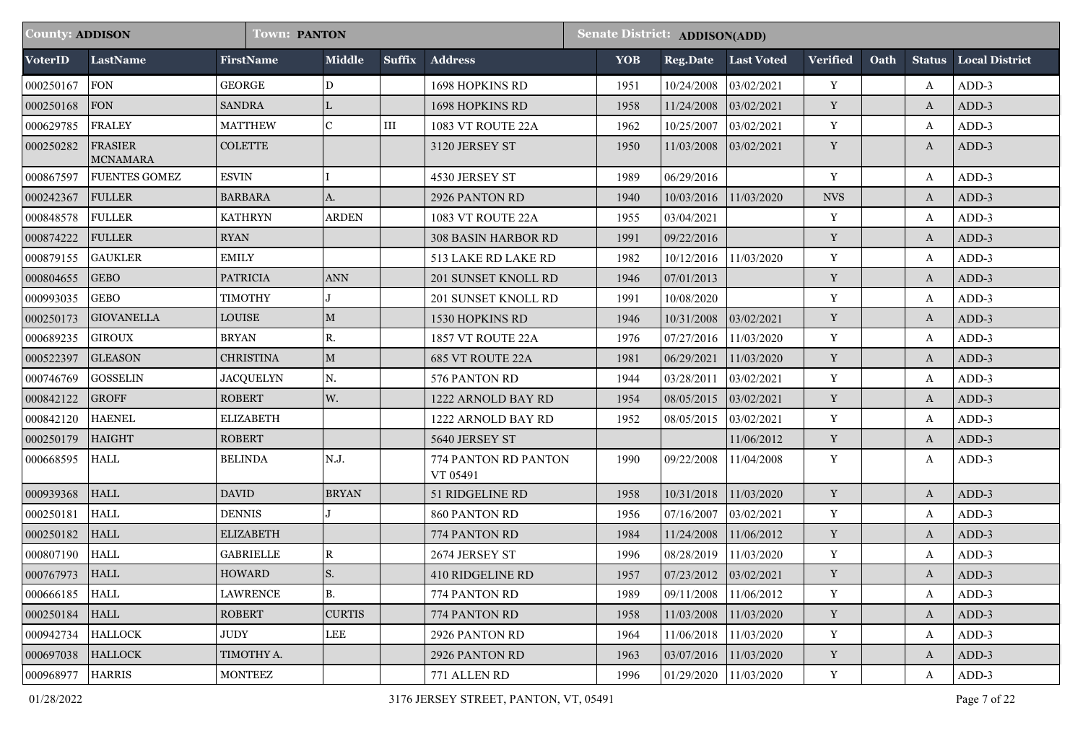| <b>County: ADDISON</b> |                                   |                 | <b>Town: PANTON</b> |               |               |                                  |            | Senate District: ADDISON(ADD) |                   |                 |      |                  |                              |
|------------------------|-----------------------------------|-----------------|---------------------|---------------|---------------|----------------------------------|------------|-------------------------------|-------------------|-----------------|------|------------------|------------------------------|
| <b>VoterID</b>         | LastName                          | FirstName       |                     | <b>Middle</b> | <b>Suffix</b> | <b>Address</b>                   | <b>YOB</b> | <b>Reg.Date</b>               | <b>Last Voted</b> | <b>Verified</b> | Oath |                  | <b>Status</b> Local District |
| 000250167              | <b>FON</b>                        | <b>GEORGE</b>   |                     | D             |               | 1698 HOPKINS RD                  | 1951       | 10/24/2008                    | 03/02/2021        | Y               |      | A                | $ADD-3$                      |
| 000250168              | <b>FON</b>                        | <b>SANDRA</b>   |                     | L             |               | 1698 HOPKINS RD                  | 1958       | 11/24/2008                    | 03/02/2021        | $\mathbf Y$     |      | A                | $ADD-3$                      |
| 000629785              | <b>FRALEY</b>                     | <b>MATTHEW</b>  |                     | $\mathbf C$   | $\rm III$     | 1083 VT ROUTE 22A                | 1962       | 10/25/2007                    | 03/02/2021        | $\mathbf Y$     |      | A                | $ADD-3$                      |
| 000250282              | <b>FRASIER</b><br><b>MCNAMARA</b> | <b>COLETTE</b>  |                     |               |               | 3120 JERSEY ST                   | 1950       | 11/03/2008                    | 03/02/2021        | Y               |      | A                | $ADD-3$                      |
| 000867597              | <b>FUENTES GOMEZ</b>              | <b>ESVIN</b>    |                     |               |               | 4530 JERSEY ST                   | 1989       | 06/29/2016                    |                   | Y               |      | A                | $ADD-3$                      |
| 000242367              | <b>FULLER</b>                     | <b>BARBARA</b>  |                     | A.            |               | 2926 PANTON RD                   | 1940       | 10/03/2016                    | 11/03/2020        | <b>NVS</b>      |      | A                | $ADD-3$                      |
| 000848578              | <b>FULLER</b>                     | <b>KATHRYN</b>  |                     | <b>ARDEN</b>  |               | 1083 VT ROUTE 22A                | 1955       | 03/04/2021                    |                   | $\mathbf Y$     |      | A                | $ADD-3$                      |
| 000874222              | <b>FULLER</b>                     | <b>RYAN</b>     |                     |               |               | <b>308 BASIN HARBOR RD</b>       | 1991       | 09/22/2016                    |                   | $\mathbf Y$     |      | A                | $ADD-3$                      |
| 000879155              | <b>GAUKLER</b>                    | <b>EMILY</b>    |                     |               |               | 513 LAKE RD LAKE RD              | 1982       | 10/12/2016                    | 11/03/2020        | $\mathbf Y$     |      | A                | $ADD-3$                      |
| 000804655              | <b>GEBO</b>                       | <b>PATRICIA</b> |                     | <b>ANN</b>    |               | 201 SUNSET KNOLL RD              | 1946       | 07/01/2013                    |                   | $\mathbf Y$     |      | A                | $ADD-3$                      |
| 000993035              | <b>GEBO</b>                       | <b>TIMOTHY</b>  |                     |               |               | 201 SUNSET KNOLL RD              | 1991       | 10/08/2020                    |                   | $\mathbf Y$     |      | A                | $ADD-3$                      |
| 000250173              | <b>GIOVANELLA</b>                 | <b>LOUISE</b>   |                     | $\mathbf M$   |               | 1530 HOPKINS RD                  | 1946       | 10/31/2008                    | 03/02/2021        | Y               |      | A                | $ADD-3$                      |
| 000689235              | <b>GIROUX</b>                     | <b>BRYAN</b>    |                     | R.            |               | 1857 VT ROUTE 22A                | 1976       | 07/27/2016                    | 11/03/2020        | Y               |      | A                | $ADD-3$                      |
| 000522397              | <b>GLEASON</b>                    |                 | <b>CHRISTINA</b>    | $\mathbf M$   |               | 685 VT ROUTE 22A                 | 1981       | 06/29/2021                    | 11/03/2020        | $\mathbf Y$     |      | A                | $ADD-3$                      |
| 000746769              | <b>GOSSELIN</b>                   |                 | <b>JACQUELYN</b>    | N.            |               | 576 PANTON RD                    | 1944       | 03/28/2011                    | 03/02/2021        | $\mathbf Y$     |      | A                | $ADD-3$                      |
| 000842122              | <b>GROFF</b>                      | <b>ROBERT</b>   |                     | W.            |               | 1222 ARNOLD BAY RD               | 1954       | 08/05/2015                    | 03/02/2021        | $\mathbf Y$     |      | A                | $ADD-3$                      |
| 000842120              | <b>HAENEL</b>                     |                 | <b>ELIZABETH</b>    |               |               | 1222 ARNOLD BAY RD               | 1952       | 08/05/2015                    | 03/02/2021        | $\mathbf Y$     |      | A                | $ADD-3$                      |
| 000250179              | <b>HAIGHT</b>                     | <b>ROBERT</b>   |                     |               |               | 5640 JERSEY ST                   |            |                               | 11/06/2012        | Y               |      | A                | $ADD-3$                      |
| 000668595              | <b>HALL</b>                       | <b>BELINDA</b>  |                     | N.J.          |               | 774 PANTON RD PANTON<br>VT 05491 | 1990       | 09/22/2008                    | 11/04/2008        | $\mathbf Y$     |      | A                | $ADD-3$                      |
| 000939368              | <b>HALL</b>                       | <b>DAVID</b>    |                     | <b>BRYAN</b>  |               | 51 RIDGELINE RD                  | 1958       | 10/31/2018                    | 11/03/2020        | $\mathbf Y$     |      | $\boldsymbol{A}$ | $ADD-3$                      |
| 000250181              | <b>HALL</b>                       | <b>DENNIS</b>   |                     |               |               | 860 PANTON RD                    | 1956       | 07/16/2007                    | 03/02/2021        | Y               |      | A                | ADD-3                        |
| 000250182              | <b>HALL</b>                       |                 | <b>ELIZABETH</b>    |               |               | 774 PANTON RD                    | 1984       | 11/24/2008                    | 11/06/2012        | $\mathbf Y$     |      | A                | ADD-3                        |
| 000807190              | <b>HALL</b>                       |                 | <b>GABRIELLE</b>    | ${\bf R}$     |               | 2674 JERSEY ST                   | 1996       | 08/28/2019                    | 11/03/2020        | $\mathbf Y$     |      | A                | $ADD-3$                      |
| 000767973              | ${\rm HALL}$                      | <b>HOWARD</b>   |                     | S.            |               | <b>410 RIDGELINE RD</b>          | 1957       | 07/23/2012                    | 03/02/2021        | Y               |      | A                | $ADD-3$                      |
| 000666185              | <b>HALL</b>                       |                 | <b>LAWRENCE</b>     | <b>B.</b>     |               | 774 PANTON RD                    | 1989       | 09/11/2008                    | 11/06/2012        | $\mathbf Y$     |      | A                | $ADD-3$                      |
| 000250184              | <b>HALL</b>                       | <b>ROBERT</b>   |                     | <b>CURTIS</b> |               | 774 PANTON RD                    | 1958       | 11/03/2008                    | 11/03/2020        | $\mathbf Y$     |      | A                | $ADD-3$                      |
| 000942734              | <b>HALLOCK</b>                    | <b>JUDY</b>     |                     | LEE           |               | 2926 PANTON RD                   | 1964       | 11/06/2018                    | 11/03/2020        | $\mathbf Y$     |      | A                | $ADD-3$                      |
| 000697038              | <b>HALLOCK</b>                    |                 | TIMOTHY A.          |               |               | 2926 PANTON RD                   | 1963       | 03/07/2016                    | 11/03/2020        | $\mathbf Y$     |      | A                | $ADD-3$                      |
| 000968977              | <b>HARRIS</b>                     | <b>MONTEEZ</b>  |                     |               |               | 771 ALLEN RD                     | 1996       | 01/29/2020                    | 11/03/2020        | $\mathbf Y$     |      | A                | $ADD-3$                      |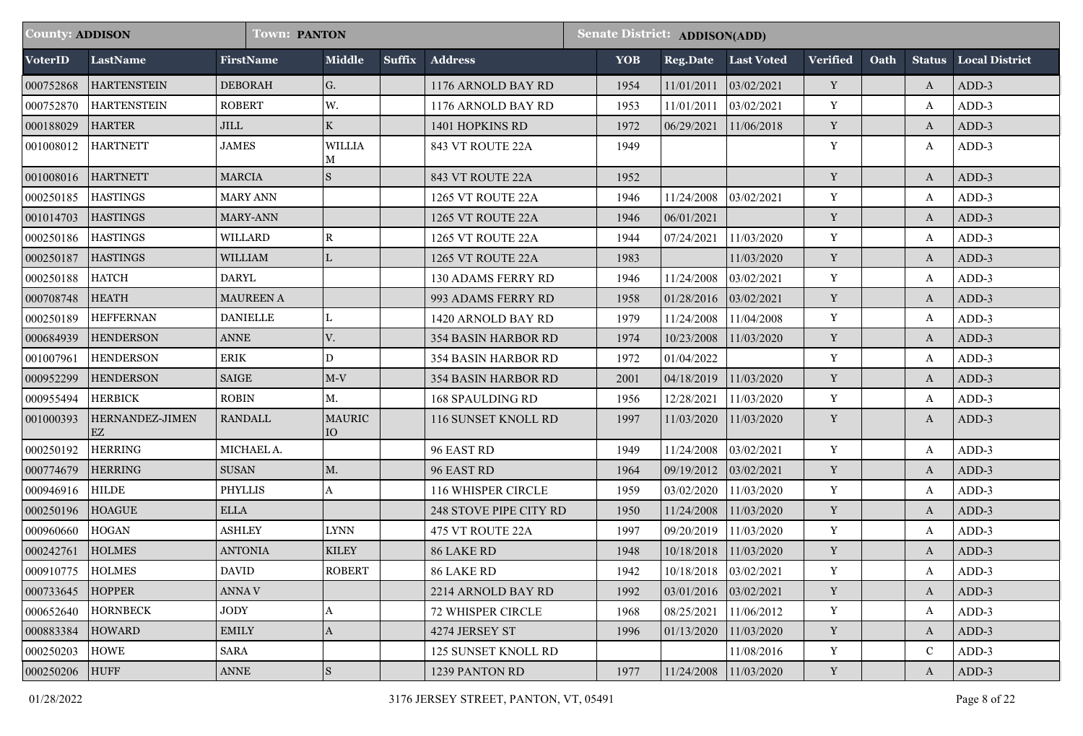| <b>County: ADDISON</b> |                       |                        | <b>Town: PANTON</b> |                     |               |                            |            | Senate District: ADDISON(ADD) |                   |                 |      |             |                              |
|------------------------|-----------------------|------------------------|---------------------|---------------------|---------------|----------------------------|------------|-------------------------------|-------------------|-----------------|------|-------------|------------------------------|
| <b>VoterID</b>         | <b>LastName</b>       |                        | FirstName           | <b>Middle</b>       | <b>Suffix</b> | <b>Address</b>             | <b>YOB</b> | <b>Reg.Date</b>               | <b>Last Voted</b> | <b>Verified</b> | Oath |             | <b>Status</b> Local District |
| 000752868              | <b>HARTENSTEIN</b>    | <b>DEBORAH</b>         |                     | ${\bf G}.$          |               | 1176 ARNOLD BAY RD         | 1954       | 11/01/2011                    | 03/02/2021        | $\mathbf Y$     |      | A           | $ADD-3$                      |
| 000752870              | <b>HARTENSTEIN</b>    | <b>ROBERT</b>          |                     | W.                  |               | 1176 ARNOLD BAY RD         | 1953       | 11/01/2011                    | 03/02/2021        | $\mathbf Y$     |      | A           | $ADD-3$                      |
| 000188029              | <b>HARTER</b>         | $\textsc{JILL}$        |                     | $\rm K$             |               | 1401 HOPKINS RD            | 1972       | 06/29/2021                    | 11/06/2018        | $\mathbf Y$     |      | A           | $ADD-3$                      |
| 001008012              | <b>HARTNETT</b>       | <b>JAMES</b>           |                     | <b>WILLIA</b><br>М  |               | 843 VT ROUTE 22A           | 1949       |                               |                   | $\mathbf Y$     |      | A           | $ADD-3$                      |
| 001008016              | <b>HARTNETT</b>       | <b>MARCIA</b>          |                     | S                   |               | 843 VT ROUTE 22A           | 1952       |                               |                   | $\mathbf Y$     |      | A           | $ADD-3$                      |
| 000250185              | <b>HASTINGS</b>       |                        | <b>MARY ANN</b>     |                     |               | 1265 VT ROUTE 22A          | 1946       | 11/24/2008                    | 03/02/2021        | $\mathbf Y$     |      | A           | $ADD-3$                      |
| 001014703              | <b>HASTINGS</b>       |                        | MARY-ANN            |                     |               | 1265 VT ROUTE 22A          | 1946       | 06/01/2021                    |                   | $\mathbf Y$     |      | A           | $ADD-3$                      |
| 000250186              | <b>HASTINGS</b>       | <b>WILLARD</b>         |                     | ${\bf R}$           |               | 1265 VT ROUTE 22A          | 1944       | 07/24/2021                    | 11/03/2020        | $\mathbf Y$     |      | A           | $ADD-3$                      |
| 000250187              | <b>HASTINGS</b>       | <b>WILLIAM</b>         |                     |                     |               | 1265 VT ROUTE 22A          | 1983       |                               | 11/03/2020        | $\mathbf Y$     |      | A           | $ADD-3$                      |
| 000250188              | <b>HATCH</b>          | <b>DARYL</b>           |                     |                     |               | 130 ADAMS FERRY RD         | 1946       | 11/24/2008                    | 03/02/2021        | $\mathbf Y$     |      | A           | $ADD-3$                      |
| 000708748              | <b>HEATH</b>          |                        | MAUREEN A           |                     |               | 993 ADAMS FERRY RD         | 1958       | 01/28/2016                    | 03/02/2021        | Y               |      | A           | $ADD-3$                      |
| 000250189              | <b>HEFFERNAN</b>      | <b>DANIELLE</b>        |                     | L                   |               | 1420 ARNOLD BAY RD         | 1979       | 11/24/2008                    | 11/04/2008        | $\mathbf Y$     |      | A           | $ADD-3$                      |
| 000684939              | <b>HENDERSON</b>      | <b>ANNE</b>            |                     | V.                  |               | <b>354 BASIN HARBOR RD</b> | 1974       | 10/23/2008                    | 11/03/2020        | $\mathbf Y$     |      | A           | $ADD-3$                      |
| 001007961              | <b>HENDERSON</b>      | <b>ERIK</b>            |                     | D                   |               | <b>354 BASIN HARBOR RD</b> | 1972       | 01/04/2022                    |                   | $\mathbf Y$     |      | A           | $ADD-3$                      |
| 000952299              | <b>HENDERSON</b>      | <b>SAIGE</b>           |                     | $M-V$               |               | 354 BASIN HARBOR RD        | 2001       | 04/18/2019                    | 11/03/2020        | $\mathbf Y$     |      | A           | $ADD-3$                      |
| 000955494              | <b>HERBICK</b>        | <b>ROBIN</b>           |                     | M.                  |               | <b>168 SPAULDING RD</b>    | 1956       | 12/28/2021                    | 11/03/2020        | $\mathbf Y$     |      | A           | $ADD-3$                      |
| 001000393              | HERNANDEZ-JIMEN<br>EZ | <b>RANDALL</b>         |                     | <b>MAURIC</b><br>IO |               | 116 SUNSET KNOLL RD        | 1997       | 11/03/2020                    | 11/03/2020        | Y               |      | A           | $ADD-3$                      |
| 000250192              | <b>HERRING</b>        |                        | MICHAEL A.          |                     |               | 96 EAST RD                 | 1949       | 11/24/2008                    | 03/02/2021        | $\mathbf Y$     |      | A           | $ADD-3$                      |
| 000774679              | <b>HERRING</b>        | <b>SUSAN</b>           |                     | M.                  |               | 96 EAST RD                 | 1964       | 09/19/2012                    | 03/02/2021        | $\mathbf Y$     |      | A           | $ADD-3$                      |
| 000946916              | HILDE                 | <b>PHYLLIS</b>         |                     | A                   |               | 116 WHISPER CIRCLE         | 1959       | 03/02/2020                    | 11/03/2020        | $\mathbf Y$     |      | A           | $ADD-3$                      |
| 000250196              | <b>HOAGUE</b>         | <b>ELLA</b>            |                     |                     |               | 248 STOVE PIPE CITY RD     | 1950       | 11/24/2008                    | 11/03/2020        | $\mathbf Y$     |      | A           | $ADD-3$                      |
| 000960660              | <b>HOGAN</b>          | <b>ASHLEY</b>          |                     | <b>LYNN</b>         |               | 475 VT ROUTE 22A           | 1997       | 09/20/2019                    | 11/03/2020        | $\mathbf Y$     |      | A           | $ADD-3$                      |
| 000242761              | <b>HOLMES</b>         | <b>ANTONIA</b>         |                     | KILEY               |               | <b>86 LAKE RD</b>          | 1948       | 10/18/2018                    | 11/03/2020        | Y               |      | A           | ADD-3                        |
| 000910775              | <b>HOLMES</b>         | <b>DAVID</b>           |                     | <b>ROBERT</b>       |               | 86 LAKE RD                 | 1942       | 10/18/2018                    | 03/02/2021        | Y               |      | A           | $ADD-3$                      |
| 000733645              | <b>HOPPER</b>         | ANNA V                 |                     |                     |               | 2214 ARNOLD BAY RD         | 1992       | 03/01/2016                    | 03/02/2021        | $\mathbf Y$     |      | A           | $ADD-3$                      |
| 000652640              | <b>HORNBECK</b>       | <b>JODY</b>            |                     | $\boldsymbol{A}$    |               | <b>72 WHISPER CIRCLE</b>   | 1968       | 08/25/2021                    | 11/06/2012        | $\mathbf Y$     |      | A           | $ADD-3$                      |
| 000883384              | <b>HOWARD</b>         | $\operatorname{EMILY}$ |                     | $\bf{A}$            |               | 4274 JERSEY ST             | 1996       | 01/13/2020                    | 11/03/2020        | $\mathbf Y$     |      | A           | $ADD-3$                      |
| 000250203              | HOWE                  | SARA                   |                     |                     |               | 125 SUNSET KNOLL RD        |            |                               | 11/08/2016        | Y               |      | $\mathbf C$ | $ADD-3$                      |
| 000250206              | <b>HUFF</b>           | ANNE                   |                     | S                   |               | 1239 PANTON RD             | 1977       | 11/24/2008                    | 11/03/2020        | $\mathbf Y$     |      | A           | $ADD-3$                      |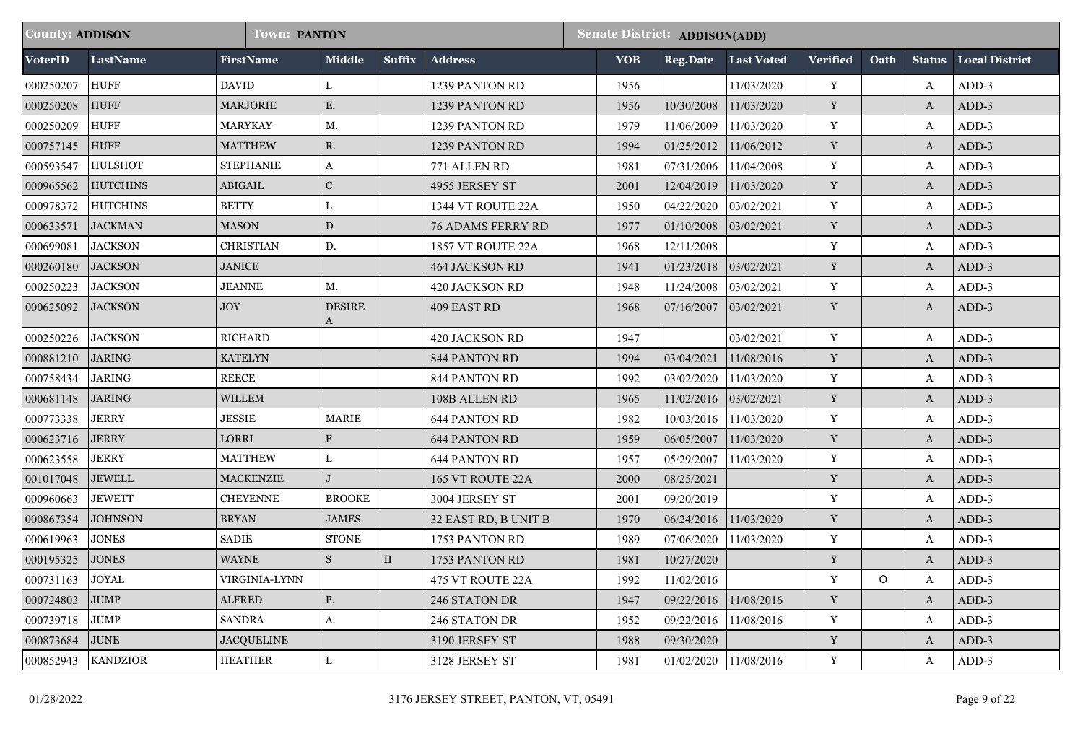| <b>County: ADDISON</b> |                 |                   | <b>Town: PANTON</b> |                    |               |                          | Senate District: ADDISON(ADD) |                 |                   |                 |         |              |                              |
|------------------------|-----------------|-------------------|---------------------|--------------------|---------------|--------------------------|-------------------------------|-----------------|-------------------|-----------------|---------|--------------|------------------------------|
| VoterID                | <b>LastName</b> | FirstName         |                     | <b>Middle</b>      | <b>Suffix</b> | <b>Address</b>           | <b>YOB</b>                    | <b>Reg.Date</b> | <b>Last Voted</b> | <b>Verified</b> | Oath    |              | <b>Status</b> Local District |
| 000250207              | <b>HUFF</b>     | <b>DAVID</b>      |                     | L                  |               | 1239 PANTON RD           | 1956                          |                 | 11/03/2020        | Y               |         | A            | $ADD-3$                      |
| 000250208              | <b>HUFF</b>     | <b>MARJORIE</b>   |                     | E.                 |               | 1239 PANTON RD           | 1956                          | 10/30/2008      | 11/03/2020        | $\mathbf Y$     |         | A            | $ADD-3$                      |
| 000250209              | <b>HUFF</b>     | <b>MARYKAY</b>    |                     | M.                 |               | 1239 PANTON RD           | 1979                          | 11/06/2009      | 11/03/2020        | $\mathbf Y$     |         | A            | $ADD-3$                      |
| 000757145              | <b>HUFF</b>     | <b>MATTHEW</b>    |                     | $\mathbb{R}.$      |               | 1239 PANTON RD           | 1994                          | 01/25/2012      | 11/06/2012        | $\mathbf Y$     |         | $\mathbf{A}$ | $ADD-3$                      |
| 000593547              | <b>HULSHOT</b>  | <b>STEPHANIE</b>  |                     | A                  |               | 771 ALLEN RD             | 1981                          | 07/31/2006      | 11/04/2008        | $\mathbf Y$     |         | A            | $ADD-3$                      |
| 000965562              | <b>HUTCHINS</b> | <b>ABIGAIL</b>    |                     | ${\bf C}$          |               | 4955 JERSEY ST           | 2001                          | 12/04/2019      | 11/03/2020        | $\mathbf Y$     |         | A            | $ADD-3$                      |
| 000978372              | <b>HUTCHINS</b> | <b>BETTY</b>      |                     | L                  |               | 1344 VT ROUTE 22A        | 1950                          | 04/22/2020      | 03/02/2021        | $\mathbf Y$     |         | A            | $ADD-3$                      |
| 000633571              | <b>JACKMAN</b>  | <b>MASON</b>      |                     | D                  |               | <b>76 ADAMS FERRY RD</b> | 1977                          | 01/10/2008      | 03/02/2021        | Y               |         | A            | $ADD-3$                      |
| 000699081              | <b>JACKSON</b>  | <b>CHRISTIAN</b>  |                     | D.                 |               | 1857 VT ROUTE 22A        | 1968                          | 12/11/2008      |                   | Y               |         | A            | $ADD-3$                      |
| 000260180              | <b>JACKSON</b>  | <b>JANICE</b>     |                     |                    |               | <b>464 JACKSON RD</b>    | 1941                          | 01/23/2018      | 03/02/2021        | $\mathbf Y$     |         | $\mathbf{A}$ | $ADD-3$                      |
| 000250223              | <b>JACKSON</b>  | <b>JEANNE</b>     |                     | M.                 |               | 420 JACKSON RD           | 1948                          | 11/24/2008      | 03/02/2021        | $\mathbf Y$     |         | A            | $ADD-3$                      |
| 000625092              | <b>JACKSON</b>  | <b>JOY</b>        |                     | <b>DESIRE</b><br>A |               | 409 EAST RD              | 1968                          | 07/16/2007      | 03/02/2021        | $\mathbf Y$     |         | A            | $ADD-3$                      |
| 000250226              | <b>JACKSON</b>  | <b>RICHARD</b>    |                     |                    |               | 420 JACKSON RD           | 1947                          |                 | 03/02/2021        | Y               |         | A            | $ADD-3$                      |
| 000881210              | <b>JARING</b>   | <b>KATELYN</b>    |                     |                    |               | <b>844 PANTON RD</b>     | 1994                          | 03/04/2021      | 11/08/2016        | $\mathbf Y$     |         | A            | $ADD-3$                      |
| 000758434              | <b>JARING</b>   | <b>REECE</b>      |                     |                    |               | 844 PANTON RD            | 1992                          | 03/02/2020      | 11/03/2020        | $\mathbf Y$     |         | A            | $ADD-3$                      |
| 000681148              | <b>JARING</b>   | <b>WILLEM</b>     |                     |                    |               | 108B ALLEN RD            | 1965                          | 11/02/2016      | 03/02/2021        | $\mathbf Y$     |         | A            | $ADD-3$                      |
| 000773338              | <b>JERRY</b>    | <b>JESSIE</b>     |                     | <b>MARIE</b>       |               | <b>644 PANTON RD</b>     | 1982                          | 10/03/2016      | 11/03/2020        | $\mathbf Y$     |         | A            | $ADD-3$                      |
| 000623716              | <b>JERRY</b>    | <b>LORRI</b>      |                     | F                  |               | <b>644 PANTON RD</b>     | 1959                          | 06/05/2007      | 11/03/2020        | $\mathbf Y$     |         | A            | $ADD-3$                      |
| 000623558              | <b>JERRY</b>    | <b>MATTHEW</b>    |                     | L                  |               | <b>644 PANTON RD</b>     | 1957                          | 05/29/2007      | 11/03/2020        | $\mathbf Y$     |         | A            | $ADD-3$                      |
| 001017048              | <b>JEWELL</b>   | <b>MACKENZIE</b>  |                     | $\mathbf{I}$       |               | 165 VT ROUTE 22A         | 2000                          | 08/25/2021      |                   | $\mathbf Y$     |         | A            | $ADD-3$                      |
| 000960663              | <b>JEWETT</b>   | <b>CHEYENNE</b>   |                     | <b>BROOKE</b>      |               | 3004 JERSEY ST           | 2001                          | 09/20/2019      |                   | Y               |         | A            | $ADD-3$                      |
| 000867354              | <b>JOHNSON</b>  | <b>BRYAN</b>      |                     | <b>JAMES</b>       |               | 32 EAST RD, B UNIT B     | 1970                          | 06/24/2016      | 11/03/2020        | $\mathbf Y$     |         | A            | $ADD-3$                      |
| 000619963              | <b>JONES</b>    | <b>SADIE</b>      |                     | <b>STONE</b>       |               | 1753 PANTON RD           | 1989                          | 07/06/2020      | 11/03/2020        | Y               |         | A            | $ADD-3$                      |
| 000195325              | <b>JONES</b>    | <b>WAYNE</b>      |                     | ${\bf S}$          | II            | 1753 PANTON RD           | 1981                          | 10/27/2020      |                   | $\mathbf Y$     |         | $\mathbf{A}$ | $ADD-3$                      |
| 000731163              | <b>JOYAL</b>    | VIRGINIA-LYNN     |                     |                    |               | 475 VT ROUTE 22A         | 1992                          | 11/02/2016      |                   | Y               | $\circ$ | A            | $ADD-3$                      |
| 000724803              | <b>JUMP</b>     | <b>ALFRED</b>     |                     | ${\bf P}.$         |               | 246 STATON DR            | 1947                          | 09/22/2016      | 11/08/2016        | Y               |         | A            | $ADD-3$                      |
| 000739718              | $\rm JUMP$      | <b>SANDRA</b>     |                     | A.                 |               | 246 STATON DR            | 1952                          | 09/22/2016      | 11/08/2016        | $\mathbf Y$     |         | A            | $ADD-3$                      |
| 000873684              | <b>JUNE</b>     | <b>JACQUELINE</b> |                     |                    |               | 3190 JERSEY ST           | 1988                          | 09/30/2020      |                   | $\mathbf Y$     |         | A            | $ADD-3$                      |
| 000852943              | KANDZIOR        | <b>HEATHER</b>    |                     | L                  |               | 3128 JERSEY ST           | 1981                          | 01/02/2020      | 11/08/2016        | $\mathbf Y$     |         | A            | $ADD-3$                      |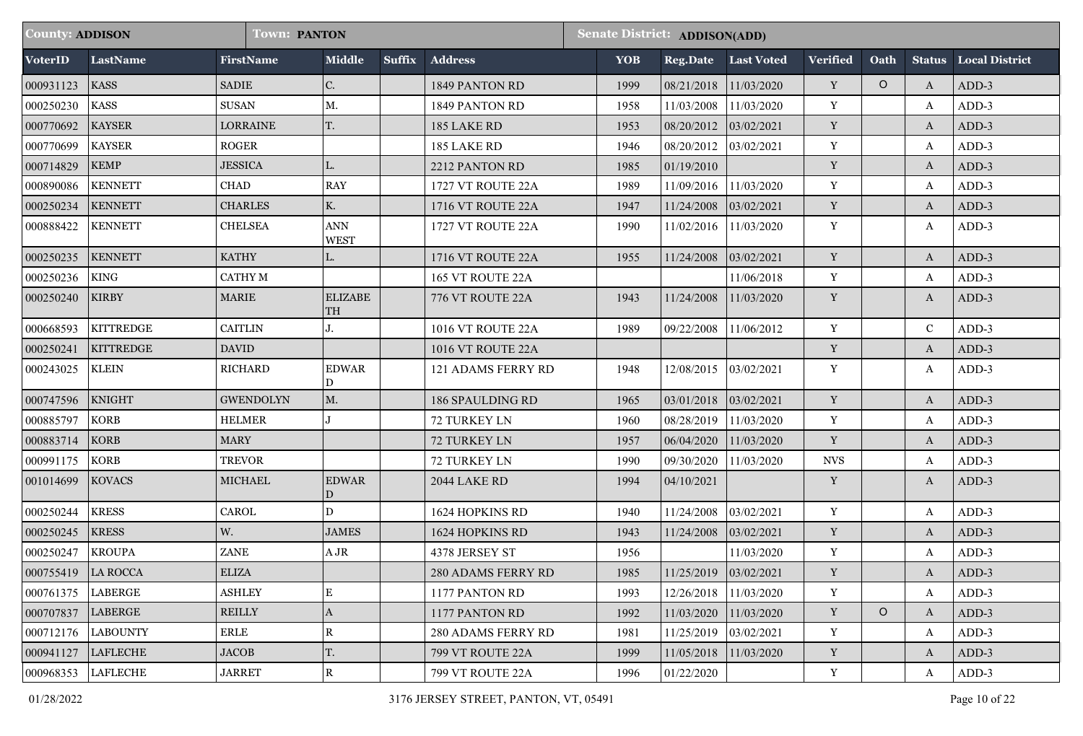| <b>County: ADDISON</b> |                  |                | <b>Town: PANTON</b> |                           |               |                           | Senate District: ADDISON(ADD) |                 |                   |             |         |             |                              |
|------------------------|------------------|----------------|---------------------|---------------------------|---------------|---------------------------|-------------------------------|-----------------|-------------------|-------------|---------|-------------|------------------------------|
| <b>VoterID</b>         | <b>LastName</b>  |                | FirstName           | <b>Middle</b>             | <b>Suffix</b> | <b>Address</b>            | <b>YOB</b>                    | <b>Reg.Date</b> | <b>Last Voted</b> | Verified    | Oath    |             | <b>Status</b> Local District |
| 000931123              | <b>KASS</b>      | <b>SADIE</b>   |                     | C.                        |               | 1849 PANTON RD            | 1999                          | 08/21/2018      | 11/03/2020        | $\mathbf Y$ | $\circ$ | A           | $ADD-3$                      |
| 000250230              | <b>KASS</b>      | <b>SUSAN</b>   |                     | Μ.                        |               | 1849 PANTON RD            | 1958                          | 11/03/2008      | 11/03/2020        | $\mathbf Y$ |         | A           | $ADD-3$                      |
| 000770692              | <b>KAYSER</b>    |                | <b>LORRAINE</b>     | T.                        |               | 185 LAKE RD               | 1953                          | 08/20/2012      | 03/02/2021        | $\mathbf Y$ |         | A           | $ADD-3$                      |
| 000770699              | <b>KAYSER</b>    | <b>ROGER</b>   |                     |                           |               | 185 LAKE RD               | 1946                          | 08/20/2012      | 03/02/2021        | $\mathbf Y$ |         | A           | $ADD-3$                      |
| 000714829              | <b>KEMP</b>      | <b>JESSICA</b> |                     | L.                        |               | 2212 PANTON RD            | 1985                          | 01/19/2010      |                   | $\mathbf Y$ |         | A           | $ADD-3$                      |
| 000890086              | <b>KENNETT</b>   | <b>CHAD</b>    |                     | <b>RAY</b>                |               | 1727 VT ROUTE 22A         | 1989                          | 11/09/2016      | 11/03/2020        | $\mathbf Y$ |         | A           | $ADD-3$                      |
| 000250234              | <b>KENNETT</b>   | <b>CHARLES</b> |                     | K.                        |               | <b>1716 VT ROUTE 22A</b>  | 1947                          | 11/24/2008      | 03/02/2021        | $\mathbf Y$ |         | A           | $ADD-3$                      |
| 000888422              | <b>KENNETT</b>   | <b>CHELSEA</b> |                     | <b>ANN</b><br><b>WEST</b> |               | 1727 VT ROUTE 22A         | 1990                          | 11/02/2016      | 11/03/2020        | Y           |         | A           | $ADD-3$                      |
| 000250235              | <b>KENNETT</b>   | <b>KATHY</b>   |                     | L.                        |               | 1716 VT ROUTE 22A         | 1955                          | 11/24/2008      | 03/02/2021        | $\mathbf Y$ |         | A           | $ADD-3$                      |
| 000250236              | <b>KING</b>      | <b>CATHY M</b> |                     |                           |               | 165 VT ROUTE 22A          |                               |                 | 11/06/2018        | $\mathbf Y$ |         | A           | $ADD-3$                      |
| 000250240              | <b>KIRBY</b>     | <b>MARIE</b>   |                     | <b>ELIZABE</b><br>TH      |               | 776 VT ROUTE 22A          | 1943                          | 11/24/2008      | 11/03/2020        | Y           |         | A           | $ADD-3$                      |
| 000668593              | <b>KITTREDGE</b> | <b>CAITLIN</b> |                     | J.                        |               | 1016 VT ROUTE 22A         | 1989                          | 09/22/2008      | 11/06/2012        | $\mathbf Y$ |         | $\mathbf C$ | $ADD-3$                      |
| 000250241              | <b>KITTREDGE</b> | <b>DAVID</b>   |                     |                           |               | <b>1016 VT ROUTE 22A</b>  |                               |                 |                   | $\mathbf Y$ |         | A           | $ADD-3$                      |
| 000243025              | <b>KLEIN</b>     | <b>RICHARD</b> |                     | <b>EDWAR</b><br>D         |               | 121 ADAMS FERRY RD        | 1948                          | 12/08/2015      | 03/02/2021        | $\mathbf Y$ |         | A           | $ADD-3$                      |
| 000747596              | <b>KNIGHT</b>    |                | <b>GWENDOLYN</b>    | M.                        |               | <b>186 SPAULDING RD</b>   | 1965                          | 03/01/2018      | 03/02/2021        | $\mathbf Y$ |         | A           | $ADD-3$                      |
| 000885797              | <b>KORB</b>      | <b>HELMER</b>  |                     |                           |               | 72 TURKEY LN              | 1960                          | 08/28/2019      | 11/03/2020        | Y           |         | A           | $ADD-3$                      |
| 000883714              | <b>KORB</b>      | <b>MARY</b>    |                     |                           |               | 72 TURKEY LN              | 1957                          | 06/04/2020      | 11/03/2020        | Y           |         | A           | $ADD-3$                      |
| 000991175              | <b>KORB</b>      | <b>TREVOR</b>  |                     |                           |               | 72 TURKEY LN              | 1990                          | 09/30/2020      | 11/03/2020        | <b>NVS</b>  |         | A           | $ADD-3$                      |
| 001014699              | <b>KOVACS</b>    | <b>MICHAEL</b> |                     | <b>EDWAR</b><br>D         |               | 2044 LAKE RD              | 1994                          | 04/10/2021      |                   | $\mathbf Y$ |         | A           | $ADD-3$                      |
| 000250244              | <b>KRESS</b>     | CAROL          |                     | D                         |               | 1624 HOPKINS RD           | 1940                          | 11/24/2008      | 03/02/2021        | $\mathbf Y$ |         | A           | $ADD-3$                      |
| 000250245              | <b>KRESS</b>     | W.             |                     | <b>JAMES</b>              |               | 1624 HOPKINS RD           | 1943                          | 11/24/2008      | 03/02/2021        | $\mathbf Y$ |         | A           | ADD-3                        |
| 000250247              | <b>KROUPA</b>    | <b>ZANE</b>    |                     | $\mathbf A$ JR            |               | 4378 JERSEY ST            | 1956                          |                 | 11/03/2020        | $\mathbf Y$ |         | A           | $ADD-3$                      |
| 000755419              | LA ROCCA         | <b>ELIZA</b>   |                     |                           |               | 280 ADAMS FERRY RD        | 1985                          | 11/25/2019      | 03/02/2021        | Y           |         | A           | $ADD-3$                      |
| 000761375              | LABERGE          | <b>ASHLEY</b>  |                     | E                         |               | 1177 PANTON RD            | 1993                          | 12/26/2018      | 11/03/2020        | Y           |         | A           | $ADD-3$                      |
| 000707837              | LABERGE          | <b>REILLY</b>  |                     | $\mathbf A$               |               | 1177 PANTON RD            | 1992                          | 11/03/2020      | 11/03/2020        | $\mathbf Y$ | $\circ$ | A           | $ADD-3$                      |
| 000712176              | <b>LABOUNTY</b>  | <b>ERLE</b>    |                     | R                         |               | <b>280 ADAMS FERRY RD</b> | 1981                          | 11/25/2019      | 03/02/2021        | $\mathbf Y$ |         | A           | $ADD-3$                      |
| 000941127              | <b>LAFLECHE</b>  | <b>JACOB</b>   |                     | T.                        |               | 799 VT ROUTE 22A          | 1999                          | 11/05/2018      | 11/03/2020        | $\mathbf Y$ |         | A           | $ADD-3$                      |
| 000968353              | LAFLECHE         | <b>JARRET</b>  |                     | R                         |               | 799 VT ROUTE 22A          | 1996                          | 01/22/2020      |                   | Y           |         | A           | $ADD-3$                      |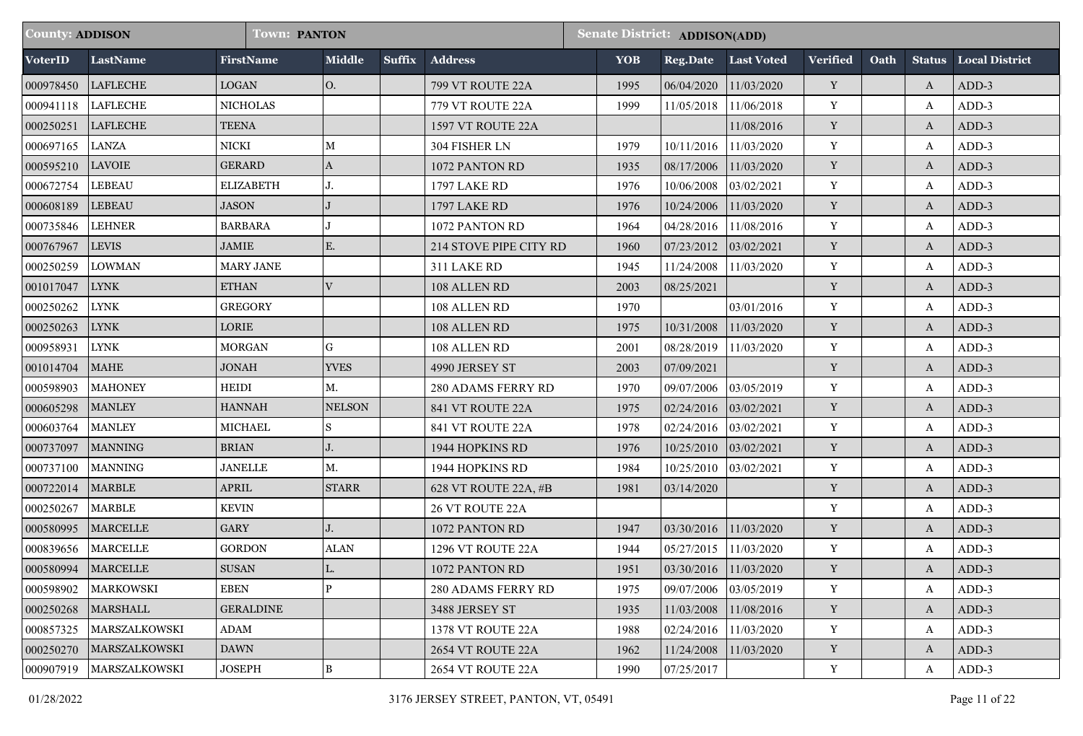| <b>County: ADDISON</b> |                  |                 | <b>Town: PANTON</b> |                 |               |                           | <b>Senate District: ADDISON(ADD)</b> |                       |                   |                 |      |   |                              |
|------------------------|------------------|-----------------|---------------------|-----------------|---------------|---------------------------|--------------------------------------|-----------------------|-------------------|-----------------|------|---|------------------------------|
| <b>VoterID</b>         | <b>LastName</b>  | FirstName       |                     | <b>Middle</b>   | <b>Suffix</b> | <b>Address</b>            | <b>YOB</b>                           | <b>Reg.Date</b>       | <b>Last Voted</b> | <b>Verified</b> | Oath |   | <b>Status</b> Local District |
| 000978450              | <b>LAFLECHE</b>  | <b>LOGAN</b>    |                     | 0.              |               | 799 VT ROUTE 22A          | 1995                                 | 06/04/2020            | 11/03/2020        | $\mathbf Y$     |      | A | ADD-3                        |
| 000941118              | <b>LAFLECHE</b>  | <b>NICHOLAS</b> |                     |                 |               | 779 VT ROUTE 22A          | 1999                                 | 11/05/2018            | 11/06/2018        | $\mathbf Y$     |      | A | $ADD-3$                      |
| 000250251              | <b>LAFLECHE</b>  | <b>TEENA</b>    |                     |                 |               | 1597 VT ROUTE 22A         |                                      |                       | 11/08/2016        | Y               |      | A | $ADD-3$                      |
| 000697165              | LANZA            | $\rm NICKI$     |                     | M               |               | 304 FISHER LN             | 1979                                 | 10/11/2016            | 11/03/2020        | $\mathbf Y$     |      | A | ADD-3                        |
| 000595210              | <b>LAVOIE</b>    | <b>GERARD</b>   |                     | $\mathbf{A}$    |               | 1072 PANTON RD            | 1935                                 | 08/17/2006            | 11/03/2020        | $\mathbf Y$     |      | A | $ADD-3$                      |
| 000672754              | <b>LEBEAU</b>    |                 | <b>ELIZABETH</b>    | J.              |               | 1797 LAKE RD              | 1976                                 | 10/06/2008            | 03/02/2021        | $\mathbf Y$     |      | A | $ADD-3$                      |
| 000608189              | <b>LEBEAU</b>    | <b>JASON</b>    |                     |                 |               | 1797 LAKE RD              | 1976                                 | 10/24/2006            | 11/03/2020        | $\mathbf Y$     |      | A | $ADD-3$                      |
| 000735846              | <b>LEHNER</b>    | <b>BARBARA</b>  |                     |                 |               | 1072 PANTON RD            | 1964                                 | 04/28/2016            | 11/08/2016        | Y               |      | A | $ADD-3$                      |
| 000767967              | <b>LEVIS</b>     | <b>JAMIE</b>    |                     | E.              |               | 214 STOVE PIPE CITY RD    | 1960                                 | 07/23/2012            | 03/02/2021        | Y               |      | A | $ADD-3$                      |
| 000250259              | <b>LOWMAN</b>    |                 | <b>MARY JANE</b>    |                 |               | 311 LAKE RD               | 1945                                 | 11/24/2008            | 11/03/2020        | $\mathbf Y$     |      | A | $ADD-3$                      |
| 001017047              | <b>LYNK</b>      | <b>ETHAN</b>    |                     | $\mathbf{V}$    |               | 108 ALLEN RD              | 2003                                 | 08/25/2021            |                   | $\mathbf Y$     |      | A | ADD-3                        |
| 000250262              | <b>LYNK</b>      | <b>GREGORY</b>  |                     |                 |               | 108 ALLEN RD              | 1970                                 |                       | 03/01/2016        | $\mathbf Y$     |      | A | $ADD-3$                      |
| 000250263              | <b>LYNK</b>      | <b>LORIE</b>    |                     |                 |               | 108 ALLEN RD              | 1975                                 | 10/31/2008            | 11/03/2020        | $\mathbf Y$     |      | A | $ADD-3$                      |
| 000958931              | $\mbox{LYNK}$    | <b>MORGAN</b>   |                     | G               |               | 108 ALLEN RD              | 2001                                 | 08/28/2019            | 11/03/2020        | $\mathbf Y$     |      | A | $ADD-3$                      |
| 001014704              | <b>MAHE</b>      | <b>JONAH</b>    |                     | <b>YVES</b>     |               | 4990 JERSEY ST            | 2003                                 | 07/09/2021            |                   | $\mathbf Y$     |      | A | $ADD-3$                      |
| 000598903              | <b>MAHONEY</b>   | <b>HEIDI</b>    |                     | M.              |               | <b>280 ADAMS FERRY RD</b> | 1970                                 | 09/07/2006            | 03/05/2019        | $\mathbf Y$     |      | A | $ADD-3$                      |
| 000605298              | <b>MANLEY</b>    | <b>HANNAH</b>   |                     | <b>NELSON</b>   |               | 841 VT ROUTE 22A          | 1975                                 | 02/24/2016            | 03/02/2021        | $\mathbf Y$     |      | A | $ADD-3$                      |
| 000603764              | <b>MANLEY</b>    | <b>MICHAEL</b>  |                     | S               |               | 841 VT ROUTE 22A          | 1978                                 | 02/24/2016            | 03/02/2021        | $\mathbf Y$     |      | A | ADD-3                        |
| 000737097              | <b>MANNING</b>   | <b>BRIAN</b>    |                     | J.              |               | 1944 HOPKINS RD           | 1976                                 | 10/25/2010            | 03/02/2021        | $\mathbf Y$     |      | A | $ADD-3$                      |
| 000737100              | <b>MANNING</b>   | <b>JANELLE</b>  |                     | M.              |               | 1944 HOPKINS RD           | 1984                                 | 10/25/2010            | 03/02/2021        | $\mathbf Y$     |      | A | $ADD-3$                      |
| 000722014              | <b>MARBLE</b>    | APRIL           |                     | <b>STARR</b>    |               | 628 VT ROUTE 22A, #B      | 1981                                 | 03/14/2020            |                   | Y               |      | A | $ADD-3$                      |
| 000250267              | <b>MARBLE</b>    | <b>KEVIN</b>    |                     |                 |               | 26 VT ROUTE 22A           |                                      |                       |                   | Y               |      | A | $ADD-3$                      |
| 000580995              | <b>MARCELLE</b>  | GARY            |                     | J.              |               | 1072 PANTON RD            | 1947                                 | 03/30/2016            | 11/03/2020        | Y               |      | A | $ADD-3$                      |
| 000839656              | <b>MARCELLE</b>  | <b>GORDON</b>   |                     | <b>ALAN</b>     |               | 1296 VT ROUTE 22A         | 1944                                 | 05/27/2015            | 11/03/2020        | $\mathbf Y$     |      | A | $ADD-3$                      |
| 000580994              | <b>MARCELLE</b>  | <b>SUSAN</b>    |                     | L.              |               | 1072 PANTON RD            | 1951                                 | 03/30/2016 11/03/2020 |                   | Y               |      | A | $ADD-3$                      |
| 000598902              | <b>MARKOWSKI</b> | <b>EBEN</b>     |                     | P               |               | 280 ADAMS FERRY RD        | 1975                                 | 09/07/2006            | 03/05/2019        | $\mathbf Y$     |      | A | $ADD-3$                      |
| 000250268              | MARSHALL         |                 | <b>GERALDINE</b>    |                 |               | 3488 JERSEY ST            | 1935                                 | 11/03/2008            | 11/08/2016        | $\mathbf Y$     |      | A | $ADD-3$                      |
| 000857325              | MARSZALKOWSKI    | ADAM            |                     |                 |               | 1378 VT ROUTE 22A         | 1988                                 | 02/24/2016            | 11/03/2020        | Y               |      | A | $ADD-3$                      |
| 000250270              | MARSZALKOWSKI    | <b>DAWN</b>     |                     |                 |               | 2654 VT ROUTE 22A         | 1962                                 | 11/24/2008            | 11/03/2020        | $\mathbf Y$     |      | A | $ADD-3$                      |
| 000907919              | MARSZALKOWSKI    | <b>JOSEPH</b>   |                     | $\, {\bf B} \,$ |               | 2654 VT ROUTE 22A         | 1990                                 | 07/25/2017            |                   | $\mathbf Y$     |      | A | $ADD-3$                      |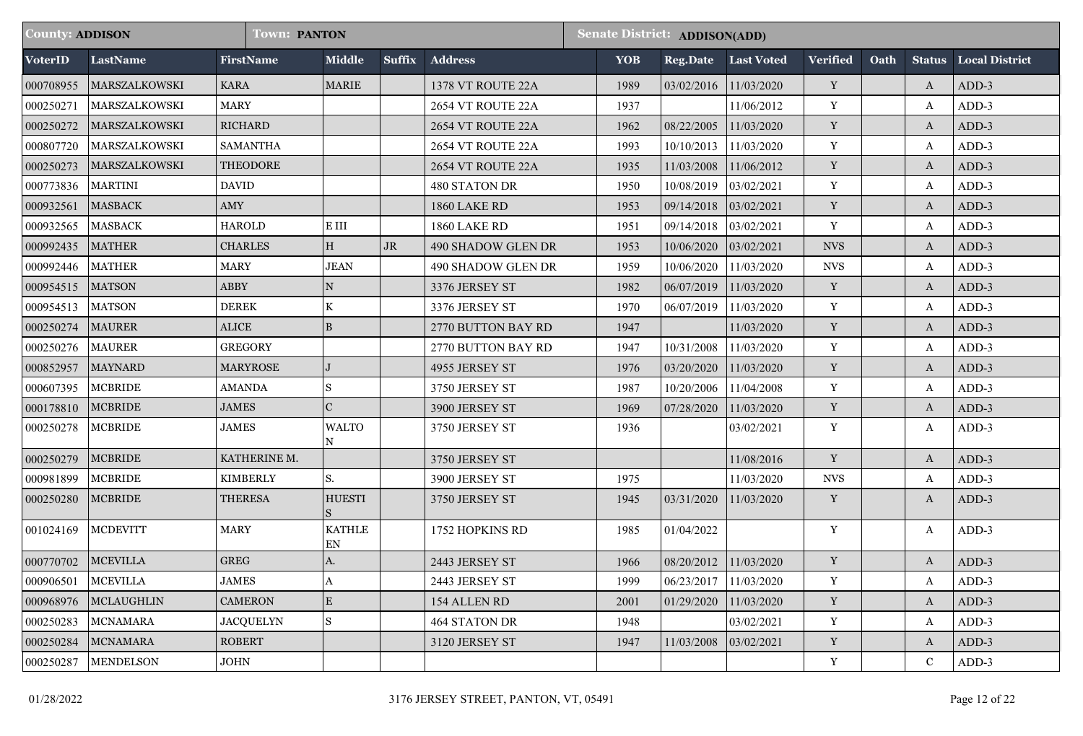| <b>County: ADDISON</b> |                      |                  | <b>Town: PANTON</b>         |               |                      | Senate District: ADDISON(ADD) |                                         |                   |                 |                  |                              |
|------------------------|----------------------|------------------|-----------------------------|---------------|----------------------|-------------------------------|-----------------------------------------|-------------------|-----------------|------------------|------------------------------|
| <b>VoterID</b>         | <b>LastName</b>      | FirstName        | <b>Middle</b>               | <b>Suffix</b> | <b>Address</b>       | <b>YOB</b>                    | <b>Reg.Date</b>                         | <b>Last Voted</b> | <b>Verified</b> | Oath             | <b>Status</b> Local District |
| 000708955              | <b>MARSZALKOWSKI</b> | <b>KARA</b>      | <b>MARIE</b>                |               | 1378 VT ROUTE 22A    | 1989                          | 03/02/2016                              | 11/03/2020        | Y               | $\mathbf{A}$     | $ADD-3$                      |
| 000250271              | <b>MARSZALKOWSKI</b> | <b>MARY</b>      |                             |               | 2654 VT ROUTE 22A    | 1937                          |                                         | 11/06/2012        | $\mathbf Y$     | A                | $ADD-3$                      |
| 000250272              | <b>MARSZALKOWSKI</b> | <b>RICHARD</b>   |                             |               | 2654 VT ROUTE 22A    | 1962                          | 08/22/2005                              | 11/03/2020        | Y               | A                | $ADD-3$                      |
| 000807720              | MARSZALKOWSKI        | <b>SAMANTHA</b>  |                             |               | 2654 VT ROUTE 22A    | 1993                          | 10/10/2013                              | 11/03/2020        | $\mathbf Y$     | A                | $ADD-3$                      |
| 000250273              | MARSZALKOWSKI        | <b>THEODORE</b>  |                             |               | 2654 VT ROUTE 22A    | 1935                          | 11/03/2008                              | 11/06/2012        | $\mathbf Y$     | A                | $ADD-3$                      |
| 000773836              | <b>MARTINI</b>       | <b>DAVID</b>     |                             |               | <b>480 STATON DR</b> | 1950                          | 10/08/2019                              | 03/02/2021        | Y               | A                | $ADD-3$                      |
| 000932561              | <b>MASBACK</b>       | <b>AMY</b>       |                             |               | 1860 LAKE RD         | 1953                          | 09/14/2018                              | 03/02/2021        | $\mathbf Y$     | $\boldsymbol{A}$ | $ADD-3$                      |
| 000932565              | <b>MASBACK</b>       | <b>HAROLD</b>    | $\mathop{\hbox{\bf E}}$ III |               | 1860 LAKE RD         | 1951                          | 09/14/2018                              | 03/02/2021        | Y               | A                | $ADD-3$                      |
| 000992435              | <b>MATHER</b>        | <b>CHARLES</b>   | H                           | JR            | 490 SHADOW GLEN DR   | 1953                          | 10/06/2020                              | 03/02/2021        | <b>NVS</b>      | A                | $ADD-3$                      |
| 000992446              | <b>MATHER</b>        | <b>MARY</b>      | <b>JEAN</b>                 |               | 490 SHADOW GLEN DR   | 1959                          | 10/06/2020                              | 11/03/2020        | <b>NVS</b>      | A                | $ADD-3$                      |
| 000954515              | <b>MATSON</b>        | <b>ABBY</b>      | ${\bf N}$                   |               | 3376 JERSEY ST       | 1982                          | 06/07/2019                              | 11/03/2020        | $\mathbf Y$     | A                | $ADD-3$                      |
| 000954513              | <b>MATSON</b>        | <b>DEREK</b>     | $\bf K$                     |               | 3376 JERSEY ST       | 1970                          | 06/07/2019                              | 11/03/2020        | $\mathbf Y$     | A                | $ADD-3$                      |
| 000250274              | <b>MAURER</b>        | <b>ALICE</b>     | $\, {\bf B}$                |               | 2770 BUTTON BAY RD   | 1947                          |                                         | 11/03/2020        | Y               | A                | $ADD-3$                      |
| 000250276              | <b>MAURER</b>        | <b>GREGORY</b>   |                             |               | 2770 BUTTON BAY RD   | 1947                          | 10/31/2008                              | 11/03/2020        | $\mathbf Y$     | A                | $ADD-3$                      |
| 000852957              | <b>MAYNARD</b>       | <b>MARYROSE</b>  |                             |               | 4955 JERSEY ST       | 1976                          | 03/20/2020                              | 11/03/2020        | $\mathbf Y$     | A                | $ADD-3$                      |
| 000607395              | <b>MCBRIDE</b>       | <b>AMANDA</b>    | ${\bf S}$                   |               | 3750 JERSEY ST       | 1987                          | 10/20/2006                              | 11/04/2008        | $\mathbf Y$     | A                | $ADD-3$                      |
| 000178810              | <b>MCBRIDE</b>       | <b>JAMES</b>     | $\mathbf{C}$                |               | 3900 JERSEY ST       | 1969                          | 07/28/2020                              | 11/03/2020        | $\mathbf Y$     | $\bf{A}$         | $ADD-3$                      |
| 000250278              | <b>MCBRIDE</b>       | <b>JAMES</b>     | <b>WALTO</b><br>N           |               | 3750 JERSEY ST       | 1936                          |                                         | 03/02/2021        | $\mathbf Y$     | A                | $ADD-3$                      |
| 000250279              | <b>MCBRIDE</b>       | KATHERINE M.     |                             |               | 3750 JERSEY ST       |                               |                                         | 11/08/2016        | $\mathbf Y$     | $\boldsymbol{A}$ | $ADD-3$                      |
| 000981899              | <b>MCBRIDE</b>       | <b>KIMBERLY</b>  | S.                          |               | 3900 JERSEY ST       | 1975                          |                                         | 11/03/2020        | <b>NVS</b>      | A                | $ADD-3$                      |
| 000250280              | <b>MCBRIDE</b>       | <b>THERESA</b>   | <b>HUESTI</b><br>S          |               | 3750 JERSEY ST       | 1945                          | 03/31/2020                              | 11/03/2020        | Y               | A                | $ADD-3$                      |
| 001024169              | <b>MCDEVITT</b>      | <b>MARY</b>      | <b>KATHLE</b><br>EN         |               | 1752 HOPKINS RD      | 1985                          | 01/04/2022                              |                   | Y               | A                | $ADD-3$                      |
| 000770702 MCEVILLA     |                      | ${\tt GREG}$     | A.                          |               | 2443 JERSEY ST       |                               | 1966   $\sqrt{08/20/2012}$   11/03/2020 |                   | $\mathbf Y$     | $\mathbf A$      | $ADD-3$                      |
| 000906501              | <b>MCEVILLA</b>      | <b>JAMES</b>     | A                           |               | 2443 JERSEY ST       | 1999                          | 06/23/2017                              | 11/03/2020        | $\mathbf Y$     | A                | $ADD-3$                      |
| 000968976              | MCLAUGHLIN           | <b>CAMERON</b>   | $\mathbf E$                 |               | 154 ALLEN RD         | 2001                          | 01/29/2020                              | 11/03/2020        | $\mathbf Y$     | A                | $ADD-3$                      |
| 000250283              | <b>MCNAMARA</b>      | <b>JACQUELYN</b> | ${\bf S}$                   |               | 464 STATON DR        | 1948                          |                                         | 03/02/2021        | Y               | A                | $ADD-3$                      |
| 000250284              | <b>MCNAMARA</b>      | <b>ROBERT</b>    |                             |               | 3120 JERSEY ST       | 1947                          | 11/03/2008                              | 03/02/2021        | $\mathbf Y$     | A                | $ADD-3$                      |
| 000250287              | MENDELSON            | JOHN             |                             |               |                      |                               |                                         |                   | $\mathbf Y$     | $\mathbf C$      | $ADD-3$                      |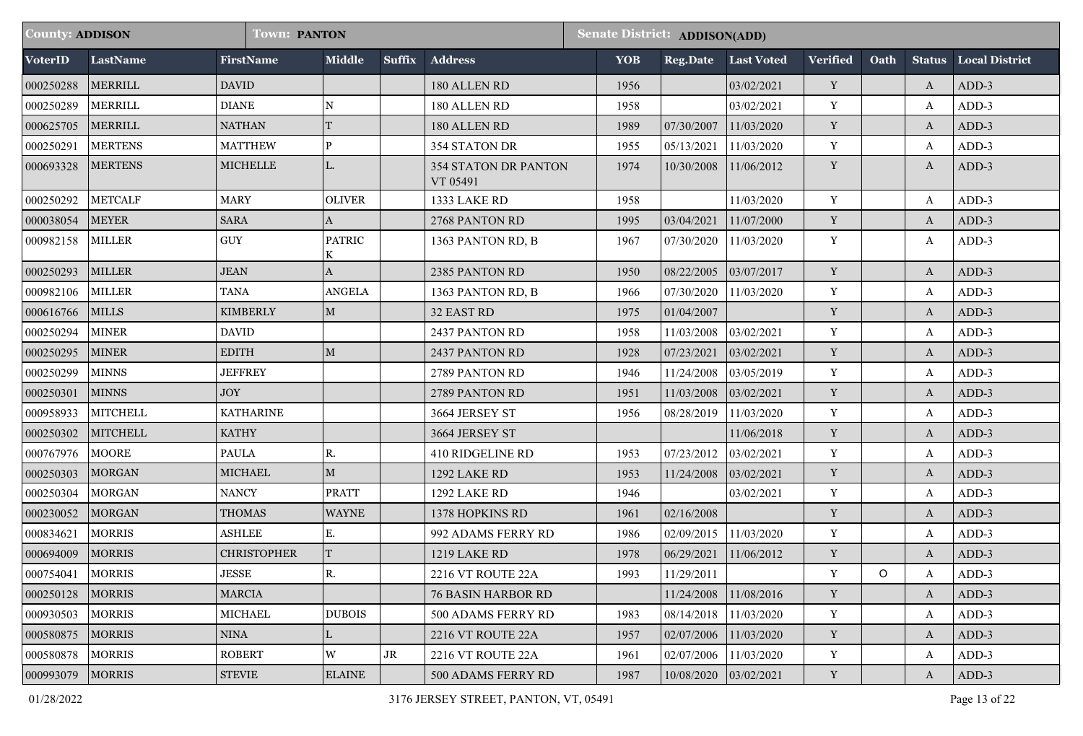| <b>County: ADDISON</b> |                 | <b>Town: PANTON</b> |                         |               |                                  |            | Senate District: ADDISON(ADD) |                   |                 |         |                  |                              |
|------------------------|-----------------|---------------------|-------------------------|---------------|----------------------------------|------------|-------------------------------|-------------------|-----------------|---------|------------------|------------------------------|
| VoterID                | <b>LastName</b> | FirstName           | <b>Middle</b>           | <b>Suffix</b> | <b>Address</b>                   | <b>YOB</b> | <b>Reg.Date</b>               | <b>Last Voted</b> | <b>Verified</b> | Oath    |                  | <b>Status</b> Local District |
| 000250288              | <b>MERRILL</b>  | <b>DAVID</b>        |                         |               | 180 ALLEN RD                     | 1956       |                               | 03/02/2021        | $\mathbf Y$     |         | A                | $ADD-3$                      |
| 000250289              | <b>MERRILL</b>  | <b>DIANE</b>        | $\mathbf N$             |               | 180 ALLEN RD                     | 1958       |                               | 03/02/2021        | $\mathbf Y$     |         | A                | $ADD-3$                      |
| 000625705              | <b>MERRILL</b>  | <b>NATHAN</b>       | T                       |               | 180 ALLEN RD                     | 1989       | 07/30/2007                    | 11/03/2020        | $\mathbf Y$     |         | A                | $ADD-3$                      |
| 000250291              | <b>MERTENS</b>  | <b>MATTHEW</b>      | $\mathbf{P}$            |               | 354 STATON DR                    | 1955       | 05/13/2021                    | 11/03/2020        | $\mathbf Y$     |         | A                | $ADD-3$                      |
| 000693328              | <b>MERTENS</b>  | <b>MICHELLE</b>     | L.                      |               | 354 STATON DR PANTON<br>VT 05491 | 1974       | 10/30/2008                    | 11/06/2012        | $\mathbf Y$     |         | A                | $ADD-3$                      |
| 000250292              | <b>METCALF</b>  | <b>MARY</b>         | <b>OLIVER</b>           |               | 1333 LAKE RD                     | 1958       |                               | 11/03/2020        | $\mathbf Y$     |         | A                | $ADD-3$                      |
| 000038054              | <b>MEYER</b>    | <b>SARA</b>         | $\bf{A}$                |               | 2768 PANTON RD                   | 1995       | 03/04/2021                    | 11/07/2000        | $\mathbf Y$     |         | A                | $ADD-3$                      |
| 000982158              | <b>MILLER</b>   | $\mbox{GUY}$        | <b>PATRIC</b><br>K      |               | 1363 PANTON RD, B                | 1967       | 07/30/2020                    | 11/03/2020        | $\mathbf Y$     |         | A                | $ADD-3$                      |
| 000250293              | <b>MILLER</b>   | <b>JEAN</b>         | $\mathbf{A}$            |               | 2385 PANTON RD                   | 1950       | 08/22/2005                    | 03/07/2017        | $\mathbf Y$     |         | A                | $ADD-3$                      |
| 000982106              | <b>MILLER</b>   | <b>TANA</b>         | <b>ANGELA</b>           |               | 1363 PANTON RD, B                | 1966       | 07/30/2020                    | 11/03/2020        | $\mathbf Y$     |         | A                | $ADD-3$                      |
| 000616766              | <b>MILLS</b>    | <b>KIMBERLY</b>     | $\mathbf M$             |               | 32 EAST RD                       | 1975       | 01/04/2007                    |                   | $\mathbf Y$     |         | A                | $ADD-3$                      |
| 000250294              | <b>MINER</b>    | <b>DAVID</b>        |                         |               | 2437 PANTON RD                   | 1958       | 11/03/2008                    | 03/02/2021        | Y               |         | A                | $ADD-3$                      |
| 000250295              | <b>MINER</b>    | <b>EDITH</b>        | M                       |               | 2437 PANTON RD                   | 1928       | 07/23/2021                    | 03/02/2021        | $\mathbf Y$     |         | A                | $ADD-3$                      |
| 000250299              | <b>MINNS</b>    | <b>JEFFREY</b>      |                         |               | 2789 PANTON RD                   | 1946       | 11/24/2008                    | 03/05/2019        | $\mathbf Y$     |         | A                | $ADD-3$                      |
| 000250301              | <b>MINNS</b>    | <b>JOY</b>          |                         |               | 2789 PANTON RD                   | 1951       | 11/03/2008                    | 03/02/2021        | $\mathbf Y$     |         | $\boldsymbol{A}$ | $ADD-3$                      |
| 000958933              | <b>MITCHELL</b> | <b>KATHARINE</b>    |                         |               | 3664 JERSEY ST                   | 1956       | 08/28/2019                    | 11/03/2020        | $\mathbf Y$     |         | A                | $ADD-3$                      |
| 000250302              | <b>MITCHELL</b> | <b>KATHY</b>        |                         |               | 3664 JERSEY ST                   |            |                               | 11/06/2018        | Y               |         | A                | $ADD-3$                      |
| 000767976              | <b>MOORE</b>    | <b>PAULA</b>        | R.                      |               | <b>410 RIDGELINE RD</b>          | 1953       | 07/23/2012                    | 03/02/2021        | $\mathbf Y$     |         | A                | $ADD-3$                      |
| 000250303              | <b>MORGAN</b>   | <b>MICHAEL</b>      | $\mathbf M$             |               | 1292 LAKE RD                     | 1953       | 11/24/2008                    | 03/02/2021        | $\mathbf Y$     |         | A                | $ADD-3$                      |
| 000250304              | <b>MORGAN</b>   | <b>NANCY</b>        | <b>PRATT</b>            |               | 1292 LAKE RD                     | 1946       |                               | 03/02/2021        | $\mathbf Y$     |         | A                | $ADD-3$                      |
| 000230052              | <b>MORGAN</b>   | <b>THOMAS</b>       | <b>WAYNE</b>            |               | 1378 HOPKINS RD                  | 1961       | 02/16/2008                    |                   | $\mathbf Y$     |         | A                | $ADD-3$                      |
| 000834621              | <b>MORRIS</b>   | <b>ASHLEE</b>       | E.                      |               | 992 ADAMS FERRY RD               | 1986       | 02/09/2015                    | 11/03/2020        | $\mathbf Y$     |         | A                | $ADD-3$                      |
| 000694009              | MORRIS          | <b>CHRISTOPHER</b>  | $\mathbf T$             |               | 1219 LAKE RD                     | 1978       | 06/29/2021                    | 11/06/2012        | Y               |         | A                | $ADD-3$                      |
| 000754041              | <b>MORRIS</b>   | <b>JESSE</b>        | R.                      |               | 2216 VT ROUTE 22A                | 1993       | 11/29/2011                    |                   | $\mathbf Y$     | $\circ$ | A                | $ADD-3$                      |
| 000250128              | <b>MORRIS</b>   | <b>MARCIA</b>       |                         |               | <b>76 BASIN HARBOR RD</b>        |            | 11/24/2008                    | 11/08/2016        | $\mathbf Y$     |         | $\boldsymbol{A}$ | $ADD-3$                      |
| 000930503              | <b>MORRIS</b>   | MICHAEL             | <b>DUBOIS</b>           |               | 500 ADAMS FERRY RD               | 1983       | 08/14/2018                    | 11/03/2020        | $\mathbf Y$     |         | A                | ADD-3                        |
| 000580875              | <b>MORRIS</b>   | <b>NINA</b>         | L                       |               | <b>2216 VT ROUTE 22A</b>         | 1957       | 02/07/2006                    | 11/03/2020        | Y               |         | A                | $ADD-3$                      |
| 000580878              | <b>MORRIS</b>   | <b>ROBERT</b>       | W                       | $\rm J R$     | 2216 VT ROUTE 22A                | 1961       | 02/07/2006                    | 11/03/2020        | $\mathbf Y$     |         | A                | $ADD-3$                      |
| 000993079              | <b>MORRIS</b>   | <b>STEVIE</b>       | $\operatorname{ELAINE}$ |               | 500 ADAMS FERRY RD               | 1987       | 10/08/2020                    | 03/02/2021        | $\mathbf Y$     |         | A                | $ADD-3$                      |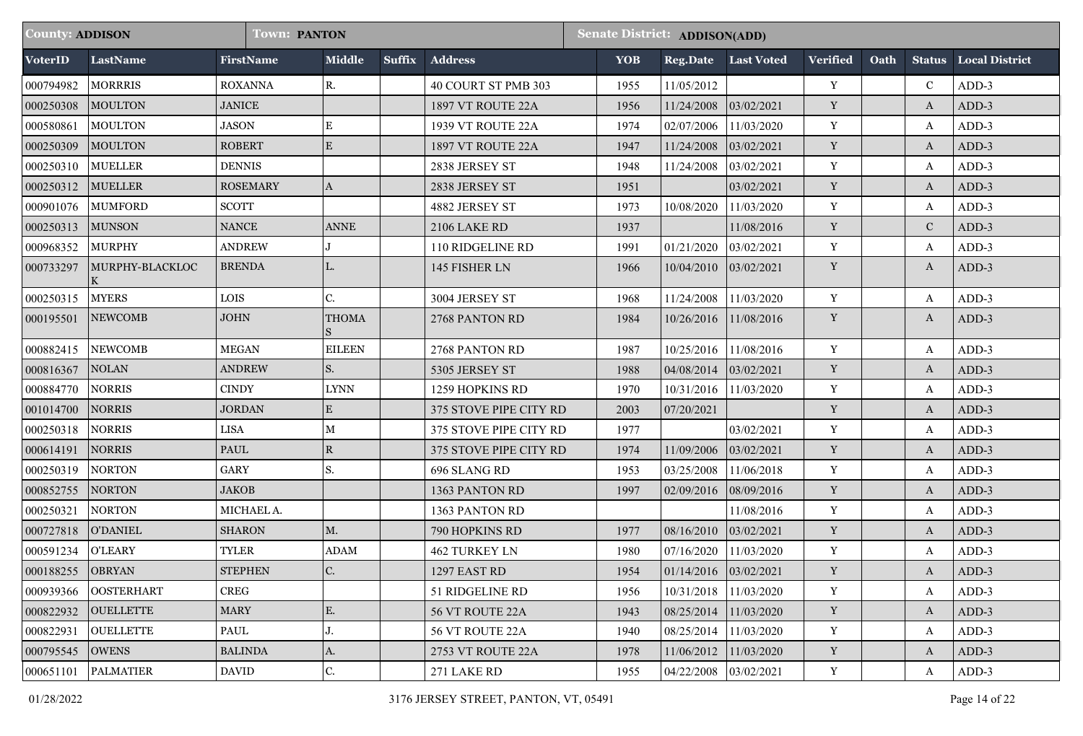| <b>County: ADDISON</b> |                   |                 | <b>Town: PANTON</b> | Senate District: ADDISON(ADD) |               |                        |            |                 |                   |                 |      |               |                              |
|------------------------|-------------------|-----------------|---------------------|-------------------------------|---------------|------------------------|------------|-----------------|-------------------|-----------------|------|---------------|------------------------------|
| <b>VoterID</b>         | <b>LastName</b>   | FirstName       |                     | <b>Middle</b>                 | <b>Suffix</b> | <b>Address</b>         | <b>YOB</b> | <b>Reg.Date</b> | <b>Last Voted</b> | <b>Verified</b> | Oath |               | <b>Status</b> Local District |
| 000794982              | <b>MORRRIS</b>    | <b>ROXANNA</b>  |                     | R.                            |               | 40 COURT ST PMB 303    | 1955       | 11/05/2012      |                   | $\mathbf Y$     |      | $\mathbf C$   | $ADD-3$                      |
| 000250308              | <b>MOULTON</b>    | <b>JANICE</b>   |                     |                               |               | 1897 VT ROUTE 22A      | 1956       | 11/24/2008      | 03/02/2021        | $\mathbf Y$     |      | A             | $ADD-3$                      |
| 000580861              | <b>MOULTON</b>    | <b>JASON</b>    |                     | ${\bf E}$                     |               | 1939 VT ROUTE 22A      | 1974       | 02/07/2006      | 11/03/2020        | $\mathbf Y$     |      | A             | $ADD-3$                      |
| 000250309              | <b>MOULTON</b>    | <b>ROBERT</b>   |                     | ${\bf E}$                     |               | 1897 VT ROUTE 22A      | 1947       | 11/24/2008      | 03/02/2021        | $\mathbf Y$     |      | A             | $ADD-3$                      |
| 000250310              | <b>MUELLER</b>    | <b>DENNIS</b>   |                     |                               |               | 2838 JERSEY ST         | 1948       | 11/24/2008      | 03/02/2021        | $\mathbf Y$     |      | A             | $ADD-3$                      |
| 000250312              | <b>MUELLER</b>    | <b>ROSEMARY</b> |                     | $\mathbf{A}$                  |               | 2838 JERSEY ST         | 1951       |                 | 03/02/2021        | $\mathbf Y$     |      | A             | $ADD-3$                      |
| 000901076              | <b>MUMFORD</b>    | <b>SCOTT</b>    |                     |                               |               | 4882 JERSEY ST         | 1973       | 10/08/2020      | 11/03/2020        | $\mathbf Y$     |      | A             | $ADD-3$                      |
| 000250313              | <b>MUNSON</b>     | <b>NANCE</b>    |                     | <b>ANNE</b>                   |               | 2106 LAKE RD           | 1937       |                 | 11/08/2016        | Y               |      | $\mathcal{C}$ | $ADD-3$                      |
| 000968352              | <b>MURPHY</b>     | <b>ANDREW</b>   |                     |                               |               | 110 RIDGELINE RD       | 1991       | 01/21/2020      | 03/02/2021        | $\mathbf Y$     |      | A             | $ADD-3$                      |
| 000733297              | MURPHY-BLACKLOC   | <b>BRENDA</b>   |                     | L.                            |               | 145 FISHER LN          | 1966       | 10/04/2010      | 03/02/2021        | $\mathbf Y$     |      | A             | $ADD-3$                      |
| 000250315              | <b>MYERS</b>      | LOIS            |                     | C.                            |               | 3004 JERSEY ST         | 1968       | 11/24/2008      | 11/03/2020        | $\mathbf Y$     |      | A             | $ADD-3$                      |
| 000195501              | <b>NEWCOMB</b>    | <b>JOHN</b>     |                     | <b>THOMA</b>                  |               | 2768 PANTON RD         | 1984       | 10/26/2016      | 11/08/2016        | $\mathbf Y$     |      | A             | $ADD-3$                      |
| 000882415              | <b>NEWCOMB</b>    | <b>MEGAN</b>    |                     | <b>EILEEN</b>                 |               | 2768 PANTON RD         | 1987       | 10/25/2016      | 11/08/2016        | Y               |      | A             | $ADD-3$                      |
| 000816367              | $\rm NOLAN$       | <b>ANDREW</b>   |                     | S.                            |               | 5305 JERSEY ST         | 1988       | 04/08/2014      | 03/02/2021        | Y               |      | A             | $ADD-3$                      |
| 000884770              | <b>NORRIS</b>     | <b>CINDY</b>    |                     | $\operatorname{LYNN}$         |               | 1259 HOPKINS RD        | 1970       | 10/31/2016      | 11/03/2020        | $\mathbf Y$     |      | A             | $ADD-3$                      |
| 001014700              | <b>NORRIS</b>     | <b>JORDAN</b>   |                     | ${\bf E}$                     |               | 375 STOVE PIPE CITY RD | 2003       | 07/20/2021      |                   | $\mathbf Y$     |      | A             | $ADD-3$                      |
| 000250318              | <b>NORRIS</b>     | <b>LISA</b>     |                     | $\mathbf M$                   |               | 375 STOVE PIPE CITY RD | 1977       |                 | 03/02/2021        | $\mathbf Y$     |      | A             | $ADD-3$                      |
| 000614191              | <b>NORRIS</b>     | PAUL            |                     | ${\bf R}$                     |               | 375 STOVE PIPE CITY RD | 1974       | 11/09/2006      | 03/02/2021        | Y               |      | A             | $ADD-3$                      |
| 000250319              | <b>NORTON</b>     | GARY            |                     | ${\bf S}.$                    |               | 696 SLANG RD           | 1953       | 03/25/2008      | 11/06/2018        | $\mathbf Y$     |      | A             | $ADD-3$                      |
| 000852755              | <b>NORTON</b>     | <b>JAKOB</b>    |                     |                               |               | 1363 PANTON RD         | 1997       | 02/09/2016      | 08/09/2016        | $\mathbf Y$     |      | A             | $ADD-3$                      |
| 000250321              | <b>NORTON</b>     | MICHAEL A.      |                     |                               |               | 1363 PANTON RD         |            |                 | 11/08/2016        | $\mathbf Y$     |      | A             | $ADD-3$                      |
| 000727818              | <b>O'DANIEL</b>   | <b>SHARON</b>   |                     | M.                            |               | 790 HOPKINS RD         | 1977       | 08/16/2010      | 03/02/2021        | $\mathbf Y$     |      | A             | $ADD-3$                      |
| 000591234              | O'LEARY           | <b>TYLER</b>    |                     | <b>ADAM</b>                   |               | <b>462 TURKEY LN</b>   | 1980       | 07/16/2020      | 11/03/2020        | $\mathbf Y$     |      | A             | $ADD-3$                      |
| 000188255              | <b>OBRYAN</b>     | <b>STEPHEN</b>  |                     | $\mathrm{C}.$                 |               | 1297 EAST RD           | 1954       | 01/14/2016      | 03/02/2021        | Y               |      | A             | $ADD-3$                      |
| 000939366              | <b>OOSTERHART</b> | <b>CREG</b>     |                     |                               |               | 51 RIDGELINE RD        | 1956       | 10/31/2018      | 11/03/2020        | $\mathbf Y$     |      | A             | $ADD-3$                      |
| 000822932              | <b>OUELLETTE</b>  | <b>MARY</b>     |                     | ${\bf E}.$                    |               | 56 VT ROUTE 22A        | 1943       | 08/25/2014      | 11/03/2020        | $\mathbf Y$     |      | A             | $ADD-3$                      |
| 000822931              | <b>OUELLETTE</b>  | PAUL            |                     | J.                            |               | 56 VT ROUTE 22A        | 1940       | 08/25/2014      | 11/03/2020        | $\mathbf Y$     |      | A             | $ADD-3$                      |
| 000795545              | <b>OWENS</b>      | <b>BALINDA</b>  |                     | A.                            |               | 2753 VT ROUTE 22A      | 1978       | 11/06/2012      | 11/03/2020        | $\mathbf Y$     |      | A             | $ADD-3$                      |
| 000651101              | <b>PALMATIER</b>  | <b>DAVID</b>    |                     | C.                            |               | 271 LAKE RD            | 1955       | 04/22/2008      | 03/02/2021        | $\mathbf Y$     |      | A             | $ADD-3$                      |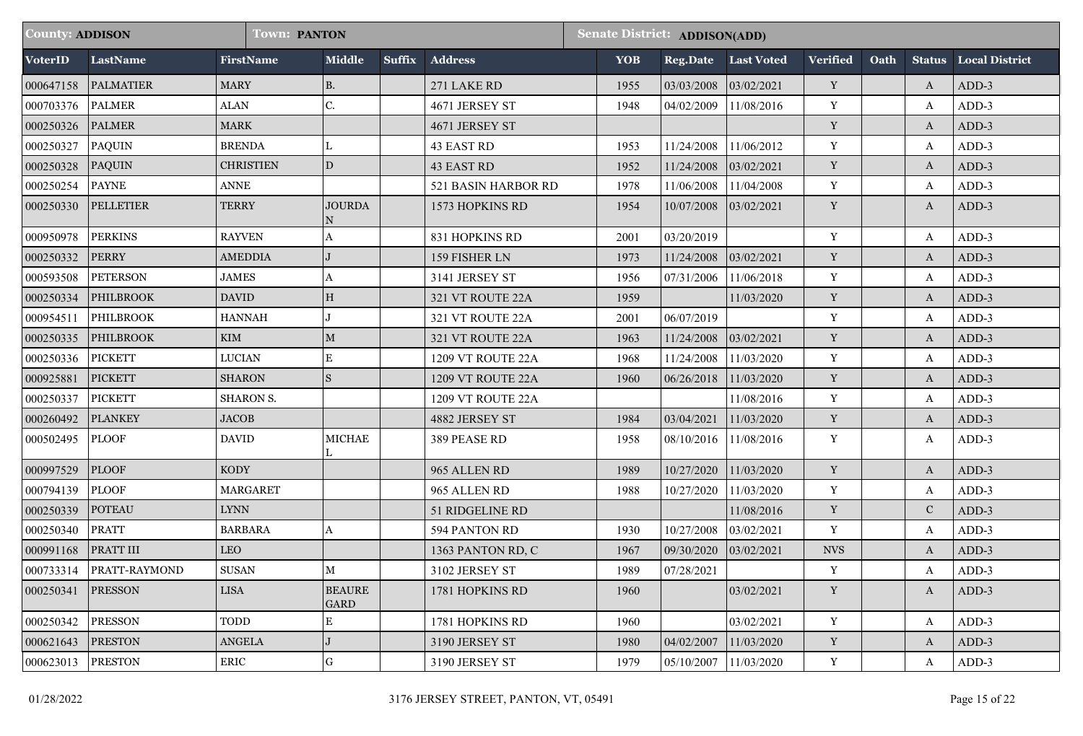| <b>County: ADDISON</b> |                      |                | <b>Town: PANTON</b> |                       |               |                     | Senate District: ADDISON(ADD) |            |                 |                   |                 |      |              |                              |
|------------------------|----------------------|----------------|---------------------|-----------------------|---------------|---------------------|-------------------------------|------------|-----------------|-------------------|-----------------|------|--------------|------------------------------|
| <b>VoterID</b>         | LastName             |                | <b>FirstName</b>    | <b>Middle</b>         | <b>Suffix</b> | <b>Address</b>      |                               | <b>YOB</b> | <b>Reg.Date</b> | <b>Last Voted</b> | <b>Verified</b> | Oath |              | <b>Status</b> Local District |
| 000647158              | <b>PALMATIER</b>     | <b>MARY</b>    |                     | <b>B.</b>             |               | 271 LAKE RD         |                               | 1955       | 03/03/2008      | 03/02/2021        | $\mathbf Y$     |      | A            | $ADD-3$                      |
| 000703376              | <b>PALMER</b>        | <b>ALAN</b>    |                     | C.                    |               | 4671 JERSEY ST      |                               | 1948       | 04/02/2009      | 11/08/2016        | $\mathbf Y$     |      | A            | $ADD-3$                      |
| 000250326              | <b>PALMER</b>        | <b>MARK</b>    |                     |                       |               | 4671 JERSEY ST      |                               |            |                 |                   | $\mathbf Y$     |      | A            | $ADD-3$                      |
| 000250327              | PAQUIN               | <b>BRENDA</b>  |                     | L                     |               | <b>43 EAST RD</b>   |                               | 1953       | 11/24/2008      | 11/06/2012        | Y               |      | A            | $ADD-3$                      |
| 000250328              | PAQUIN               |                | <b>CHRISTIEN</b>    | $\mathbf D$           |               | <b>43 EAST RD</b>   |                               | 1952       | 11/24/2008      | 03/02/2021        | $\mathbf Y$     |      | A            | $ADD-3$                      |
| 000250254              | <b>PAYNE</b>         | <b>ANNE</b>    |                     |                       |               | 521 BASIN HARBOR RD |                               | 1978       | 11/06/2008      | 11/04/2008        | $\mathbf Y$     |      | A            | $ADD-3$                      |
| 000250330              | <b>PELLETIER</b>     | <b>TERRY</b>   |                     | <b>JOURDA</b><br>N    |               | 1573 HOPKINS RD     |                               | 1954       | 10/07/2008      | 03/02/2021        | $\mathbf Y$     |      | A            | $ADD-3$                      |
| 000950978              | <b>PERKINS</b>       | <b>RAYVEN</b>  |                     | A                     |               | 831 HOPKINS RD      |                               | 2001       | 03/20/2019      |                   | $\mathbf Y$     |      | A            | $ADD-3$                      |
| 000250332              | <b>PERRY</b>         | <b>AMEDDIA</b> |                     |                       |               | 159 FISHER LN       |                               | 1973       | 11/24/2008      | 03/02/2021        | $\mathbf Y$     |      | A            | $ADD-3$                      |
| 000593508              | <b>PETERSON</b>      | <b>JAMES</b>   |                     | A                     |               | 3141 JERSEY ST      |                               | 1956       | 07/31/2006      | 11/06/2018        | Y               |      | A            | $ADD-3$                      |
| 000250334              | <b>PHILBROOK</b>     | <b>DAVID</b>   |                     | H                     |               | 321 VT ROUTE 22A    |                               | 1959       |                 | 11/03/2020        | Y               |      | A            | $ADD-3$                      |
| 000954511              | <b>PHILBROOK</b>     | <b>HANNAH</b>  |                     |                       |               | 321 VT ROUTE 22A    |                               | 2001       | 06/07/2019      |                   | $\mathbf Y$     |      | A            | $ADD-3$                      |
| 000250335              | <b>PHILBROOK</b>     | KIM            |                     | $\mathbf M$           |               | 321 VT ROUTE 22A    |                               | 1963       | 11/24/2008      | 03/02/2021        | $\mathbf Y$     |      | A            | $ADD-3$                      |
| 000250336              | <b>PICKETT</b>       | <b>LUCIAN</b>  |                     | E                     |               | 1209 VT ROUTE 22A   |                               | 1968       | 11/24/2008      | 11/03/2020        | $\mathbf Y$     |      | A            | $ADD-3$                      |
| 000925881              | PICKETT              | <b>SHARON</b>  |                     | S                     |               | 1209 VT ROUTE 22A   |                               | 1960       | 06/26/2018      | 11/03/2020        | $\mathbf Y$     |      | $\mathbf{A}$ | $ADD-3$                      |
| 000250337              | PICKETT              | SHARON S.      |                     |                       |               | 1209 VT ROUTE 22A   |                               |            |                 | 11/08/2016        | $\mathbf Y$     |      | A            | $ADD-3$                      |
| 000260492              | <b>PLANKEY</b>       | <b>JACOB</b>   |                     |                       |               | 4882 JERSEY ST      |                               | 1984       | 03/04/2021      | 11/03/2020        | $\mathbf Y$     |      | A            | $ADD-3$                      |
| 000502495              | <b>PLOOF</b>         | <b>DAVID</b>   |                     | <b>MICHAE</b>         |               | 389 PEASE RD        |                               | 1958       | 08/10/2016      | 11/08/2016        | $\mathbf Y$     |      | A            | $ADD-3$                      |
| 000997529              | <b>PLOOF</b>         | <b>KODY</b>    |                     |                       |               | 965 ALLEN RD        |                               | 1989       | 10/27/2020      | 11/03/2020        | $\mathbf Y$     |      | A            | $ADD-3$                      |
| 000794139              | <b>PLOOF</b>         |                | <b>MARGARET</b>     |                       |               | 965 ALLEN RD        |                               | 1988       | 10/27/2020      | 11/03/2020        | $\mathbf Y$     |      | A            | $ADD-3$                      |
| 000250339              | <b>POTEAU</b>        | <b>LYNN</b>    |                     |                       |               | 51 RIDGELINE RD     |                               |            |                 | 11/08/2016        | $\mathbf Y$     |      | $\mathbf C$  | $ADD-3$                      |
| 000250340              | <b>PRATT</b>         | <b>BARBARA</b> |                     | A                     |               | 594 PANTON RD       |                               | 1930       | 10/27/2008      | 03/02/2021        | Y               |      | A            | $ADD-3$                      |
| 000991168              | <b>PRATT III</b>     | <b>LEO</b>     |                     |                       |               | 1363 PANTON RD, C   |                               | 1967       | 09/30/2020      | 03/02/2021        | <b>NVS</b>      |      | A            | $ADD-3$                      |
| 000733314              | <b>PRATT-RAYMOND</b> | <b>SUSAN</b>   |                     | M                     |               | 3102 JERSEY ST      |                               | 1989       | 07/28/2021      |                   | Y               |      | A            | $ADD-3$                      |
| 000250341              | <b>PRESSON</b>       | <b>LISA</b>    |                     | <b>BEAURE</b><br>GARD |               | 1781 HOPKINS RD     |                               | 1960       |                 | 03/02/2021        | $\mathbf Y$     |      | A            | $ADD-3$                      |
| 000250342              | <b>PRESSON</b>       | TODD           |                     | E                     |               | 1781 HOPKINS RD     |                               | 1960       |                 | 03/02/2021        | Y               |      | A            | $ADD-3$                      |
| 000621643              | <b>PRESTON</b>       | ANGELA         |                     |                       |               | 3190 JERSEY ST      |                               | 1980       | 04/02/2007      | 11/03/2020        | $\mathbf Y$     |      | A            | $ADD-3$                      |
| $ 000623013\rangle$    | <b>PRESTON</b>       | ERIC           |                     | ${\bf G}$             |               | 3190 JERSEY ST      |                               | 1979       | 05/10/2007      | 11/03/2020        | $\mathbf Y$     |      | A            | $ADD-3$                      |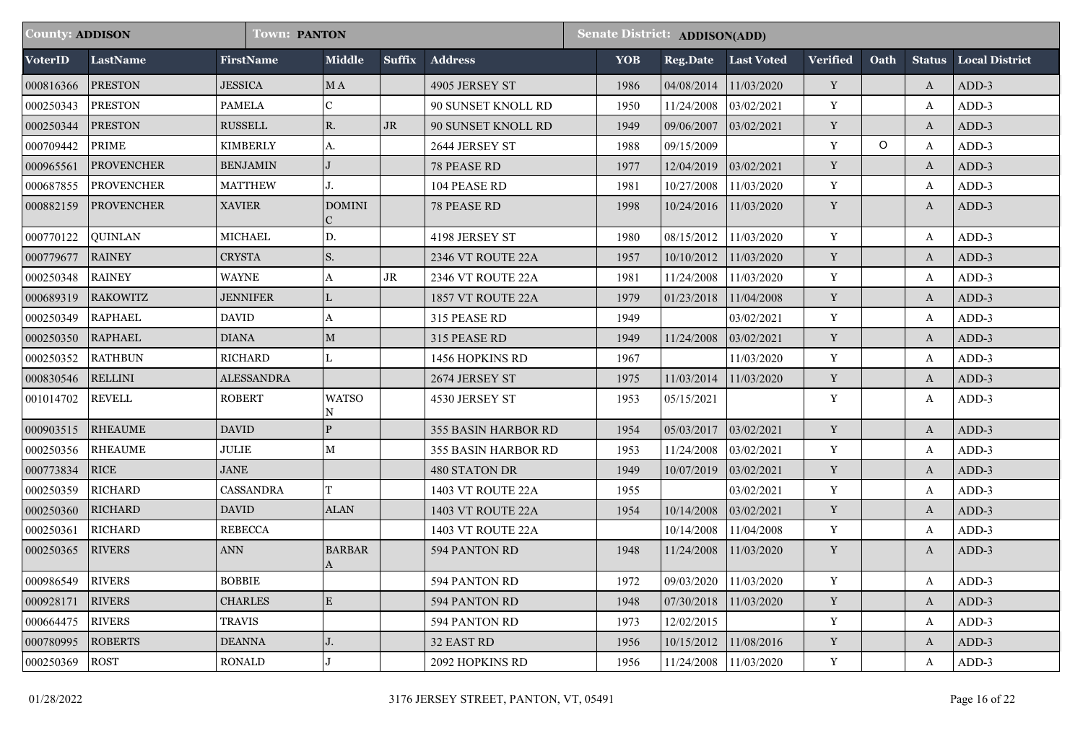|           | <b>County: ADDISON</b><br><b>Town: PANTON</b><br><b>FirstName</b> |                 |                   |                              |               |                            |  |            | Senate District: ADDISON(ADD) |                   |                 |         |              |                              |
|-----------|-------------------------------------------------------------------|-----------------|-------------------|------------------------------|---------------|----------------------------|--|------------|-------------------------------|-------------------|-----------------|---------|--------------|------------------------------|
| VoterID   | LastName                                                          |                 |                   | <b>Middle</b>                | <b>Suffix</b> | <b>Address</b>             |  | <b>YOB</b> | <b>Reg.Date</b>               | <b>Last Voted</b> | <b>Verified</b> | Oath    |              | <b>Status</b> Local District |
| 000816366 | <b>PRESTON</b>                                                    | <b>JESSICA</b>  |                   | MA                           |               | 4905 JERSEY ST             |  | 1986       | 04/08/2014                    | 11/03/2020        | $\mathbf Y$     |         | A            | $ADD-3$                      |
| 000250343 | <b>PRESTON</b>                                                    | <b>PAMELA</b>   |                   | $\mathbf C$                  |               | 90 SUNSET KNOLL RD         |  | 1950       | 11/24/2008                    | 03/02/2021        | $\mathbf Y$     |         | A            | $ADD-3$                      |
| 000250344 | <b>PRESTON</b>                                                    | <b>RUSSELL</b>  |                   | R.                           | $\rm J R$     | 90 SUNSET KNOLL RD         |  | 1949       | 09/06/2007                    | 03/02/2021        | Y               |         | A            | $ADD-3$                      |
| 000709442 | PRIME                                                             | <b>KIMBERLY</b> |                   | А.                           |               | 2644 JERSEY ST             |  | 1988       | 09/15/2009                    |                   | Y               | $\circ$ | A            | $ADD-3$                      |
| 000965561 | <b>PROVENCHER</b>                                                 | <b>BENJAMIN</b> |                   | J                            |               | 78 PEASE RD                |  | 1977       | 12/04/2019                    | 03/02/2021        | $\mathbf Y$     |         | A            | $ADD-3$                      |
| 000687855 | <b>PROVENCHER</b>                                                 | <b>MATTHEW</b>  |                   | J.                           |               | 104 PEASE RD               |  | 1981       | 10/27/2008                    | 11/03/2020        | $\mathbf Y$     |         | A            | $ADD-3$                      |
| 000882159 | <b>PROVENCHER</b>                                                 | <b>XAVIER</b>   |                   | <b>DOMINI</b><br>$\mathbf C$ |               | 78 PEASE RD                |  | 1998       | 10/24/2016                    | 11/03/2020        | $\mathbf Y$     |         | A            | $ADD-3$                      |
| 000770122 | <b>QUINLAN</b>                                                    | <b>MICHAEL</b>  |                   | D.                           |               | 4198 JERSEY ST             |  | 1980       | 08/15/2012                    | 11/03/2020        | Y               |         | A            | $ADD-3$                      |
| 000779677 | <b>RAINEY</b>                                                     | <b>CRYSTA</b>   |                   | S.                           |               | 2346 VT ROUTE 22A          |  | 1957       | 10/10/2012                    | 11/03/2020        | $\mathbf Y$     |         | A            | $ADD-3$                      |
| 000250348 | <b>RAINEY</b>                                                     | <b>WAYNE</b>    |                   | A                            | JR            | 2346 VT ROUTE 22A          |  | 1981       | 11/24/2008                    | 11/03/2020        | $\mathbf Y$     |         | A            | $ADD-3$                      |
| 000689319 | <b>RAKOWITZ</b>                                                   | <b>JENNIFER</b> |                   | L                            |               | 1857 VT ROUTE 22A          |  | 1979       | 01/23/2018                    | 11/04/2008        | Y               |         | A            | $ADD-3$                      |
| 000250349 | <b>RAPHAEL</b>                                                    | <b>DAVID</b>    |                   | A                            |               | 315 PEASE RD               |  | 1949       |                               | 03/02/2021        | $\mathbf Y$     |         | A            | $ADD-3$                      |
| 000250350 | <b>RAPHAEL</b>                                                    | <b>DIANA</b>    |                   | $\mathbf M$                  |               | 315 PEASE RD               |  | 1949       | 11/24/2008                    | 03/02/2021        | $\mathbf Y$     |         | A            | $ADD-3$                      |
| 000250352 | <b>RATHBUN</b>                                                    | <b>RICHARD</b>  |                   | L                            |               | 1456 HOPKINS RD            |  | 1967       |                               | 11/03/2020        | $\mathbf Y$     |         | A            | $ADD-3$                      |
| 000830546 | <b>RELLINI</b>                                                    |                 | <b>ALESSANDRA</b> |                              |               | 2674 JERSEY ST             |  | 1975       | 11/03/2014                    | 11/03/2020        | $\mathbf Y$     |         | $\mathbf{A}$ | $ADD-3$                      |
| 001014702 | <b>REVELL</b>                                                     | <b>ROBERT</b>   |                   | <b>WATSO</b><br>N            |               | 4530 JERSEY ST             |  | 1953       | 05/15/2021                    |                   | Y               |         | A            | $ADD-3$                      |
| 000903515 | <b>RHEAUME</b>                                                    | <b>DAVID</b>    |                   | $\mathbf P$                  |               | <b>355 BASIN HARBOR RD</b> |  | 1954       | 05/03/2017                    | 03/02/2021        | $\mathbf Y$     |         | $\mathbf{A}$ | $ADD-3$                      |
| 000250356 | <b>RHEAUME</b>                                                    | <b>JULIE</b>    |                   | M                            |               | <b>355 BASIN HARBOR RD</b> |  | 1953       | 11/24/2008                    | 03/02/2021        | Y               |         | A            | $ADD-3$                      |
| 000773834 | <b>RICE</b>                                                       | <b>JANE</b>     |                   |                              |               | 480 STATON DR              |  | 1949       | 10/07/2019                    | 03/02/2021        | Y               |         | A            | $ADD-3$                      |
| 000250359 | <b>RICHARD</b>                                                    |                 | CASSANDRA         | T                            |               | 1403 VT ROUTE 22A          |  | 1955       |                               | 03/02/2021        | $\mathbf Y$     |         | A            | $ADD-3$                      |
| 000250360 | <b>RICHARD</b>                                                    | <b>DAVID</b>    |                   | <b>ALAN</b>                  |               | 1403 VT ROUTE 22A          |  | 1954       | 10/14/2008                    | 03/02/2021        | $\mathbf Y$     |         | A            | $ADD-3$                      |
| 000250361 | <b>RICHARD</b>                                                    | <b>REBECCA</b>  |                   |                              |               | <b>1403 VT ROUTE 22A</b>   |  |            | 10/14/2008                    | 11/04/2008        | Y               |         | A            | $ADD-3$                      |
| 000250365 | <b>RIVERS</b>                                                     | <b>ANN</b>      |                   | <b>BARBAR</b><br> A          |               | 594 PANTON RD              |  | 1948       | 11/24/2008                    | 11/03/2020        | $\mathbf Y$     |         | A            | $ADD-3$                      |
| 000986549 | <b>RIVERS</b>                                                     | <b>BOBBIE</b>   |                   |                              |               | 594 PANTON RD              |  | 1972       | 09/03/2020                    | 11/03/2020        | $\mathbf Y$     |         | A            | $ADD-3$                      |
| 000928171 | <b>RIVERS</b>                                                     | <b>CHARLES</b>  |                   | ${\bf E}$                    |               | 594 PANTON RD              |  | 1948       | 07/30/2018                    | 11/03/2020        | $\mathbf Y$     |         | A            | $ADD-3$                      |
| 000664475 | <b>RIVERS</b>                                                     | <b>TRAVIS</b>   |                   |                              |               | 594 PANTON RD              |  | 1973       | 12/02/2015                    |                   | $\mathbf Y$     |         | A            | $ADD-3$                      |
| 000780995 | <b>ROBERTS</b>                                                    | <b>DEANNA</b>   |                   | $\mathbf{J}.$                |               | 32 EAST RD                 |  | 1956       | 10/15/2012                    | 11/08/2016        | $\mathbf Y$     |         | A            | $ADD-3$                      |
| 000250369 | <b>ROST</b>                                                       | <b>RONALD</b>   |                   |                              |               | 2092 HOPKINS RD            |  | 1956       | 11/24/2008                    | 11/03/2020        | $\mathbf Y$     |         | A            | $ADD-3$                      |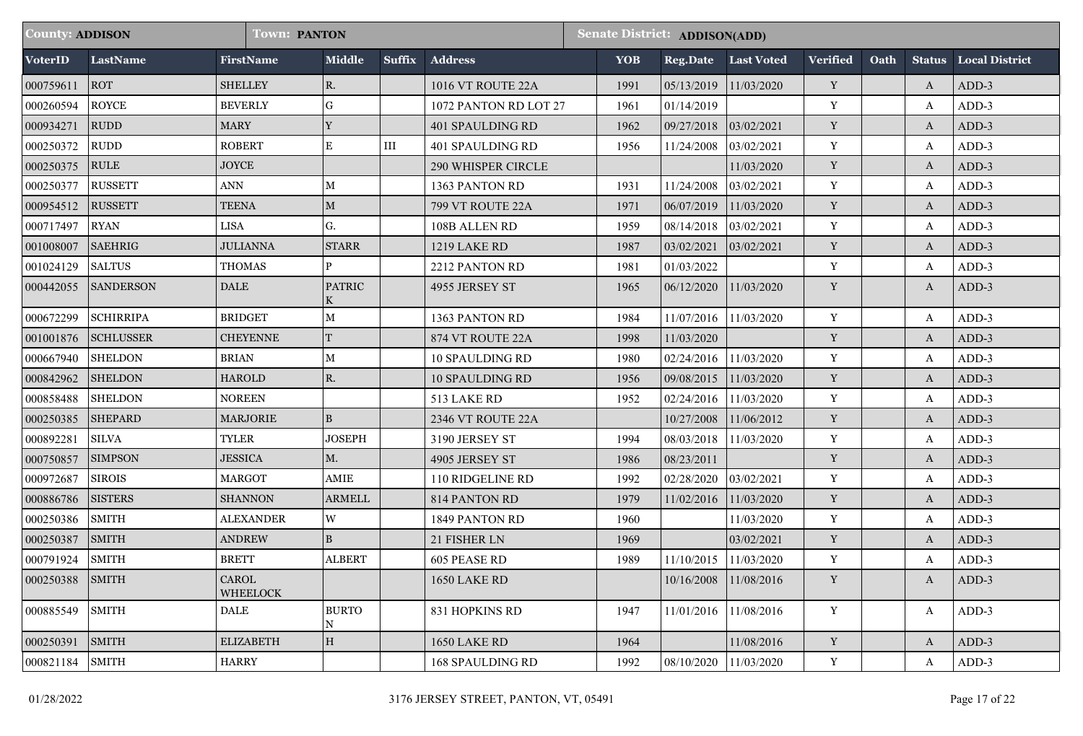| <b>County: ADDISON</b> |                        |                 | <b>Town: PANTON</b> |                    |               |                           | Senate District: ADDISON(ADD) |                 |                   |                 |      |                  |                              |
|------------------------|------------------------|-----------------|---------------------|--------------------|---------------|---------------------------|-------------------------------|-----------------|-------------------|-----------------|------|------------------|------------------------------|
| <b>VoterID</b>         | <b>LastName</b>        | FirstName       |                     | <b>Middle</b>      | <b>Suffix</b> | <b>Address</b>            | <b>YOB</b>                    | <b>Reg.Date</b> | <b>Last Voted</b> | <b>Verified</b> | Oath |                  | <b>Status</b> Local District |
| 000759611              | <b>ROT</b>             | <b>SHELLEY</b>  |                     | R.                 |               | 1016 VT ROUTE 22A         | 1991                          | 05/13/2019      | 11/03/2020        | $\mathbf Y$     |      | A                | $ADD-3$                      |
| 000260594              | <b>ROYCE</b>           | <b>BEVERLY</b>  |                     | ${\bf G}$          |               | 1072 PANTON RD LOT 27     | 1961                          | 01/14/2019      |                   | $\mathbf Y$     |      | A                | $ADD-3$                      |
| 000934271              | <b>RUDD</b>            | <b>MARY</b>     |                     | $\mathbf Y$        |               | <b>401 SPAULDING RD</b>   | 1962                          | 09/27/2018      | 03/02/2021        | Y               |      | A                | $ADD-3$                      |
| 000250372              | <b>RUDD</b>            | <b>ROBERT</b>   |                     | ${\bf E}$          | $\rm III$     | <b>401 SPAULDING RD</b>   | 1956                          | 11/24/2008      | 03/02/2021        | $\mathbf Y$     |      | A                | $ADD-3$                      |
| 000250375              | $\operatorname{RULE}$  | <b>JOYCE</b>    |                     |                    |               | <b>290 WHISPER CIRCLE</b> |                               |                 | 11/03/2020        | $\mathbf Y$     |      | A                | $ADD-3$                      |
| 000250377              | <b>RUSSETT</b>         | <b>ANN</b>      |                     | $\mathbf M$        |               | 1363 PANTON RD            | 1931                          | 11/24/2008      | 03/02/2021        | $\mathbf Y$     |      | A                | $ADD-3$                      |
| 000954512              | <b>RUSSETT</b>         | <b>TEENA</b>    |                     | $\mathbf M$        |               | 799 VT ROUTE 22A          | 1971                          | 06/07/2019      | 11/03/2020        | $\mathbf Y$     |      | A                | $ADD-3$                      |
| 000717497              | <b>RYAN</b>            | <b>LISA</b>     |                     | G.                 |               | 108B ALLEN RD             | 1959                          | 08/14/2018      | 03/02/2021        | Y               |      | A                | $ADD-3$                      |
| 001008007              | <b>SAEHRIG</b>         | <b>JULIANNA</b> |                     | <b>STARR</b>       |               | 1219 LAKE RD              | 1987                          | 03/02/2021      | 03/02/2021        | Y               |      | A                | $ADD-3$                      |
| 001024129              | <b>SALTUS</b>          | <b>THOMAS</b>   |                     | P                  |               | 2212 PANTON RD            | 1981                          | 01/03/2022      |                   | $\mathbf Y$     |      | A                | $ADD-3$                      |
| 000442055              | <b>SANDERSON</b>       | <b>DALE</b>     |                     | <b>PATRIC</b><br>K |               | 4955 JERSEY ST            | 1965                          | 06/12/2020      | 11/03/2020        | $\mathbf Y$     |      | A                | $ADD-3$                      |
| 000672299              | <b>SCHIRRIPA</b>       | <b>BRIDGET</b>  |                     | $\mathbf M$        |               | 1363 PANTON RD            | 1984                          | 11/07/2016      | 11/03/2020        | $\mathbf Y$     |      | A                | $ADD-3$                      |
| 001001876              | <b>SCHLUSSER</b>       | <b>CHEYENNE</b> |                     | $\mathbf T$        |               | 874 VT ROUTE 22A          | 1998                          | 11/03/2020      |                   | Y               |      | A                | $ADD-3$                      |
| 000667940              | <b>SHELDON</b>         | <b>BRIAN</b>    |                     | $\mathbf M$        |               | <b>10 SPAULDING RD</b>    | 1980                          | 02/24/2016      | 11/03/2020        | $\mathbf Y$     |      | A                | $ADD-3$                      |
| 000842962              | <b>SHELDON</b>         | <b>HAROLD</b>   |                     | ${\bf R}.$         |               | <b>10 SPAULDING RD</b>    | 1956                          | 09/08/2015      | 11/03/2020        | Y               |      | $\boldsymbol{A}$ | $ADD-3$                      |
| 000858488              | <b>SHELDON</b>         | <b>NOREEN</b>   |                     |                    |               | 513 LAKE RD               | 1952                          | 02/24/2016      | 11/03/2020        | Y               |      | A                | $ADD-3$                      |
| 000250385              | <b>SHEPARD</b>         | <b>MARJORIE</b> |                     | $\mathbf B$        |               | 2346 VT ROUTE 22A         |                               | 10/27/2008      | 11/06/2012        | $\mathbf Y$     |      | A                | $ADD-3$                      |
| 000892281              | <b>SILVA</b>           | <b>TYLER</b>    |                     | <b>JOSEPH</b>      |               | 3190 JERSEY ST            | 1994                          | 08/03/2018      | 11/03/2020        | $\mathbf Y$     |      | A                | $ADD-3$                      |
| 000750857              | <b>SIMPSON</b>         | <b>JESSICA</b>  |                     | M.                 |               | 4905 JERSEY ST            | 1986                          | 08/23/2011      |                   | $\mathbf Y$     |      | A                | $ADD-3$                      |
| 000972687              | <b>SIROIS</b>          | <b>MARGOT</b>   |                     | AMIE               |               | 110 RIDGELINE RD          | 1992                          | 02/28/2020      | 03/02/2021        | Y               |      | A                | $ADD-3$                      |
| 000886786              | <b>SISTERS</b>         | <b>SHANNON</b>  |                     | <b>ARMELL</b>      |               | 814 PANTON RD             | 1979                          | 11/02/2016      | 11/03/2020        | Y               |      | A                | $ADD-3$                      |
| 000250386              | <b>SMITH</b>           |                 | <b>ALEXANDER</b>    | W                  |               | 1849 PANTON RD            | 1960                          |                 | 11/03/2020        | $\mathbf Y$     |      | A                | $ADD-3$                      |
| 000250387              | <b>SMITH</b>           | <b>ANDREW</b>   |                     | $\, {\bf B}$       |               | 21 FISHER LN              | 1969                          |                 | 03/02/2021        | Y               |      | A                | $ADD-3$                      |
| 000791924 SMITH        |                        | <b>BRETT</b>    |                     | <b>ALBERT</b>      |               | 605 PEASE RD              | 1989                          | 11/10/2015      | 11/03/2020        | $\mathbf Y$     |      | A                | $ADD-3$                      |
| 000250388              | <b>SMITH</b>           | CAROL           | WHEELOCK            |                    |               | <b>1650 LAKE RD</b>       |                               | 10/16/2008      | 11/08/2016        | Y               |      | A                | $ADD-3$                      |
| 000885549              | <b>SMITH</b>           | <b>DALE</b>     |                     | <b>BURTO</b><br>N  |               | 831 HOPKINS RD            | 1947                          | 11/01/2016      | 11/08/2016        | $\mathbf Y$     |      | A                | $ADD-3$                      |
| 000250391              | <b>SMITH</b>           |                 | <b>ELIZABETH</b>    | $\rm H$            |               | 1650 LAKE RD              | 1964                          |                 | 11/08/2016        | $\mathbf Y$     |      | $\boldsymbol{A}$ | $ADD-3$                      |
| 000821184              | $\operatorname{SMITH}$ | <b>HARRY</b>    |                     |                    |               | <b>168 SPAULDING RD</b>   | 1992                          | 08/10/2020      | 11/03/2020        | $\mathbf Y$     |      | A                | $ADD-3$                      |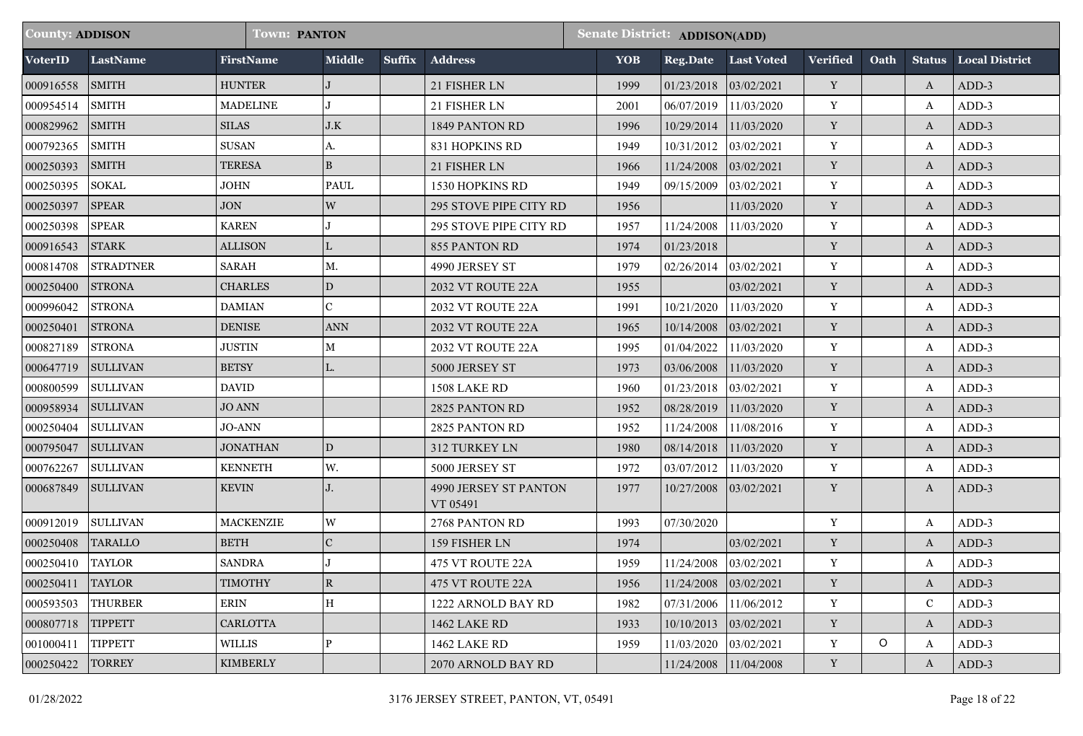| <b>County: ADDISON</b> |                  |                | <b>Town: PANTON</b> |                 |               |                                   | <b>Senate District: ADDISON(ADD)</b> |            |                         |                   |                 |         |                  |                              |  |
|------------------------|------------------|----------------|---------------------|-----------------|---------------|-----------------------------------|--------------------------------------|------------|-------------------------|-------------------|-----------------|---------|------------------|------------------------------|--|
| <b>VoterID</b>         | LastName         |                | FirstName           | <b>Middle</b>   | <b>Suffix</b> | <b>Address</b>                    |                                      | <b>YOB</b> | <b>Reg.Date</b>         | <b>Last Voted</b> | <b>Verified</b> | Oath    |                  | <b>Status</b> Local District |  |
| 000916558              | <b>SMITH</b>     | <b>HUNTER</b>  |                     |                 |               | 21 FISHER LN                      |                                      | 1999       | 01/23/2018              | 03/02/2021        | $\mathbf Y$     |         | A                | $ADD-3$                      |  |
| 000954514              | <b>SMITH</b>     |                | <b>MADELINE</b>     | T.              |               | 21 FISHER LN                      |                                      | 2001       | 06/07/2019              | 11/03/2020        | $\mathbf Y$     |         | A                | $ADD-3$                      |  |
| 000829962              | <b>SMITH</b>     | <b>SILAS</b>   |                     | J.K             |               | 1849 PANTON RD                    |                                      | 1996       | 10/29/2014              | 11/03/2020        | $\mathbf Y$     |         | A                | $ADD-3$                      |  |
| 000792365              | <b>SMITH</b>     | <b>SUSAN</b>   |                     | A.              |               | 831 HOPKINS RD                    |                                      | 1949       | 10/31/2012              | 03/02/2021        | $\mathbf Y$     |         | A                | $ADD-3$                      |  |
| 000250393              | <b>SMITH</b>     | <b>TERESA</b>  |                     | $\, {\bf B} \,$ |               | 21 FISHER LN                      |                                      | 1966       | 11/24/2008              | 03/02/2021        | $\mathbf Y$     |         | A                | $ADD-3$                      |  |
| 000250395              | <b>SOKAL</b>     | <b>JOHN</b>    |                     | PAUL            |               | 1530 HOPKINS RD                   |                                      | 1949       | 09/15/2009              | 03/02/2021        | $\mathbf Y$     |         | A                | ADD-3                        |  |
| 000250397              | <b>SPEAR</b>     | <b>JON</b>     |                     | W               |               | 295 STOVE PIPE CITY RD            |                                      | 1956       |                         | 11/03/2020        | $\mathbf Y$     |         | A                | $ADD-3$                      |  |
| 000250398              | <b>SPEAR</b>     | <b>KAREN</b>   |                     |                 |               | 295 STOVE PIPE CITY RD            |                                      | 1957       | 11/24/2008              | 11/03/2020        | $\mathbf Y$     |         | A                | $ADD-3$                      |  |
| 000916543              | <b>STARK</b>     | <b>ALLISON</b> |                     | L               |               | 855 PANTON RD                     |                                      | 1974       | 01/23/2018              |                   | Y               |         | A                | $ADD-3$                      |  |
| 000814708              | <b>STRADTNER</b> | <b>SARAH</b>   |                     | M.              |               | 4990 JERSEY ST                    |                                      | 1979       | 02/26/2014              | 03/02/2021        | Y               |         | A                | $ADD-3$                      |  |
| 000250400              | <b>STRONA</b>    | <b>CHARLES</b> |                     | D               |               | 2032 VT ROUTE 22A                 |                                      | 1955       |                         | 03/02/2021        | $\mathbf Y$     |         | A                | $ADD-3$                      |  |
| 000996042              | <b>STRONA</b>    | <b>DAMIAN</b>  |                     | $\mathbf{C}$    |               | 2032 VT ROUTE 22A                 |                                      | 1991       | 10/21/2020              | 11/03/2020        | $\mathbf Y$     |         | A                | $ADD-3$                      |  |
| 000250401              | <b>STRONA</b>    | <b>DENISE</b>  |                     | <b>ANN</b>      |               | 2032 VT ROUTE 22A                 |                                      | 1965       | 10/14/2008              | 03/02/2021        | $\mathbf Y$     |         | A                | $ADD-3$                      |  |
| 000827189              | <b>STRONA</b>    | <b>JUSTIN</b>  |                     | М               |               | <b>2032 VT ROUTE 22A</b>          |                                      | 1995       | 01/04/2022              | 11/03/2020        | $\mathbf Y$     |         | A                | $ADD-3$                      |  |
| 000647719              | <b>SULLIVAN</b>  | <b>BETSY</b>   |                     | L.              |               | 5000 JERSEY ST                    |                                      | 1973       | 03/06/2008              | 11/03/2020        | $\mathbf Y$     |         | A                | $ADD-3$                      |  |
| 000800599              | <b>SULLIVAN</b>  | <b>DAVID</b>   |                     |                 |               | 1508 LAKE RD                      |                                      | 1960       | 01/23/2018              | 03/02/2021        | $\mathbf Y$     |         | A                | $ADD-3$                      |  |
| 000958934              | <b>SULLIVAN</b>  | <b>JO ANN</b>  |                     |                 |               | 2825 PANTON RD                    |                                      | 1952       | 08/28/2019              | 11/03/2020        | $\mathbf Y$     |         | $\boldsymbol{A}$ | $ADD-3$                      |  |
| 000250404              | <b>SULLIVAN</b>  | JO-ANN         |                     |                 |               | 2825 PANTON RD                    |                                      | 1952       | 11/24/2008              | 11/08/2016        | $\mathbf Y$     |         | A                | $ADD-3$                      |  |
| 000795047              | <b>SULLIVAN</b>  |                | <b>JONATHAN</b>     | D               |               | 312 TURKEY LN                     |                                      | 1980       | 08/14/2018              | 11/03/2020        | $\mathbf Y$     |         | A                | $ADD-3$                      |  |
| 000762267              | <b>SULLIVAN</b>  | <b>KENNETH</b> |                     | W.              |               | 5000 JERSEY ST                    |                                      | 1972       | 03/07/2012              | 11/03/2020        | Y               |         | A                | $ADD-3$                      |  |
| 000687849              | <b>SULLIVAN</b>  | <b>KEVIN</b>   |                     | J.              |               | 4990 JERSEY ST PANTON<br>VT 05491 |                                      | 1977       | 10/27/2008              | 03/02/2021        | Y               |         | A                | $ADD-3$                      |  |
| 000912019              | <b>SULLIVAN</b>  |                | <b>MACKENZIE</b>    | W               |               | 2768 PANTON RD                    |                                      | 1993       | 07/30/2020              |                   | Y               |         | A                | $ADD-3$                      |  |
| 000250408              | <b>TARALLO</b>   | <b>BETH</b>    |                     | $\mathbf C$     |               | 159 FISHER LN                     |                                      | 1974       |                         | 03/02/2021        | Y               |         | A                | $ADD-3$                      |  |
| 000250410              | <b>TAYLOR</b>    | <b>SANDRA</b>  |                     | J               |               | 475 VT ROUTE 22A                  |                                      | 1959       | $11/24/2008$ 03/02/2021 |                   | Y               |         | A                | ADD-3                        |  |
| 000250411              | <b>TAYLOR</b>    | <b>TIMOTHY</b> |                     | $\mathbf R$     |               | 475 VT ROUTE 22A                  |                                      | 1956       | 11/24/2008              | 03/02/2021        | $\mathbf Y$     |         | A                | $ADD-3$                      |  |
| 000593503              | THURBER          | ERIN           |                     | $H_{\parallel}$ |               | 1222 ARNOLD BAY RD                |                                      | 1982       | 07/31/2006              | 11/06/2012        | $\mathbf Y$     |         | $\mathbf C$      | $ADD-3$                      |  |
| 000807718              | <b>TIPPETT</b>   |                | <b>CARLOTTA</b>     |                 |               | 1462 LAKE RD                      |                                      | 1933       | 10/10/2013              | 03/02/2021        | Y               |         | A                | $ADD-3$                      |  |
| 001000411              | <b>TIPPETT</b>   | WILLIS         |                     | P               |               | 1462 LAKE RD                      |                                      | 1959       | 11/03/2020              | 03/02/2021        | $\mathbf Y$     | $\circ$ | A                | $ADD-3$                      |  |
| 000250422              | <b>TORREY</b>    |                | KIMBERLY            |                 |               | 2070 ARNOLD BAY RD                |                                      |            | 11/24/2008              | 11/04/2008        | $\mathbf Y$     |         | A                | $ADD-3$                      |  |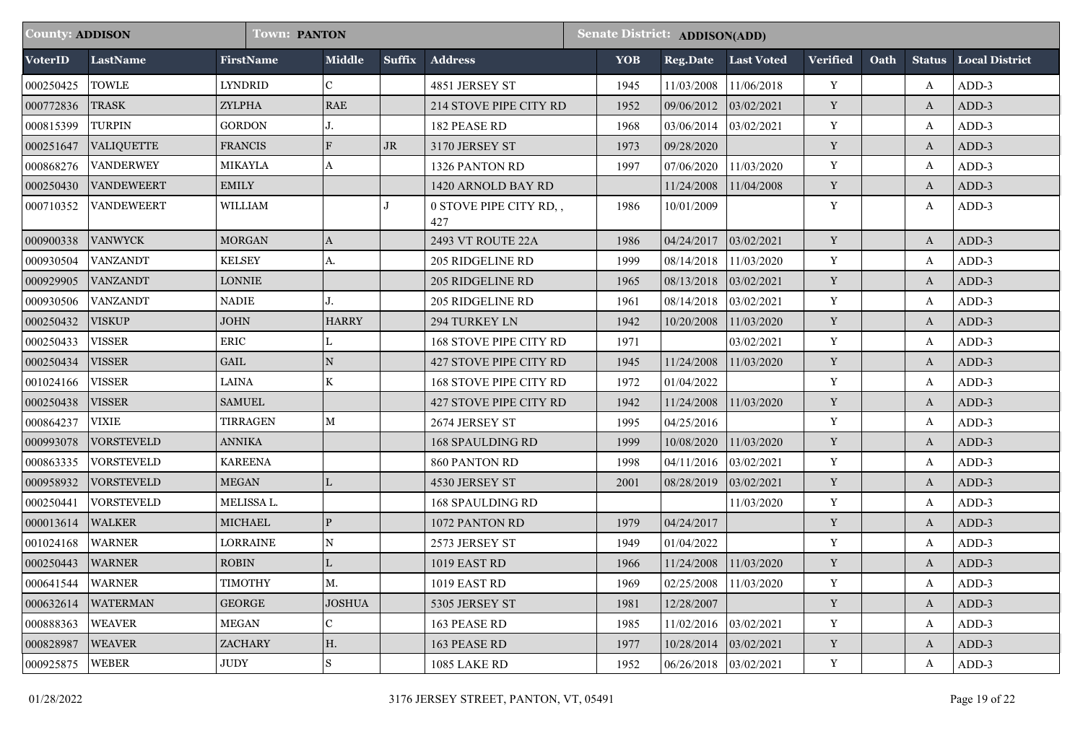|                | <b>County: ADDISON</b><br><b>Town: PANTON</b> |                 |  |                |               |                               |  | <b>Senate District: ADDISON(ADD)</b> |                         |                   |                 |      |                  |                              |
|----------------|-----------------------------------------------|-----------------|--|----------------|---------------|-------------------------------|--|--------------------------------------|-------------------------|-------------------|-----------------|------|------------------|------------------------------|
| <b>VoterID</b> | LastName                                      | FirstName       |  | <b>Middle</b>  | <b>Suffix</b> | <b>Address</b>                |  | <b>YOB</b>                           | <b>Reg.Date</b>         | <b>Last Voted</b> | <b>Verified</b> | Oath |                  | <b>Status</b> Local District |
| 000250425      | <b>TOWLE</b>                                  | LYNDRID         |  | $\mathbf{C}$   |               | 4851 JERSEY ST                |  | 1945                                 | 11/03/2008              | 11/06/2018        | $\mathbf Y$     |      | A                | $ADD-3$                      |
| 000772836      | <b>TRASK</b>                                  | <b>ZYLPHA</b>   |  | RAE            |               | 214 STOVE PIPE CITY RD        |  | 1952                                 | 09/06/2012              | 03/02/2021        | $\mathbf Y$     |      | A                | $ADD-3$                      |
| 000815399      | <b>TURPIN</b>                                 | <b>GORDON</b>   |  | J.             |               | 182 PEASE RD                  |  | 1968                                 | 03/06/2014              | 03/02/2021        | $\mathbf Y$     |      | A                | $ADD-3$                      |
| 000251647      | <b>VALIQUETTE</b>                             | <b>FRANCIS</b>  |  | $\mathbf{F}$   | JR            | 3170 JERSEY ST                |  | 1973                                 | 09/28/2020              |                   | $\mathbf Y$     |      | A                | $ADD-3$                      |
| 000868276      | <b>VANDERWEY</b>                              | <b>MIKAYLA</b>  |  | A              |               | 1326 PANTON RD                |  | 1997                                 | 07/06/2020              | 11/03/2020        | $\mathbf Y$     |      | A                | $ADD-3$                      |
| 000250430      | <b>VANDEWEERT</b>                             | <b>EMILY</b>    |  |                |               | 1420 ARNOLD BAY RD            |  |                                      | 11/24/2008              | 11/04/2008        | $\mathbf Y$     |      | A                | $ADD-3$                      |
| 000710352      | <b>VANDEWEERT</b>                             | <b>WILLIAM</b>  |  |                | $\mathbf{J}$  | 0 STOVE PIPE CITY RD,,<br>427 |  | 1986                                 | 10/01/2009              |                   | $\mathbf Y$     |      | A                | $ADD-3$                      |
| 000900338      | <b>VANWYCK</b>                                | <b>MORGAN</b>   |  | A              |               | 2493 VT ROUTE 22A             |  | 1986                                 | 04/24/2017              | 03/02/2021        | $\mathbf Y$     |      | A                | $ADD-3$                      |
| 000930504      | <b>VANZANDT</b>                               | <b>KELSEY</b>   |  | A.             |               | <b>205 RIDGELINE RD</b>       |  | 1999                                 | 08/14/2018              | 11/03/2020        | Y               |      | A                | $ADD-3$                      |
| 000929905      | <b>VANZANDT</b>                               | <b>LONNIE</b>   |  |                |               | <b>205 RIDGELINE RD</b>       |  | 1965                                 | 08/13/2018              | 03/02/2021        | $\mathbf Y$     |      | A                | $ADD-3$                      |
| 000930506      | <b>VANZANDT</b>                               | <b>NADIE</b>    |  | J.             |               | <b>205 RIDGELINE RD</b>       |  | 1961                                 | 08/14/2018              | 03/02/2021        | $\mathbf Y$     |      | A                | $ADD-3$                      |
| 000250432      | <b>VISKUP</b>                                 | <b>JOHN</b>     |  | <b>HARRY</b>   |               | 294 TURKEY LN                 |  | 1942                                 | 10/20/2008              | 11/03/2020        | $\mathbf Y$     |      | A                | $ADD-3$                      |
| 000250433      | <b>VISSER</b>                                 | ERIC            |  | L              |               | 168 STOVE PIPE CITY RD        |  | 1971                                 |                         | 03/02/2021        | $\mathbf Y$     |      | A                | $ADD-3$                      |
| 000250434      | <b>VISSER</b>                                 | GAIL            |  | $\overline{N}$ |               | 427 STOVE PIPE CITY RD        |  | 1945                                 | 11/24/2008              | 11/03/2020        | $\mathbf Y$     |      | A                | $ADD-3$                      |
| 001024166      | <b>VISSER</b>                                 | <b>LAINA</b>    |  | K              |               | 168 STOVE PIPE CITY RD        |  | 1972                                 | 01/04/2022              |                   | $\mathbf Y$     |      | A                | $ADD-3$                      |
| 000250438      | <b>VISSER</b>                                 | <b>SAMUEL</b>   |  |                |               | 427 STOVE PIPE CITY RD        |  | 1942                                 | 11/24/2008              | 11/03/2020        | $\mathbf Y$     |      | A                | $ADD-3$                      |
| 000864237      | <b>VIXIE</b>                                  | TIRRAGEN        |  | $\mathbf M$    |               | 2674 JERSEY ST                |  | 1995                                 | 04/25/2016              |                   | $\mathbf Y$     |      | A                | $ADD-3$                      |
| 000993078      | <b>VORSTEVELD</b>                             | <b>ANNIKA</b>   |  |                |               | <b>168 SPAULDING RD</b>       |  | 1999                                 | 10/08/2020              | 11/03/2020        | $\mathbf Y$     |      | A                | $ADD-3$                      |
| 000863335      | <b>VORSTEVELD</b>                             | <b>KAREENA</b>  |  |                |               | <b>860 PANTON RD</b>          |  | 1998                                 | 04/11/2016              | 03/02/2021        | $\mathbf Y$     |      | A                | $ADD-3$                      |
| 000958932      | <b>VORSTEVELD</b>                             | <b>MEGAN</b>    |  | L              |               | 4530 JERSEY ST                |  | 2001                                 | 08/28/2019              | 03/02/2021        | $\mathbf Y$     |      | A                | $ADD-3$                      |
| 000250441      | <b>VORSTEVELD</b>                             | MELISSA L.      |  |                |               | <b>168 SPAULDING RD</b>       |  |                                      |                         | 11/03/2020        | $\mathbf Y$     |      | A                | $ADD-3$                      |
| 000013614      | <b>WALKER</b>                                 | <b>MICHAEL</b>  |  | P.             |               | 1072 PANTON RD                |  | 1979                                 | 04/24/2017              |                   | $\mathbf Y$     |      | $\boldsymbol{A}$ | $ADD-3$                      |
| 001024168      | <b>WARNER</b>                                 | <b>LORRAINE</b> |  | $\mathbf N$    |               | 2573 JERSEY ST                |  | 1949                                 | 01/04/2022              |                   | $\mathbf Y$     |      | A                | ADD-3                        |
| 000250443      | <b>WARNER</b>                                 | <b>ROBIN</b>    |  | L              |               | 1019 EAST RD                  |  | 1966                                 | $11/24/2008$ 11/03/2020 |                   | Y               |      | A                | ADD-3                        |
| 000641544      | <b>WARNER</b>                                 | <b>TIMOTHY</b>  |  | M.             |               | 1019 EAST RD                  |  | 1969                                 | 02/25/2008              | 11/03/2020        | Y               |      | A                | $ADD-3$                      |
| 000632614      | <b>WATERMAN</b>                               | GEORGE          |  | <b>JOSHUA</b>  |               | 5305 JERSEY ST                |  | 1981                                 | 12/28/2007              |                   | $\mathbf Y$     |      | A                | $ADD-3$                      |
| 000888363      | <b>WEAVER</b>                                 | <b>MEGAN</b>    |  | $\mathbf C$    |               | 163 PEASE RD                  |  | 1985                                 | 11/02/2016              | 03/02/2021        | $\mathbf Y$     |      | A                | $ADD-3$                      |
| 000828987      | <b>WEAVER</b>                                 | ZACHARY         |  | H.             |               | 163 PEASE RD                  |  | 1977                                 | 10/28/2014              | 03/02/2021        | $\mathbf Y$     |      | A                | $ADD-3$                      |
| 000925875      | WEBER                                         | <b>JUDY</b>     |  | ${\bf S}$      |               | 1085 LAKE RD                  |  | 1952                                 | 06/26/2018 03/02/2021   |                   | $\mathbf Y$     |      | A                | $ADD-3$                      |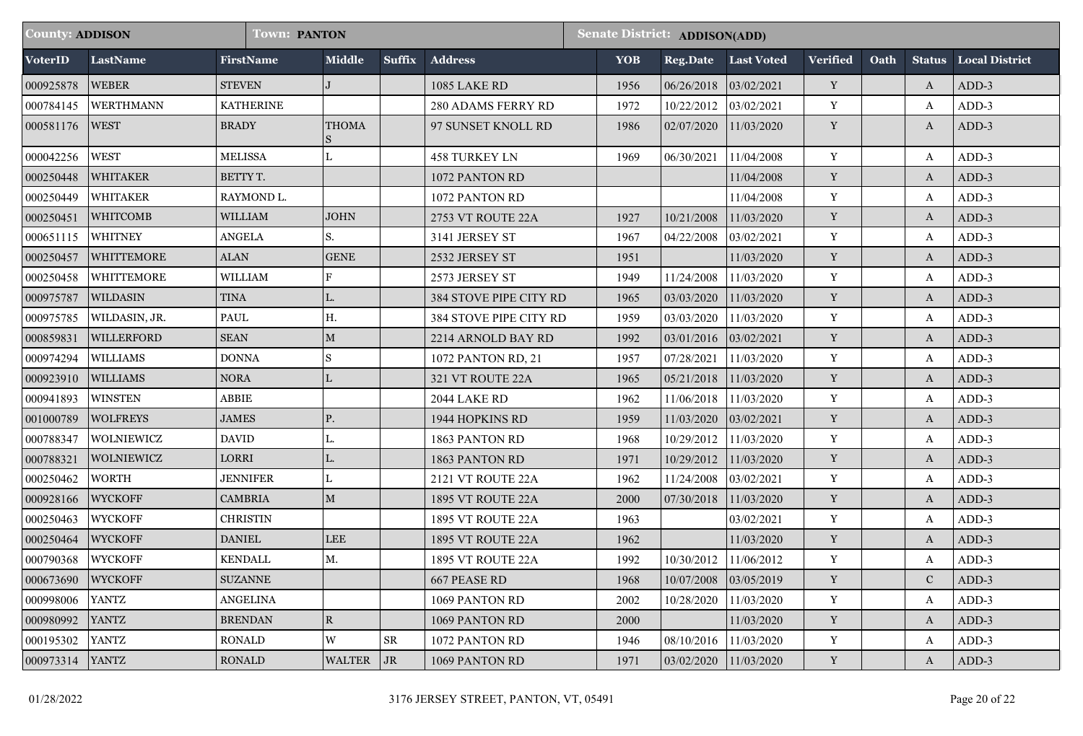| <b>County: ADDISON</b> |                  | <b>Town: PANTON</b> |                         |               |                               | Senate District: ADDISON(ADD) |                         |                   |                 |      |              |                              |
|------------------------|------------------|---------------------|-------------------------|---------------|-------------------------------|-------------------------------|-------------------------|-------------------|-----------------|------|--------------|------------------------------|
| VoterID                | <b>LastName</b>  | <b>FirstName</b>    | <b>Middle</b>           | <b>Suffix</b> | <b>Address</b>                | <b>YOB</b>                    | <b>Reg.Date</b>         | <b>Last Voted</b> | <b>Verified</b> | Oath |              | <b>Status</b> Local District |
| 000925878              | <b>WEBER</b>     | <b>STEVEN</b>       |                         |               | 1085 LAKE RD                  | 1956                          | 06/26/2018              | 03/02/2021        | $\mathbf Y$     |      | A            | $ADD-3$                      |
| 000784145              | <b>WERTHMANN</b> | <b>KATHERINE</b>    |                         |               | 280 ADAMS FERRY RD            | 1972                          | 10/22/2012              | 03/02/2021        | $\mathbf Y$     |      | A            | $ADD-3$                      |
| 000581176              | <b>WEST</b>      | <b>BRADY</b>        | <b>THOMA</b>            |               | 97 SUNSET KNOLL RD            | 1986                          | 02/07/2020              | 11/03/2020        | Y               |      | A            | $ADD-3$                      |
| 000042256              | <b>WEST</b>      | <b>MELISSA</b>      | L                       |               | <b>458 TURKEY LN</b>          | 1969                          | 06/30/2021              | 11/04/2008        | $\mathbf Y$     |      | A            | $ADD-3$                      |
| 000250448              | WHITAKER         | BETTY T.            |                         |               | 1072 PANTON RD                |                               |                         | 11/04/2008        | Y               |      | A            | $ADD-3$                      |
| 000250449              | WHITAKER         | RAYMOND L.          |                         |               | 1072 PANTON RD                |                               |                         | 11/04/2008        | Y               |      | A            | $ADD-3$                      |
| 000250451              | WHITCOMB         | <b>WILLIAM</b>      | <b>JOHN</b>             |               | 2753 VT ROUTE 22A             | 1927                          | 10/21/2008              | 11/03/2020        | $\mathbf Y$     |      | A            | $ADD-3$                      |
| 000651115              | <b>WHITNEY</b>   | <b>ANGELA</b>       | S.                      |               | 3141 JERSEY ST                | 1967                          | 04/22/2008              | 03/02/2021        | Y               |      | A            | $ADD-3$                      |
| 000250457              | WHITTEMORE       | <b>ALAN</b>         | <b>GENE</b>             |               | 2532 JERSEY ST                | 1951                          |                         | 11/03/2020        | $\mathbf Y$     |      | A            | $ADD-3$                      |
| 000250458              | WHITTEMORE       | <b>WILLIAM</b>      | F                       |               | 2573 JERSEY ST                | 1949                          | 11/24/2008              | 11/03/2020        | $\mathbf Y$     |      | A            | $ADD-3$                      |
| 000975787              | <b>WILDASIN</b>  | <b>TINA</b>         | L.                      |               | 384 STOVE PIPE CITY RD        | 1965                          | 03/03/2020              | 11/03/2020        | Y               |      | A            | $ADD-3$                      |
| 000975785              | WILDASIN, JR.    | PAUL                | H.                      |               | <b>384 STOVE PIPE CITY RD</b> | 1959                          | 03/03/2020              | 11/03/2020        | $\mathbf Y$     |      | A            | $ADD-3$                      |
| 000859831              | WILLERFORD       | <b>SEAN</b>         | $\mathbf M$             |               | 2214 ARNOLD BAY RD            | 1992                          | 03/01/2016              | 03/02/2021        | $\mathbf Y$     |      | A            | $ADD-3$                      |
| 000974294              | <b>WILLIAMS</b>  | <b>DONNA</b>        | S                       |               | 1072 PANTON RD, 21            | 1957                          | 07/28/2021              | 11/03/2020        | $\mathbf Y$     |      | A            | $ADD-3$                      |
| 000923910              | <b>WILLIAMS</b>  | <b>NORA</b>         | L                       |               | 321 VT ROUTE 22A              | 1965                          | 05/21/2018              | 11/03/2020        | Y               |      | A            | $ADD-3$                      |
| 000941893              | <b>WINSTEN</b>   | ABBIE               |                         |               | 2044 LAKE RD                  | 1962                          | 11/06/2018              | 11/03/2020        | Y               |      | A            | $ADD-3$                      |
| 001000789              | <b>WOLFREYS</b>  | <b>JAMES</b>        | P.                      |               | 1944 HOPKINS RD               | 1959                          | 11/03/2020              | 03/02/2021        | $\mathbf Y$     |      | A            | $ADD-3$                      |
| 000788347              | WOLNIEWICZ       | <b>DAVID</b>        | L.                      |               | 1863 PANTON RD                | 1968                          | 10/29/2012              | 11/03/2020        | Y               |      | A            | ADD-3                        |
| 000788321              | WOLNIEWICZ       | <b>LORRI</b>        | L.                      |               | 1863 PANTON RD                | 1971                          | 10/29/2012              | 11/03/2020        | $\mathbf Y$     |      | A            | $ADD-3$                      |
| 000250462              | <b>WORTH</b>     | <b>JENNIFER</b>     | L                       |               | 2121 VT ROUTE 22A             | 1962                          | 11/24/2008              | 03/02/2021        | Y               |      | A            | $ADD-3$                      |
| 000928166              | <b>WYCKOFF</b>   | <b>CAMBRIA</b>      | $\mathbf M$             |               | 1895 VT ROUTE 22A             | 2000                          | 07/30/2018              | 11/03/2020        | Y               |      | A            | $ADD-3$                      |
| 000250463              | <b>WYCKOFF</b>   | <b>CHRISTIN</b>     |                         |               | 1895 VT ROUTE 22A             | 1963                          |                         | 03/02/2021        | $\mathbf Y$     |      | A            | $ADD-3$                      |
| 000250464              | <b>WYCKOFF</b>   | <b>DANIEL</b>       | <b>LEE</b>              |               | 1895 VT ROUTE 22A             | 1962                          |                         | 11/03/2020        | Y               |      | A            | $ADD-3$                      |
| 000790368              | <b>WYCKOFF</b>   | KENDALL             | M.                      |               | 1895 VT ROUTE 22A             | 1992                          | $10/30/2012$ 11/06/2012 |                   | $\mathbf Y$     |      | A            | $ADD-3$                      |
| 000673690              | <b>WYCKOFF</b>   | <b>SUZANNE</b>      |                         |               | 667 PEASE RD                  | 1968                          | 10/07/2008              | 03/05/2019        | Y               |      | $\mathbf{C}$ | $ADD-3$                      |
| 000998006              | YANTZ            | ANGELINA            |                         |               | 1069 PANTON RD                | 2002                          | 10/28/2020              | 11/03/2020        | Y               |      | A            | $ADD-3$                      |
| 000980992              | <b>YANTZ</b>     | <b>BRENDAN</b>      | ${\bf R}$               |               | 1069 PANTON RD                | 2000                          |                         | 11/03/2020        | $\mathbf Y$     |      | A            | $ADD-3$                      |
| 000195302              | <b>YANTZ</b>     | RONALD              | $\ensuremath{\text{W}}$ | ${\rm SR}$    | 1072 PANTON RD                | 1946                          | 08/10/2016              | 11/03/2020        | $\mathbf Y$     |      | A            | $ADD-3$                      |
| 000973314              | <b>YANTZ</b>     | <b>RONALD</b>       | <b>WALTER</b>           | $J_{\rm R}$   | 1069 PANTON RD                | 1971                          | 03/02/2020              | 11/03/2020        | $\mathbf Y$     |      | A            | $ADD-3$                      |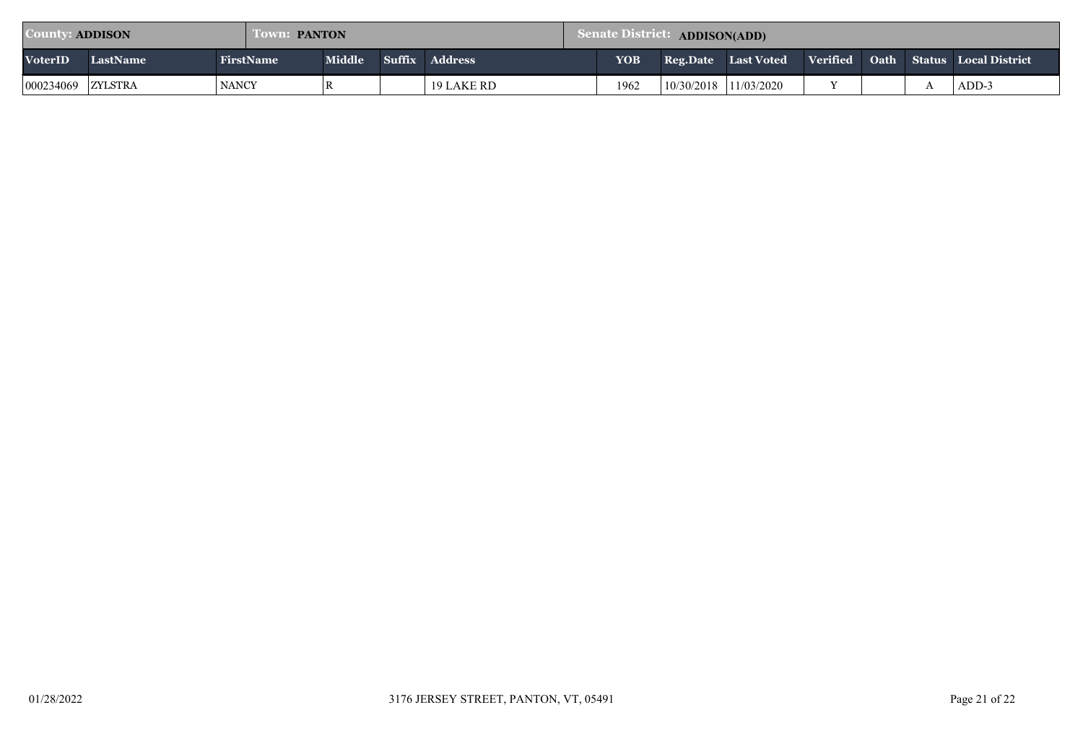|                     | <b>ADDISON</b> | $\Box$ $\Box$ $\Box$ | <b>PANTON</b> |                       | <b>Senate District: ADDISON(ADD)</b> |            |                         |                   |                 |             |  |                              |
|---------------------|----------------|----------------------|---------------|-----------------------|--------------------------------------|------------|-------------------------|-------------------|-----------------|-------------|--|------------------------------|
| <b>VoterID</b>      | LastName       | <b>FirstName</b>     | Middle        | <b>Suffix</b> Address |                                      | <b>YOB</b> | <b>Reg.Date</b>         | <b>Last Voted</b> | <b>Verified</b> | <b>Oath</b> |  | <b>Status</b> Local District |
| $ 000234069\rangle$ | <b>ZYLSTRA</b> | <b>NANCY</b>         |               | 19 LAKE RD            |                                      | 1962       | 10/30/2018   11/03/2020 |                   |                 |             |  | $ADD-3$                      |